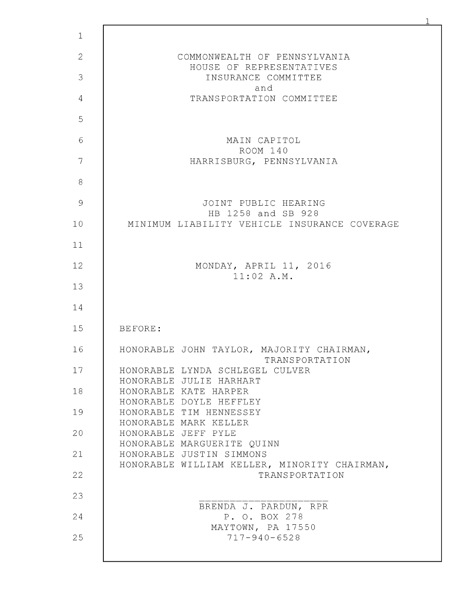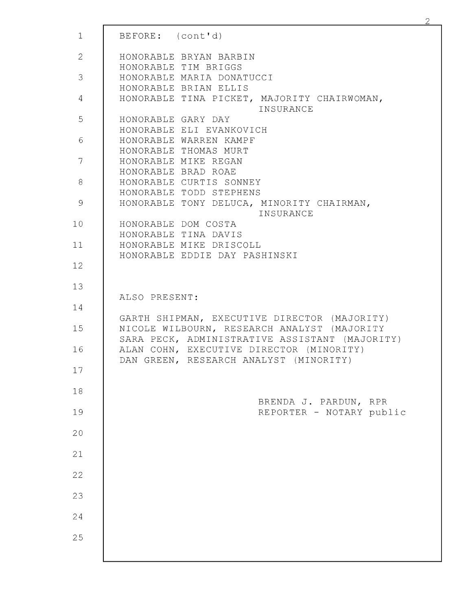| $\mathbf{1}$   | BEFORE: (cont'd)                                                                   |
|----------------|------------------------------------------------------------------------------------|
| $\overline{2}$ | HONORABLE BRYAN BARBIN                                                             |
| 3              | HONORABLE TIM BRIGGS<br>HONORABLE MARIA DONATUCCI                                  |
|                | HONORABLE BRIAN ELLIS                                                              |
| 4              | HONORABLE TINA PICKET, MAJORITY CHAIRWOMAN,<br>INSURANCE                           |
| 5              | HONORABLE GARY DAY                                                                 |
| 6              | HONORABLE ELI EVANKOVICH<br>HONORABLE WARREN KAMPF                                 |
|                | HONORABLE THOMAS MURT                                                              |
| 7              | HONORABLE MIKE REGAN                                                               |
|                | HONORABLE BRAD ROAE                                                                |
| 8              | HONORABLE CURTIS SONNEY                                                            |
|                | HONORABLE TODD STEPHENS                                                            |
| 9              | HONORABLE TONY DELUCA, MINORITY CHAIRMAN,<br>INSURANCE                             |
| 10             | HONORABLE DOM COSTA                                                                |
|                | HONORABLE TINA DAVIS                                                               |
| 11             | HONORABLE MIKE DRISCOLL                                                            |
| 12             | HONORABLE EDDIE DAY PASHINSKI                                                      |
|                |                                                                                    |
| 13             |                                                                                    |
|                | ALSO PRESENT:                                                                      |
| 14             |                                                                                    |
|                | GARTH SHIPMAN, EXECUTIVE DIRECTOR (MAJORITY)                                       |
| 15             | NICOLE WILBOURN, RESEARCH ANALYST (MAJORITY                                        |
| 16             | SARA PECK, ADMINISTRATIVE ASSISTANT (MAJORITY)                                     |
|                | ALAN COHN, EXECUTIVE DIRECTOR (MINORITY)<br>DAN GREEN, RESEARCH ANALYST (MINORITY) |
| 17             |                                                                                    |
|                |                                                                                    |
| 18             |                                                                                    |
|                | BRENDA J. PARDUN,<br>RPR                                                           |
| 19             | REPORTER - NOTARY public                                                           |
|                |                                                                                    |
| 20             |                                                                                    |
| 21             |                                                                                    |
|                |                                                                                    |
| 22             |                                                                                    |
|                |                                                                                    |
| 23             |                                                                                    |
|                |                                                                                    |
| 24             |                                                                                    |
|                |                                                                                    |
| 25             |                                                                                    |
|                |                                                                                    |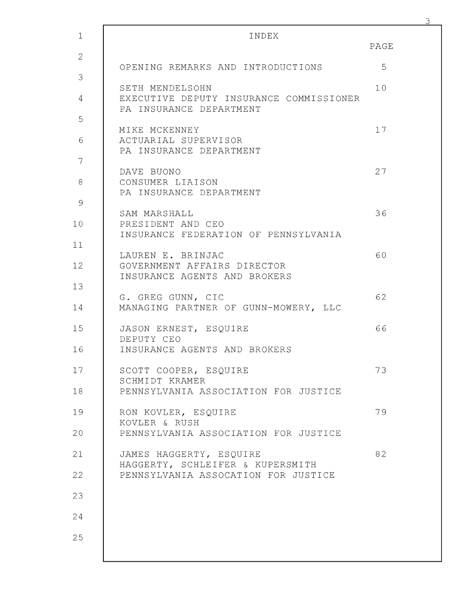| $\mathbf{1}$   | INDEX                                                                                 |      |
|----------------|---------------------------------------------------------------------------------------|------|
| $\overline{2}$ |                                                                                       | PAGE |
| 3              | OPENING REMARKS AND INTRODUCTIONS                                                     | 5    |
| 4              | SETH MENDELSOHN<br>EXECUTIVE DEPUTY INSURANCE COMMISSIONER<br>PA INSURANCE DEPARTMENT | 10   |
| 5              | MIKE MCKENNEY                                                                         | 17   |
| 6              | ACTUARIAL SUPERVISOR<br>PA INSURANCE DEPARTMENT                                       |      |
| 7              | DAVE BUONO                                                                            | 27   |
| 8              | CONSUMER LIAISON<br>PA INSURANCE DEPARTMENT                                           |      |
| 9              | SAM MARSHALL                                                                          | 36   |
| 10             | PRESIDENT AND CEO<br>INSURANCE FEDERATION OF PENNSYLVANIA                             |      |
| 11             |                                                                                       |      |
| 12             | LAUREN E. BRINJAC<br>GOVERNMENT AFFAIRS DIRECTOR<br>INSURANCE AGENTS AND BROKERS      | 60   |
| 13             |                                                                                       |      |
| 14             | G. GREG GUNN, CIC<br>MANAGING PARTNER OF GUNN-MOWERY, LLC                             | 62   |
| 15             | JASON ERNEST, ESQUIRE<br>DEPUTY CEO                                                   | 66   |
| 16             | INSURANCE AGENTS AND BROKERS                                                          |      |
| 17             | SCOTT COOPER, ESQUIRE<br>SCHMIDT KRAMER                                               | 73   |
| 18             | PENNSYLVANIA ASSOCIATION FOR JUSTICE                                                  |      |
| 19             | RON KOVLER, ESQUIRE<br>KOVLER & RUSH                                                  | 79   |
| 20             | PENNSYLVANIA ASSOCIATION FOR JUSTICE                                                  |      |
| 21             | JAMES HAGGERTY, ESQUIRE<br>HAGGERTY, SCHLEIFER & KUPERSMITH                           | 82   |
| 22             | PENNSYLVANIA ASSOCATION FOR JUSTICE                                                   |      |
| 23             |                                                                                       |      |
| 24             |                                                                                       |      |
| 25             |                                                                                       |      |
|                |                                                                                       |      |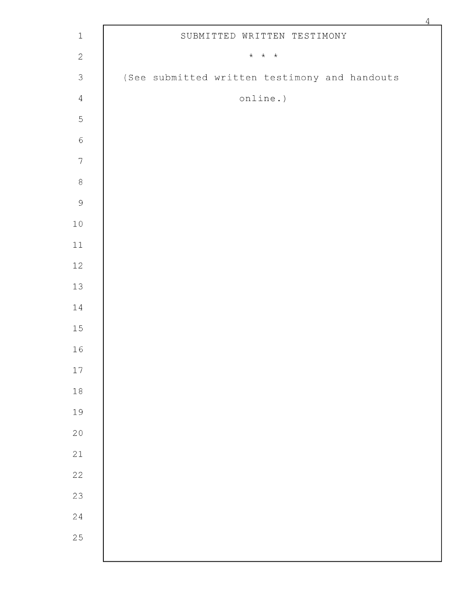|                           |                                                       | $\overline{4}$ |
|---------------------------|-------------------------------------------------------|----------------|
| $1\,$                     | SUBMITTED WRITTEN TESTIMONY                           |                |
| $\sqrt{2}$                | $\star$ $\hspace{0.1cm} \star$ $\hspace{0.1cm} \star$ |                |
| $\ensuremath{\mathsf{3}}$ | (See submitted written testimony and handouts         |                |
| $\sqrt{4}$                | online.)                                              |                |
| $\mathsf S$               |                                                       |                |
| $\epsilon$                |                                                       |                |
| $\boldsymbol{7}$          |                                                       |                |
| $\,8\,$                   |                                                       |                |
| $\mathcal{G}$             |                                                       |                |
| 10                        |                                                       |                |
| 11                        |                                                       |                |
| 12                        |                                                       |                |
| 13                        |                                                       |                |
| $1\,4$                    |                                                       |                |
| 15                        |                                                       |                |
| 16                        |                                                       |                |
| 17                        |                                                       |                |
| $1\,8$                    |                                                       |                |
| 19                        |                                                       |                |
| $\overline{20}$           |                                                       |                |
| 21                        |                                                       |                |
| $\overline{22}$           |                                                       |                |
| 23                        |                                                       |                |
| $\overline{24}$           |                                                       |                |
| 25                        |                                                       |                |
|                           |                                                       |                |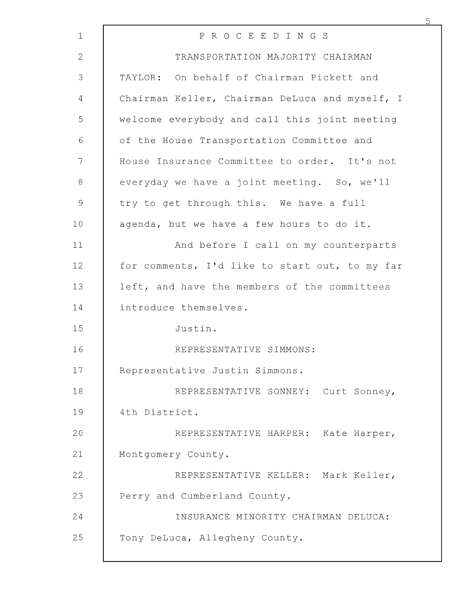| $\mathbf{1}$ | P R O C E E D I N G S                          |
|--------------|------------------------------------------------|
| 2            | TRANSPORTATION MAJORITY CHAIRMAN               |
| 3            | TAYLOR: On behalf of Chairman Pickett and      |
| 4            | Chairman Keller, Chairman DeLuca and myself, I |
| 5            | welcome everybody and call this joint meeting  |
| 6            | of the House Transportation Committee and      |
| 7            | House Insurance Committee to order. It's not   |
| 8            | everyday we have a joint meeting. So, we'll    |
| $\mathsf 9$  | try to get through this. We have a full        |
| 10           | agenda, but we have a few hours to do it.      |
| 11           | And before I call on my counterparts           |
| 12           | for comments, I'd like to start out, to my far |
| 13           | left, and have the members of the committees   |
| 14           | introduce themselves.                          |
| 15           | Justin.                                        |
| 16           | REPRESENTATIVE SIMMONS:                        |
| 17           | Representative Justin Simmons.                 |
| 18           | REPRESENTATIVE SONNEY: Curt Sonney,            |
| 19           | 4th District.                                  |
| 20           | REPRESENTATIVE HARPER: Kate Harper,            |
| 21           | Montgomery County.                             |
| 22           | REPRESENTATIVE KELLER: Mark Keller,            |
| 23           | Perry and Cumberland County.                   |
| 24           | INSURANCE MINORITY CHAIRMAN DELUCA:            |
| 25           | Tony DeLuca, Allegheny County.                 |
|              |                                                |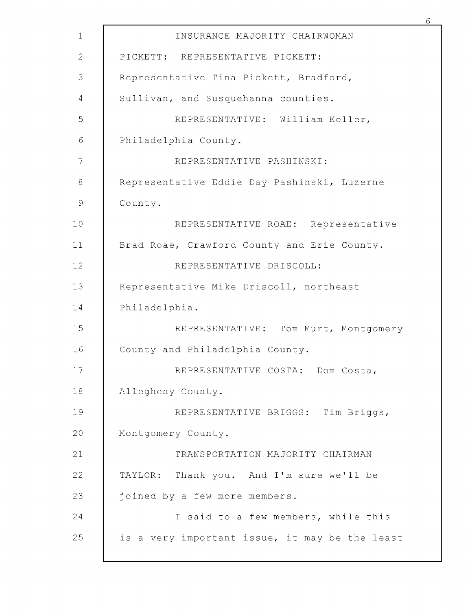| $\mathbf{1}$  | INSURANCE MAJORITY CHAIRWOMAN                  |
|---------------|------------------------------------------------|
| $\mathbf{2}$  | PICKETT: REPRESENTATIVE PICKETT:               |
| 3             | Representative Tina Pickett, Bradford,         |
| 4             | Sullivan, and Susquehanna counties.            |
| 5             | REPRESENTATIVE: William Keller,                |
| $\sqrt{6}$    | Philadelphia County.                           |
| 7             | REPRESENTATIVE PASHINSKI:                      |
| $\,8\,$       | Representative Eddie Day Pashinski, Luzerne    |
| $\mathcal{G}$ | County.                                        |
| 10            | REPRESENTATIVE ROAE: Representative            |
| 11            | Brad Roae, Crawford County and Erie County.    |
| 12            | REPRESENTATIVE DRISCOLL:                       |
| 13            | Representative Mike Driscoll, northeast        |
| 14            | Philadelphia.                                  |
| 15            | REPRESENTATIVE: Tom Murt, Montgomery           |
| 16            | County and Philadelphia County.                |
| 17            | REPRESENTATIVE COSTA: Dom Costa,               |
| 18            | Allegheny County.                              |
| 19            | REPRESENTATIVE BRIGGS: Tim Briggs,             |
| 20            | Montgomery County.                             |
| 21            | TRANSPORTATION MAJORITY CHAIRMAN               |
| 22            | TAYLOR: Thank you. And I'm sure we'll be       |
| 23            | joined by a few more members.                  |
| 24            | I said to a few members, while this            |
| 25            | is a very important issue, it may be the least |
|               |                                                |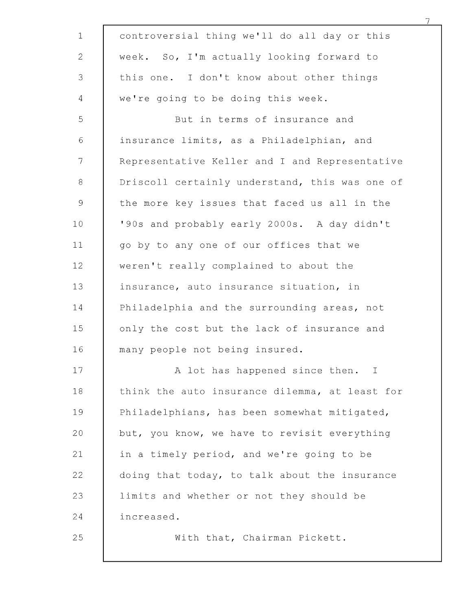| $\mathbf 1$   | controversial thing we'll do all day or this   |
|---------------|------------------------------------------------|
| $\mathbf{2}$  | week. So, I'm actually looking forward to      |
| 3             | this one. I don't know about other things      |
| 4             | we're going to be doing this week.             |
| 5             | But in terms of insurance and                  |
| $\epsilon$    | insurance limits, as a Philadelphian, and      |
| 7             | Representative Keller and I and Representative |
| 8             | Driscoll certainly understand, this was one of |
| $\mathcal{G}$ | the more key issues that faced us all in the   |
| 10            | '90s and probably early 2000s. A day didn't    |
| 11            | go by to any one of our offices that we        |
| 12            | weren't really complained to about the         |
| 13            | insurance, auto insurance situation, in        |
| 14            | Philadelphia and the surrounding areas, not    |
| 15            | only the cost but the lack of insurance and    |
| 16            | many people not being insured.                 |
| 17            | A lot has happened since then. I               |
| 18            | think the auto insurance dilemma, at least for |
| 19            | Philadelphians, has been somewhat mitigated,   |
| 20            | but, you know, we have to revisit everything   |
| 21            | in a timely period, and we're going to be      |
| 22            | doing that today, to talk about the insurance  |
| 23            | limits and whether or not they should be       |
| 24            | increased.                                     |
| 25            | With that, Chairman Pickett.                   |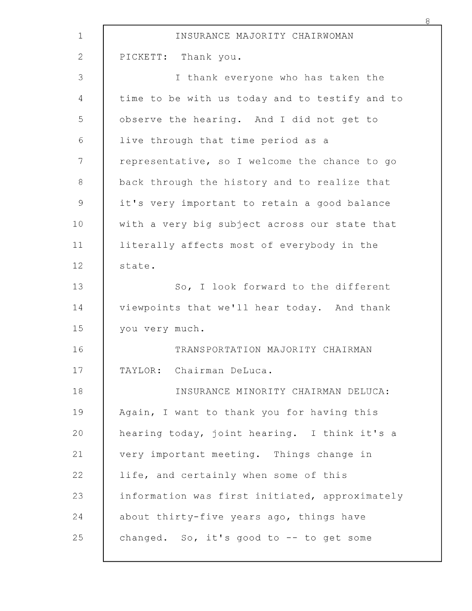| $\mathbf 1$   | INSURANCE MAJORITY CHAIRWOMAN                  |
|---------------|------------------------------------------------|
| $\mathbf{2}$  | PICKETT: Thank you.                            |
| 3             | I thank everyone who has taken the             |
| 4             | time to be with us today and to testify and to |
| 5             | observe the hearing. And I did not get to      |
| 6             | live through that time period as a             |
| 7             | representative, so I welcome the chance to go  |
| 8             | back through the history and to realize that   |
| $\mathcal{G}$ | it's very important to retain a good balance   |
| 10            | with a very big subject across our state that  |
| 11            | literally affects most of everybody in the     |
| 12            | state.                                         |
| 13            | So, I look forward to the different            |
| 14            | viewpoints that we'll hear today. And thank    |
| 15            | you very much.                                 |
| 16            | TRANSPORTATION MAJORITY CHAIRMAN               |
| 17            | TAYLOR: Chairman DeLuca.                       |
| 18            | INSURANCE MINORITY CHAIRMAN DELUCA:            |
| 19            | Again, I want to thank you for having this     |
| 20            | hearing today, joint hearing. I think it's a   |
| 21            | very important meeting. Things change in       |
| 22            | life, and certainly when some of this          |
| 23            | information was first initiated, approximately |
| 24            | about thirty-five years ago, things have       |
| 25            | changed. So, it's good to -- to get some       |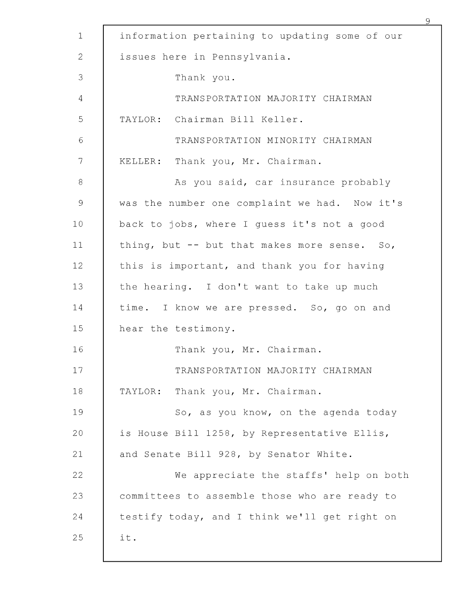|               | 9                                              |
|---------------|------------------------------------------------|
| $\mathbf 1$   | information pertaining to updating some of our |
| $\mathbf{2}$  | issues here in Pennsylvania.                   |
| 3             | Thank you.                                     |
| 4             | TRANSPORTATION MAJORITY CHAIRMAN               |
| 5             | TAYLOR: Chairman Bill Keller.                  |
| $\epsilon$    | TRANSPORTATION MINORITY CHAIRMAN               |
| 7             | KELLER: Thank you, Mr. Chairman.               |
| $\,8\,$       | As you said, car insurance probably            |
| $\mathcal{G}$ | was the number one complaint we had. Now it's  |
| 10            | back to jobs, where I guess it's not a good    |
| 11            | thing, but -- but that makes more sense. So,   |
| 12            | this is important, and thank you for having    |
| 13            | the hearing. I don't want to take up much      |
| 14            | time. I know we are pressed. So, go on and     |
| 15            | hear the testimony.                            |
| 16            | Thank you, Mr. Chairman.                       |
| 17            | TRANSPORTATION MAJORITY CHAIRMAN               |
| 18            | Thank you, Mr. Chairman.<br>TAYLOR:            |
| 19            | So, as you know, on the agenda today           |
| 20            | is House Bill 1258, by Representative Ellis,   |
| 21            | and Senate Bill 928, by Senator White.         |
| 22            | We appreciate the staffs' help on both         |
| 23            | committees to assemble those who are ready to  |
| 24            | testify today, and I think we'll get right on  |
| 25            | it.                                            |
|               |                                                |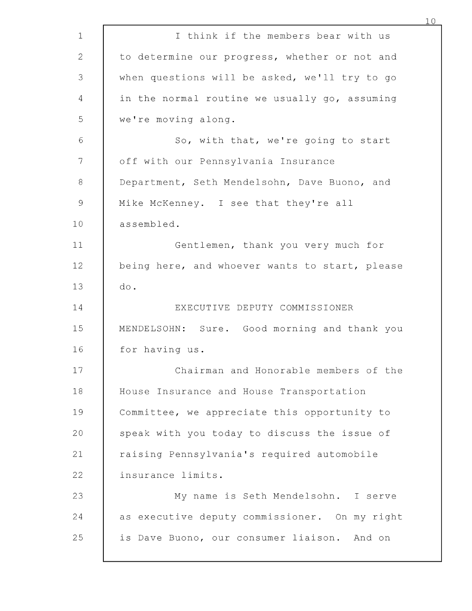|              |                                                | 10 |
|--------------|------------------------------------------------|----|
| $\mathbf 1$  | I think if the members bear with us            |    |
| $\mathbf{2}$ | to determine our progress, whether or not and  |    |
| 3            | when questions will be asked, we'll try to go  |    |
| 4            | in the normal routine we usually go, assuming  |    |
| 5            | we're moving along.                            |    |
| 6            | So, with that, we're going to start            |    |
| 7            | off with our Pennsylvania Insurance            |    |
| $\,8\,$      | Department, Seth Mendelsohn, Dave Buono, and   |    |
| 9            | Mike McKenney. I see that they're all          |    |
| 10           | assembled.                                     |    |
| 11           | Gentlemen, thank you very much for             |    |
| 12           | being here, and whoever wants to start, please |    |
| 13           | do.                                            |    |
| 14           | EXECUTIVE DEPUTY COMMISSIONER                  |    |
| 15           | MENDELSOHN: Sure. Good morning and thank you   |    |
| 16           | for having us.                                 |    |
| 17           | Chairman and Honorable members of the          |    |
| 18           | House Insurance and House Transportation       |    |
| 19           | Committee, we appreciate this opportunity to   |    |
| 20           | speak with you today to discuss the issue of   |    |
| 21           | raising Pennsylvania's required automobile     |    |
| 22           | insurance limits.                              |    |
| 23           | My name is Seth Mendelsohn. I serve            |    |
| 24           | as executive deputy commissioner. On my right  |    |
| 25           | is Dave Buono, our consumer liaison.<br>And on |    |
|              |                                                |    |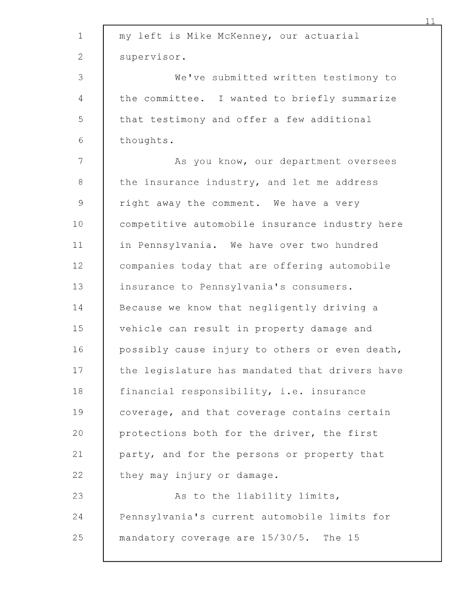| $\mathbf 1$  | my left is Mike McKenney, our actuarial        |
|--------------|------------------------------------------------|
| $\mathbf{2}$ | supervisor.                                    |
| 3            | We've submitted written testimony to           |
| 4            | the committee. I wanted to briefly summarize   |
| 5            | that testimony and offer a few additional      |
| $\sqrt{6}$   | thoughts.                                      |
| 7            | As you know, our department oversees           |
| $8\,$        | the insurance industry, and let me address     |
| $\mathsf 9$  | right away the comment. We have a very         |
| 10           | competitive automobile insurance industry here |
| 11           | in Pennsylvania. We have over two hundred      |
| 12           | companies today that are offering automobile   |
| 13           | insurance to Pennsylvania's consumers.         |
| 14           | Because we know that negligently driving a     |
| 15           | vehicle can result in property damage and      |
| 16           | possibly cause injury to others or even death, |
| 17           | the legislature has mandated that drivers have |
| 18           | financial responsibility, i.e. insurance       |
| 19           | coverage, and that coverage contains certain   |
| 20           | protections both for the driver, the first     |
| 21           | party, and for the persons or property that    |
| 22           | they may injury or damage.                     |
| 23           | As to the liability limits,                    |
| 24           | Pennsylvania's current automobile limits for   |
| 25           | mandatory coverage are 15/30/5. The 15         |
|              |                                                |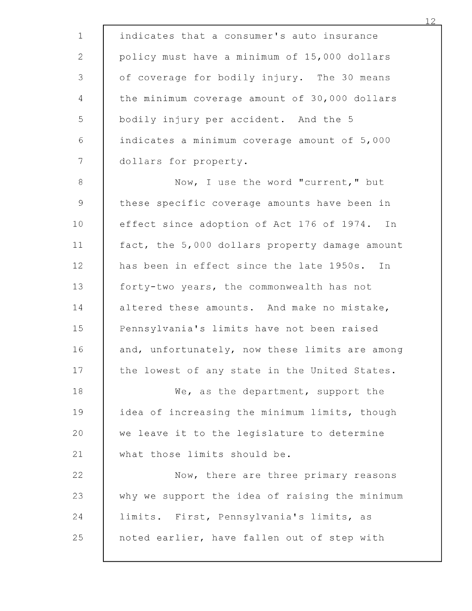| $\mathbf 1$                                               | indicates that a consumer's auto insurance     |
|-----------------------------------------------------------|------------------------------------------------|
| $\mathbf{2}$                                              | policy must have a minimum of 15,000 dollars   |
| 3                                                         | of coverage for bodily injury. The 30 means    |
| $\overline{4}$                                            | the minimum coverage amount of 30,000 dollars  |
| 5                                                         | bodily injury per accident. And the 5          |
| $\epsilon$                                                | indicates a minimum coverage amount of 5,000   |
| 7                                                         | dollars for property.                          |
| 8                                                         | Now, I use the word "current," but             |
| $\mathcal{G}% _{M_{1},M_{2}}^{\alpha,\beta}(\mathcal{A})$ | these specific coverage amounts have been in   |
| 10 <sub>o</sub>                                           | effect since adoption of Act 176 of 1974. In   |
| 11                                                        | fact, the 5,000 dollars property damage amount |
| 12                                                        | has been in effect since the late 1950s.<br>In |
| 13                                                        | forty-two years, the commonwealth has not      |
| 14                                                        | altered these amounts. And make no mistake,    |
| 15                                                        | Pennsylvania's limits have not been raised     |
| 16                                                        | and, unfortunately, now these limits are among |
| 17                                                        | the lowest of any state in the United States.  |
| 18                                                        | We, as the department, support the             |
| 19                                                        | idea of increasing the minimum limits, though  |
| 20                                                        | we leave it to the legislature to determine    |
| 21                                                        | what those limits should be.                   |
| 22                                                        | Now, there are three primary reasons           |
| 23                                                        | why we support the idea of raising the minimum |
| 24                                                        | limits. First, Pennsylvania's limits, as       |
| 25                                                        | noted earlier, have fallen out of step with    |
|                                                           |                                                |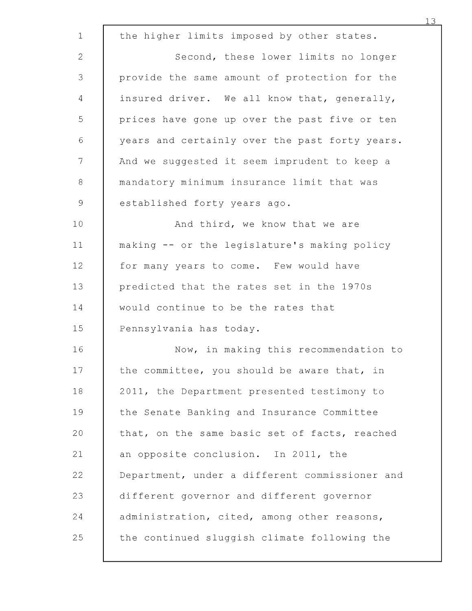|                 |                                                | 13 |
|-----------------|------------------------------------------------|----|
| $\mathbf 1$     | the higher limits imposed by other states.     |    |
| $\mathbf{2}$    | Second, these lower limits no longer           |    |
| 3               | provide the same amount of protection for the  |    |
| 4               | insured driver. We all know that, generally,   |    |
| 5               | prices have gone up over the past five or ten  |    |
| 6               | years and certainly over the past forty years. |    |
| $7\phantom{.0}$ | And we suggested it seem imprudent to keep a   |    |
| $\,8\,$         | mandatory minimum insurance limit that was     |    |
| $\mathcal{G}$   | established forty years ago.                   |    |
| 10              | And third, we know that we are                 |    |
| 11              | making -- or the legislature's making policy   |    |
| 12              | for many years to come. Few would have         |    |
| 13              | predicted that the rates set in the 1970s      |    |
| 14              | would continue to be the rates that            |    |
| 15              | Pennsylvania has today.                        |    |
| 16              | Now, in making this recommendation to          |    |
| 17              | the committee, you should be aware that, in    |    |
| 18              | 2011, the Department presented testimony to    |    |
| 19              | the Senate Banking and Insurance Committee     |    |
| 20              | that, on the same basic set of facts, reached  |    |
| 21              | an opposite conclusion. In 2011, the           |    |
| 22              | Department, under a different commissioner and |    |
| 23              | different governor and different governor      |    |
| 24              | administration, cited, among other reasons,    |    |
| 25              | the continued sluggish climate following the   |    |
|                 |                                                |    |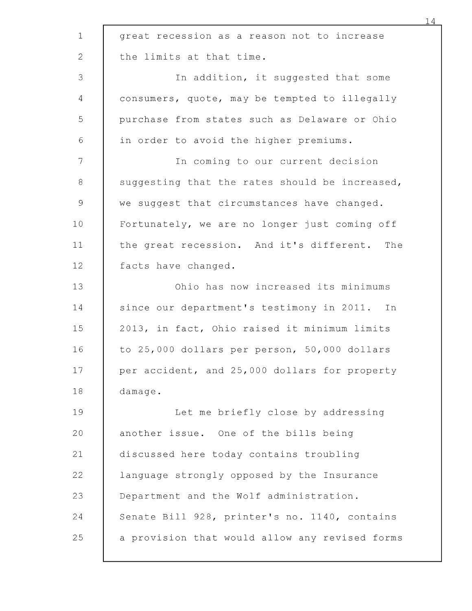| $\mathbf 1$    | great recession as a reason not to increase    |
|----------------|------------------------------------------------|
| $\mathbf{2}$   | the limits at that time.                       |
| 3              | In addition, it suggested that some            |
| 4              | consumers, quote, may be tempted to illegally  |
| 5              | purchase from states such as Delaware or Ohio  |
| $\epsilon$     | in order to avoid the higher premiums.         |
| $\overline{7}$ | In coming to our current decision              |
| 8              | suggesting that the rates should be increased, |
| $\mathcal{G}$  | we suggest that circumstances have changed.    |
| 10             | Fortunately, we are no longer just coming off  |
| 11             | the great recession. And it's different. The   |
| 12             | facts have changed.                            |
| 13             | Ohio has now increased its minimums            |
| 14             | since our department's testimony in 2011. In   |
| 15             | 2013, in fact, Ohio raised it minimum limits   |
| 16             | to 25,000 dollars per person, 50,000 dollars   |
| 17             | per accident, and 25,000 dollars for property  |
| 18             | damage.                                        |
| 19             | Let me briefly close by addressing             |
| 20             | another issue. One of the bills being          |
| 21             | discussed here today contains troubling        |
| 22             | language strongly opposed by the Insurance     |
| 23             | Department and the Wolf administration.        |
| 24             | Senate Bill 928, printer's no. 1140, contains  |
| 25             | a provision that would allow any revised forms |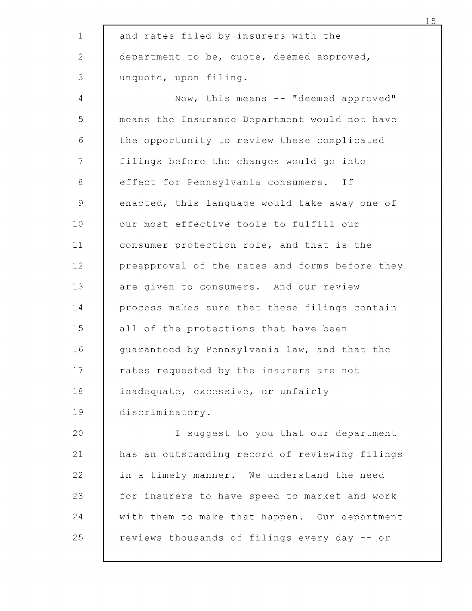| $\mathbf 1$  | and rates filed by insurers with the           |
|--------------|------------------------------------------------|
| $\mathbf{2}$ | department to be, quote, deemed approved,      |
| 3            | unquote, upon filing.                          |
| 4            | Now, this means -- "deemed approved"           |
| 5            | means the Insurance Department would not have  |
| $\epsilon$   | the opportunity to review these complicated    |
| 7            | filings before the changes would go into       |
| $\,8\,$      | effect for Pennsylvania consumers. If          |
| $\mathsf 9$  | enacted, this language would take away one of  |
| 10           | our most effective tools to fulfill our        |
| 11           | consumer protection role, and that is the      |
| 12           | preapproval of the rates and forms before they |
| 13           | are given to consumers. And our review         |
| 14           | process makes sure that these filings contain  |
| 15           | all of the protections that have been          |
| 16           | guaranteed by Pennsylvania law, and that the   |
| 17           | rates requested by the insurers are not        |
| 18           | inadequate, excessive, or unfairly             |
| 19           | discriminatory.                                |
| 20           | I suggest to you that our department           |
| 21           | has an outstanding record of reviewing filings |
| 22           | in a timely manner. We understand the need     |
| 23           | for insurers to have speed to market and work  |
| 24           | with them to make that happen. Our department  |
| 25           | reviews thousands of filings every day -- or   |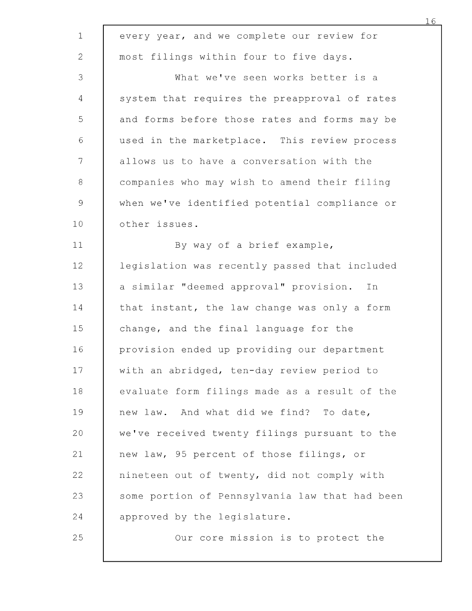| $1\,$          | every year, and we complete our review for     |
|----------------|------------------------------------------------|
| $\mathbf{2}$   | most filings within four to five days.         |
| 3              | What we've seen works better is a              |
| 4              | system that requires the preapproval of rates  |
| 5              | and forms before those rates and forms may be  |
| 6              | used in the marketplace. This review process   |
| $\overline{7}$ | allows us to have a conversation with the      |
| 8              | companies who may wish to amend their filing   |
| $\mathsf 9$    | when we've identified potential compliance or  |
| 10             | other issues.                                  |
| 11             | By way of a brief example,                     |
| 12             | legislation was recently passed that included  |
| 13             | a similar "deemed approval" provision.<br>In   |
| 14             | that instant, the law change was only a form   |
| 15             | change, and the final language for the         |
| 16             | provision ended up providing our department    |
| 17             | with an abridged, ten-day review period to     |
| 18             | evaluate form filings made as a result of the  |
| 19             | new law. And what did we find? To date,        |
| 20             | we've received twenty filings pursuant to the  |
| 21             | new law, 95 percent of those filings, or       |
| 22             | nineteen out of twenty, did not comply with    |
| 23             | some portion of Pennsylvania law that had been |
| 24             | approved by the legislature.                   |
| 25             | Our core mission is to protect the             |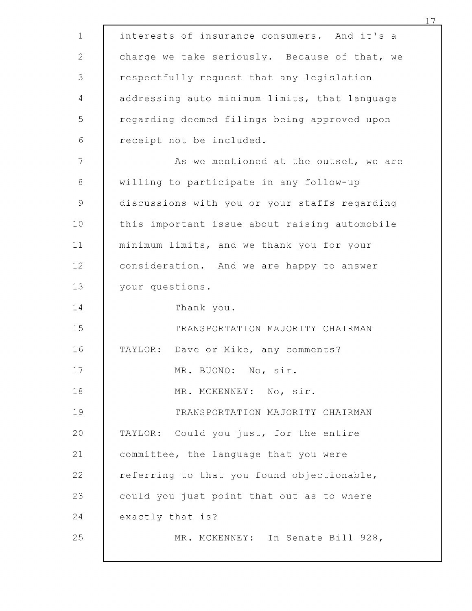| $\mathbf{1}$   | interests of insurance consumers. And it's a  |
|----------------|-----------------------------------------------|
| 2              | charge we take seriously. Because of that, we |
| 3              | respectfully request that any legislation     |
| $\overline{4}$ | addressing auto minimum limits, that language |
| 5              | regarding deemed filings being approved upon  |
| 6              | receipt not be included.                      |
| 7              | As we mentioned at the outset, we are         |
| $\,8\,$        | willing to participate in any follow-up       |
| $\mathcal{G}$  | discussions with you or your staffs regarding |
| 10             | this important issue about raising automobile |
| 11             | minimum limits, and we thank you for your     |
| 12             | consideration. And we are happy to answer     |
| 13             | your questions.                               |
| 14             | Thank you.                                    |
| 15             | TRANSPORTATION MAJORITY CHAIRMAN              |
| 16             | Dave or Mike, any comments?<br>TAYLOR:        |
| 17             | MR. BUONO: No, sir.                           |
| 18             | MR. MCKENNEY: No, sir.                        |
| 19             | TRANSPORTATION MAJORITY CHAIRMAN              |
| 20             | TAYLOR: Could you just, for the entire        |
| 21             | committee, the language that you were         |
| 22             | referring to that you found objectionable,    |
| 23             | could you just point that out as to where     |
| 24             | exactly that is?                              |
| 25             | MR. MCKENNEY: In Senate Bill 928,             |
|                |                                               |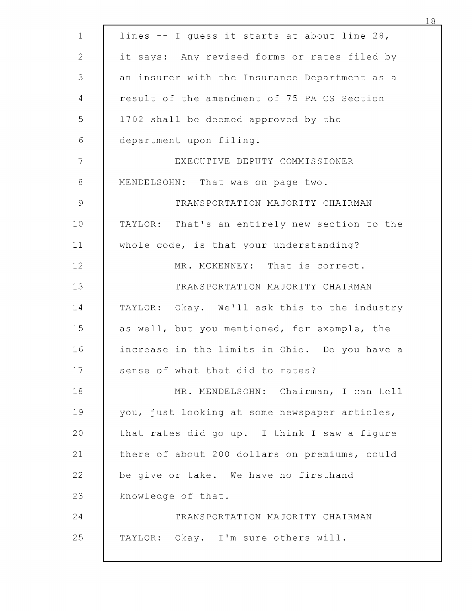| $\mathbf 1$    | lines -- I quess it starts at about line 28,  |
|----------------|-----------------------------------------------|
| $\overline{2}$ | it says: Any revised forms or rates filed by  |
| $\mathfrak{Z}$ | an insurer with the Insurance Department as a |
| 4              | result of the amendment of 75 PA CS Section   |
| 5              | 1702 shall be deemed approved by the          |
| $\sqrt{6}$     | department upon filing.                       |
| 7              | EXECUTIVE DEPUTY COMMISSIONER                 |
| 8              | MENDELSOHN: That was on page two.             |
| $\mathsf 9$    | TRANSPORTATION MAJORITY CHAIRMAN              |
| 10             | TAYLOR: That's an entirely new section to the |
| 11             | whole code, is that your understanding?       |
| 12             | MR. MCKENNEY: That is correct.                |
| 13             | TRANSPORTATION MAJORITY CHAIRMAN              |
| 14             | TAYLOR: Okay. We'll ask this to the industry  |
| 15             | as well, but you mentioned, for example, the  |
| 16             | increase in the limits in Ohio. Do you have a |
| 17             | sense of what that did to rates?              |
| 18             | MR. MENDELSOHN: Chairman, I can tell          |
| 19             | you, just looking at some newspaper articles, |
| 20             | that rates did go up. I think I saw a figure  |
| 21             | there of about 200 dollars on premiums, could |
| 22             | be give or take. We have no firsthand         |
| 23             | knowledge of that.                            |
| 24             | TRANSPORTATION MAJORITY CHAIRMAN              |
| 25             | TAYLOR: Okay. I'm sure others will.           |
|                |                                               |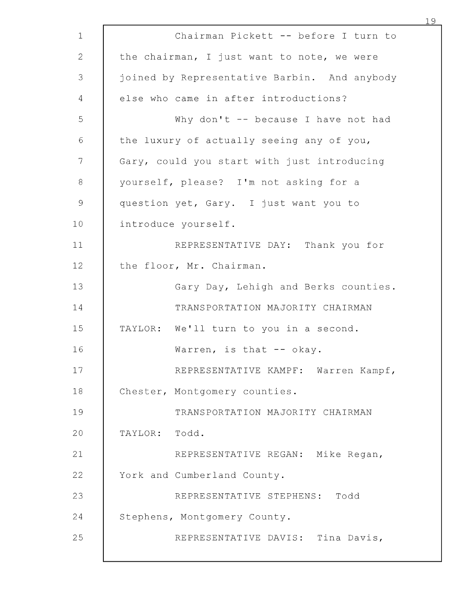| $\mathbf 1$  | Chairman Pickett -- before I turn to         |
|--------------|----------------------------------------------|
| $\mathbf{2}$ | the chairman, I just want to note, we were   |
| 3            | joined by Representative Barbin. And anybody |
| 4            | else who came in after introductions?        |
| 5            | Why don't -- because I have not had          |
| 6            | the luxury of actually seeing any of you,    |
| 7            | Gary, could you start with just introducing  |
| $\,8\,$      | yourself, please? I'm not asking for a       |
| $\mathsf 9$  | question yet, Gary. I just want you to       |
| 10           | introduce yourself.                          |
| 11           | REPRESENTATIVE DAY: Thank you for            |
| 12           | the floor, Mr. Chairman.                     |
| 13           | Gary Day, Lehigh and Berks counties.         |
| 14           | TRANSPORTATION MAJORITY CHAIRMAN             |
| 15           | TAYLOR: We'll turn to you in a second.       |
| 16           | Warren, is that -- okay.                     |
| 17           | REPRESENTATIVE KAMPF: Warren Kampf,          |
| 18           | Chester, Montgomery counties.                |
| 19           | TRANSPORTATION MAJORITY CHAIRMAN             |
| 20           | TAYLOR: Todd.                                |
| 21           | REPRESENTATIVE REGAN: Mike Regan,            |
| 22           | York and Cumberland County.                  |
| 23           | REPRESENTATIVE STEPHENS: Todd                |
| 24           | Stephens, Montgomery County.                 |
| 25           | REPRESENTATIVE DAVIS: Tina Davis,            |
|              |                                              |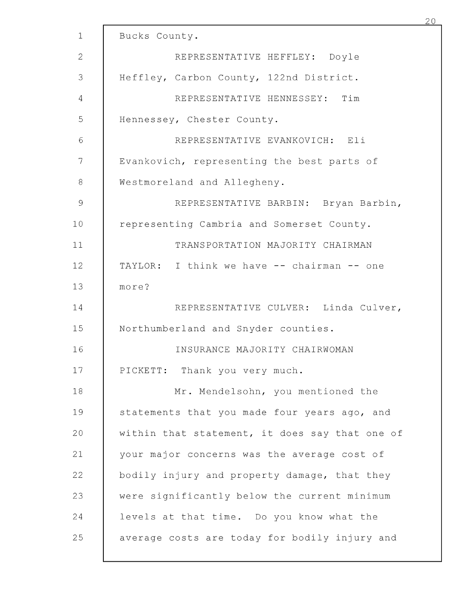|               |                                                | 20 |
|---------------|------------------------------------------------|----|
| $\mathbf{1}$  | Bucks County.                                  |    |
| $\mathbf{2}$  | REPRESENTATIVE HEFFLEY: Doyle                  |    |
| 3             | Heffley, Carbon County, 122nd District.        |    |
| 4             | REPRESENTATIVE HENNESSEY: Tim                  |    |
| 5             | Hennessey, Chester County.                     |    |
| $\sqrt{6}$    | REPRESENTATIVE EVANKOVICH: Eli                 |    |
| 7             | Evankovich, representing the best parts of     |    |
| $\,8\,$       | Westmoreland and Allegheny.                    |    |
| $\mathcal{G}$ | REPRESENTATIVE BARBIN: Bryan Barbin,           |    |
| 10            | representing Cambria and Somerset County.      |    |
| 11            | TRANSPORTATION MAJORITY CHAIRMAN               |    |
| 12            | TAYLOR: I think we have -- chairman -- one     |    |
| 13            | more?                                          |    |
| 14            | REPRESENTATIVE CULVER: Linda Culver,           |    |
| 15            | Northumberland and Snyder counties.            |    |
| 16            | INSURANCE MAJORITY CHAIRWOMAN                  |    |
| 17            | PICKETT: Thank you very much.                  |    |
| 18            | Mr. Mendelsohn, you mentioned the              |    |
| 19            | statements that you made four years ago, and   |    |
| 20            | within that statement, it does say that one of |    |
| 21            | your major concerns was the average cost of    |    |
| 22            | bodily injury and property damage, that they   |    |
| 23            | were significantly below the current minimum   |    |
| 24            | levels at that time. Do you know what the      |    |
| 25            | average costs are today for bodily injury and  |    |
|               |                                                |    |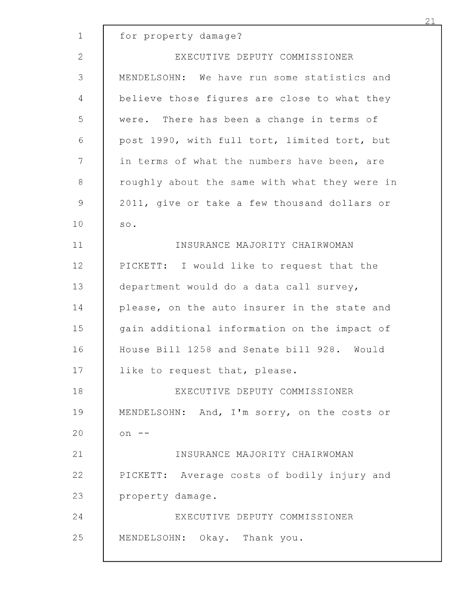| $\mathbf 1$    | for property damage?                          |
|----------------|-----------------------------------------------|
| $\overline{2}$ | EXECUTIVE DEPUTY COMMISSIONER                 |
| 3              | MENDELSOHN: We have run some statistics and   |
| 4              | believe those figures are close to what they  |
| 5              | were. There has been a change in terms of     |
| 6              | post 1990, with full tort, limited tort, but  |
| 7              | in terms of what the numbers have been, are   |
| $\,8\,$        | roughly about the same with what they were in |
| $\mathsf 9$    | 2011, give or take a few thousand dollars or  |
| 10             | $\texttt{SO}$ .                               |
| 11             | INSURANCE MAJORITY CHAIRWOMAN                 |
| 12             | PICKETT: I would like to request that the     |
| 13             | department would do a data call survey,       |
| 14             | please, on the auto insurer in the state and  |
| 15             | gain additional information on the impact of  |
| 16             | House Bill 1258 and Senate bill 928. Would    |
| 17             | like to request that, please.                 |
| 18             | EXECUTIVE DEPUTY COMMISSIONER                 |
| 19             | MENDELSOHN: And, I'm sorry, on the costs or   |
| 20             | $on$ --                                       |
| 21             | INSURANCE MAJORITY CHAIRWOMAN                 |
| 22             | PICKETT: Average costs of bodily injury and   |
| 23             | property damage.                              |
| 24             | EXECUTIVE DEPUTY COMMISSIONER                 |
| 25             | MENDELSOHN: Okay. Thank you.                  |
|                |                                               |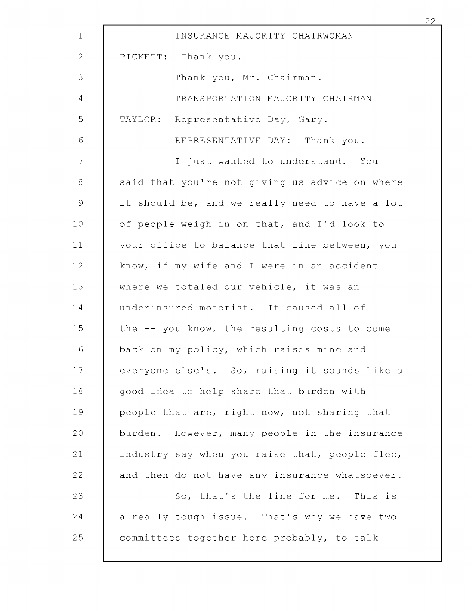| $\mathbf{1}$    | INSURANCE MAJORITY CHAIRWOMAN                    |
|-----------------|--------------------------------------------------|
| 2               | PICKETT: Thank you.                              |
| 3               | Thank you, Mr. Chairman.                         |
| 4               | TRANSPORTATION MAJORITY CHAIRMAN                 |
| 5               | TAYLOR: Representative Day, Gary.                |
| $\sqrt{6}$      | REPRESENTATIVE DAY: Thank you.                   |
| 7               | I just wanted to understand. You                 |
| 8               | said that you're not giving us advice on where   |
| $\mathcal{G}$   | it should be, and we really need to have a lot   |
| 10 <sub>o</sub> | of people weigh in on that, and I'd look to      |
| 11              | your office to balance that line between, you    |
| 12              | know, if my wife and I were in an accident       |
| 13              | where we totaled our vehicle, it was an          |
| 14              | underinsured motorist. It caused all of          |
| 15              | the -- you know, the resulting costs to come     |
| 16              | back on my policy, which raises mine and         |
| 17              | everyone else's. So, raising it sounds like a    |
| 18              | good idea to help share that burden with         |
| 19              | people that are, right now, not sharing that     |
| 20              | However, many people in the insurance<br>burden. |
| 21              | industry say when you raise that, people flee,   |
| 22              | and then do not have any insurance whatsoever.   |
| 23              | So, that's the line for me. This is              |
| 24              | a really tough issue. That's why we have two     |
| 25              | committees together here probably, to talk       |
|                 |                                                  |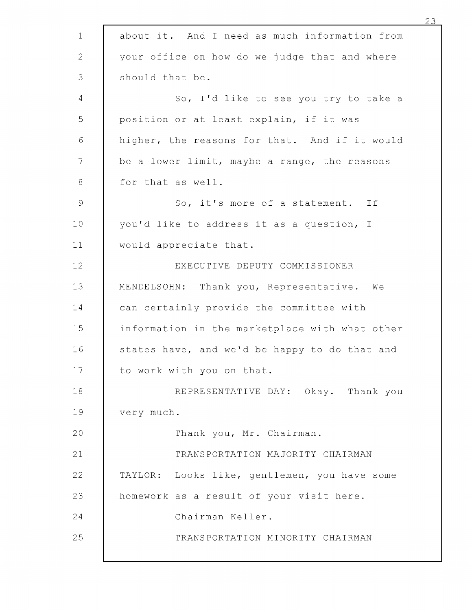| $\mathbf 1$   | about it. And I need as much information from  |
|---------------|------------------------------------------------|
| 2             | your office on how do we judge that and where  |
| 3             | should that be.                                |
| 4             | So, I'd like to see you try to take a          |
| 5             | position or at least explain, if it was        |
| 6             | higher, the reasons for that. And if it would  |
| $\mathcal{T}$ | be a lower limit, maybe a range, the reasons   |
| $8\,$         | for that as well.                              |
| $\mathsf 9$   | So, it's more of a statement. If               |
| 10            | you'd like to address it as a question, I      |
| 11            | would appreciate that.                         |
| 12            | EXECUTIVE DEPUTY COMMISSIONER                  |
| 13            | MENDELSOHN: Thank you, Representative. We      |
| 14            | can certainly provide the committee with       |
| 15            | information in the marketplace with what other |
| 16            | states have, and we'd be happy to do that and  |
| 17            | to work with you on that.                      |
| 18            | REPRESENTATIVE DAY: Okay. Thank you            |
| 19            | very much.                                     |
| 20            | Thank you, Mr. Chairman.                       |
| 21            | TRANSPORTATION MAJORITY CHAIRMAN               |
| 22            | TAYLOR: Looks like, gentlemen, you have some   |
| 23            | homework as a result of your visit here.       |
| 24            | Chairman Keller.                               |
| 25            | TRANSPORTATION MINORITY CHAIRMAN               |
|               |                                                |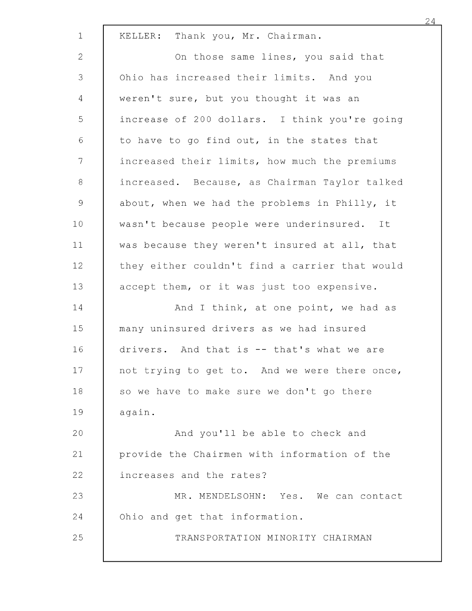| $\mathbf 1$     | KELLER: Thank you, Mr. Chairman.               |
|-----------------|------------------------------------------------|
| $\mathbf{2}$    | On those same lines, you said that             |
| 3               | Ohio has increased their limits. And you       |
| $\overline{4}$  | weren't sure, but you thought it was an        |
| 5               | increase of 200 dollars. I think you're going  |
| $\epsilon$      | to have to go find out, in the states that     |
| $7\phantom{.}$  | increased their limits, how much the premiums  |
| $\,8\,$         | increased. Because, as Chairman Taylor talked  |
| $\mathcal{G}$   | about, when we had the problems in Philly, it  |
| 10              | wasn't because people were underinsured. It    |
| 11              | was because they weren't insured at all, that  |
| 12              | they either couldn't find a carrier that would |
| 13              | accept them, or it was just too expensive.     |
| 14              | And I think, at one point, we had as           |
| 15              | many uninsured drivers as we had insured       |
| 16              | drivers. And that is -- that's what we are     |
| 17 <sub>1</sub> | not trying to get to. And we were there once,  |
| 18              | so we have to make sure we don't go there      |
| 19              | again.                                         |
| 20              | And you'll be able to check and                |
| 21              | provide the Chairmen with information of the   |
| 22              | increases and the rates?                       |
| 23              | MR. MENDELSOHN: Yes. We can contact            |
| 24              | Ohio and get that information.                 |
| 25              | TRANSPORTATION MINORITY CHAIRMAN               |
|                 |                                                |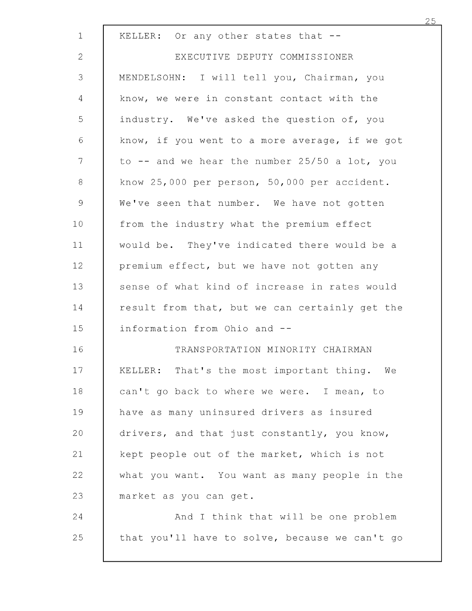| $\mathbf 1$    | KELLER: Or any other states that --            |
|----------------|------------------------------------------------|
| $\mathbf{2}$   | EXECUTIVE DEPUTY COMMISSIONER                  |
| 3              | MENDELSOHN: I will tell you, Chairman, you     |
| 4              | know, we were in constant contact with the     |
| 5              | industry. We've asked the question of, you     |
| 6              | know, if you went to a more average, if we got |
| 7              | to -- and we hear the number 25/50 a lot, you  |
| $\,8\,$        | know 25,000 per person, 50,000 per accident.   |
| $\overline{9}$ | We've seen that number. We have not gotten     |
| 10             | from the industry what the premium effect      |
| 11             | would be. They've indicated there would be a   |
| 12             | premium effect, but we have not gotten any     |
| 13             | sense of what kind of increase in rates would  |
| 14             | result from that, but we can certainly get the |
| 15             | information from Ohio and --                   |
| 16             | TRANSPORTATION MINORITY CHAIRMAN               |
| 17             | KELLER: That's the most important thing. We    |
| 18             | can't go back to where we were. I mean, to     |
| 19             | have as many uninsured drivers as insured      |
| 20             | drivers, and that just constantly, you know,   |
| 21             | kept people out of the market, which is not    |
| 22             | what you want. You want as many people in the  |
| 23             | market as you can get.                         |
| 24             | And I think that will be one problem           |
| 25             | that you'll have to solve, because we can't go |
|                |                                                |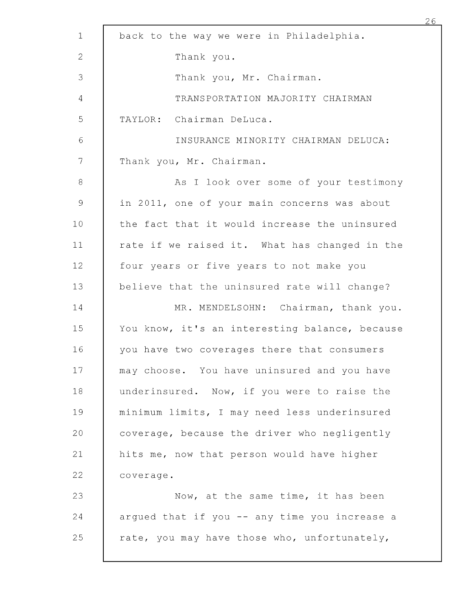| $\mathbf 1$ | back to the way we were in Philadelphia.       |
|-------------|------------------------------------------------|
| 2           | Thank you.                                     |
| 3           | Thank you, Mr. Chairman.                       |
| 4           | TRANSPORTATION MAJORITY CHAIRMAN               |
| 5           | TAYLOR: Chairman DeLuca.                       |
| 6           | INSURANCE MINORITY CHAIRMAN DELUCA:            |
| 7           | Thank you, Mr. Chairman.                       |
| $\,8\,$     | As I look over some of your testimony          |
| $\mathsf 9$ | in 2011, one of your main concerns was about   |
| 10          | the fact that it would increase the uninsured  |
| 11          | rate if we raised it. What has changed in the  |
| 12          | four years or five years to not make you       |
| 13          | believe that the uninsured rate will change?   |
| 14          | MR. MENDELSOHN: Chairman, thank you.           |
| 15          | You know, it's an interesting balance, because |
| 16          | you have two coverages there that consumers    |
| 17          | may choose. You have uninsured and you have    |
| 18          | underinsured. Now, if you were to raise the    |
| 19          | minimum limits, I may need less underinsured   |
| 20          | coverage, because the driver who negligently   |
| 21          | hits me, now that person would have higher     |
| 22          | coverage.                                      |
| 23          | Now, at the same time, it has been             |
| 24          | argued that if you -- any time you increase a  |
| 25          | rate, you may have those who, unfortunately,   |
|             |                                                |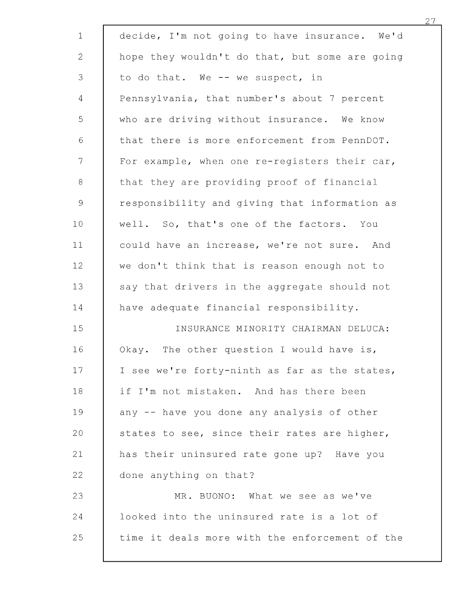| $\mathbf 1$                                               | decide, I'm not going to have insurance. We'd  |
|-----------------------------------------------------------|------------------------------------------------|
| $\mathbf{2}$                                              | hope they wouldn't do that, but some are going |
| 3                                                         | to do that. We -- we suspect, in               |
| $\overline{4}$                                            | Pennsylvania, that number's about 7 percent    |
| 5                                                         | who are driving without insurance. We know     |
| $\sqrt{6}$                                                | that there is more enforcement from PennDOT.   |
| $\overline{7}$                                            | For example, when one re-registers their car,  |
| 8                                                         | that they are providing proof of financial     |
| $\mathcal{G}% _{M_{1},M_{2}}^{\alpha,\beta}(\mathcal{A})$ | responsibility and giving that information as  |
| 10 <sub>o</sub>                                           | well. So, that's one of the factors. You       |
| 11                                                        | could have an increase, we're not sure. And    |
| 12                                                        | we don't think that is reason enough not to    |
| 13                                                        | say that drivers in the aggregate should not   |
| 14                                                        | have adequate financial responsibility.        |
| 15                                                        | INSURANCE MINORITY CHAIRMAN DELUCA:            |
| 16                                                        | Okay. The other question I would have is,      |
| 17                                                        | I see we're forty-ninth as far as the states,  |
| 18                                                        | if I'm not mistaken. And has there been        |
| 19                                                        | any -- have you done any analysis of other     |
| 20                                                        | states to see, since their rates are higher,   |
| 21                                                        | has their uninsured rate gone up? Have you     |
| 22                                                        | done anything on that?                         |
| 23                                                        | MR. BUONO: What we see as we've                |
| 24                                                        | looked into the uninsured rate is a lot of     |
| 25                                                        | time it deals more with the enforcement of the |
|                                                           |                                                |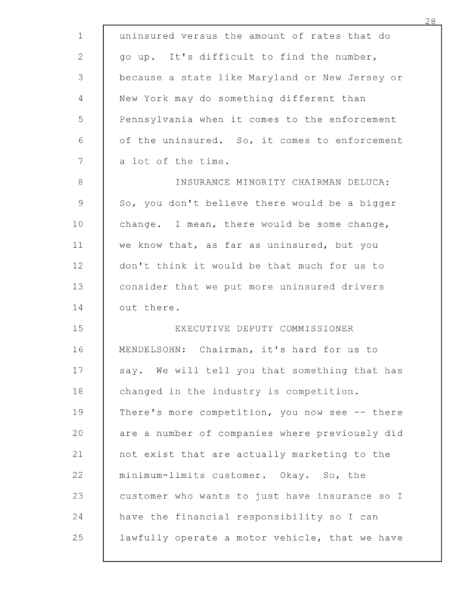| $\mathbf{1}$ | uninsured versus the amount of rates that do   |
|--------------|------------------------------------------------|
| $\mathbf{2}$ | go up. It's difficult to find the number,      |
| 3            | because a state like Maryland or New Jersey or |
| 4            | New York may do something different than       |
| 5            | Pennsylvania when it comes to the enforcement  |
| 6            | of the uninsured. So, it comes to enforcement  |
| 7            | a lot of the time.                             |
| 8            | INSURANCE MINORITY CHAIRMAN DELUCA:            |
| $\mathsf 9$  | So, you don't believe there would be a bigger  |
| 10           | change. I mean, there would be some change,    |
| 11           | we know that, as far as uninsured, but you     |
| 12           | don't think it would be that much for us to    |
| 13           | consider that we put more uninsured drivers    |
| 14           | out there.                                     |
| 15           | EXECUTIVE DEPUTY COMMISSIONER                  |
| 16           | MENDELSOHN: Chairman, it's hard for us to      |
| 17           | say. We will tell you that something that has  |
| 18           | changed in the industry is competition.        |
| 19           | There's more competition, you now see -- there |
| 20           | are a number of companies where previously did |
| 21           | not exist that are actually marketing to the   |
| 22           | minimum-limits customer. Okay. So, the         |
| 23           | customer who wants to just have insurance so I |
| 24           | have the financial responsibility so I can     |
| 25           | lawfully operate a motor vehicle, that we have |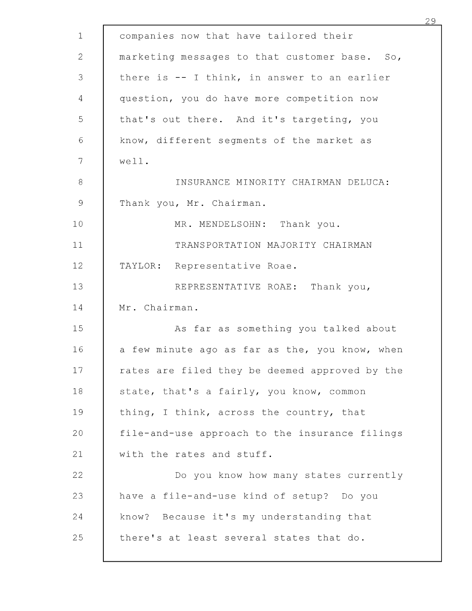| $\mathbf{1}$ | companies now that have tailored their         |
|--------------|------------------------------------------------|
| $\mathbf{2}$ | marketing messages to that customer base. So,  |
| 3            | there is -- I think, in answer to an earlier   |
| 4            | question, you do have more competition now     |
| 5            | that's out there. And it's targeting, you      |
| $\sqrt{6}$   | know, different segments of the market as      |
| 7            | well.                                          |
| $\,8\,$      | INSURANCE MINORITY CHAIRMAN DELUCA:            |
| $\mathsf 9$  | Thank you, Mr. Chairman.                       |
| 10           | MR. MENDELSOHN: Thank you.                     |
| 11           | TRANSPORTATION MAJORITY CHAIRMAN               |
| 12           | TAYLOR: Representative Roae.                   |
| 13           | REPRESENTATIVE ROAE: Thank you,                |
| 14           | Mr. Chairman.                                  |
| 15           | As far as something you talked about           |
| 16           | a few minute ago as far as the, you know, when |
| 17           | rates are filed they be deemed approved by the |
| 18           | state, that's a fairly, you know, common       |
| 19           | thing, I think, across the country, that       |
| 20           | file-and-use approach to the insurance filings |
| 21           | with the rates and stuff.                      |
| 22           | Do you know how many states currently          |
| 23           | have a file-and-use kind of setup? Do you      |
| 24           | know? Because it's my understanding that       |
| 25           | there's at least several states that do.       |
|              |                                                |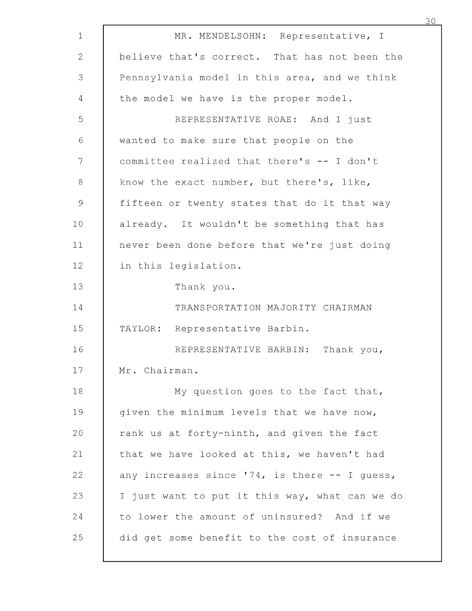| $\mathbf{1}$ | MR. MENDELSOHN: Representative, I              |
|--------------|------------------------------------------------|
| $\mathbf{2}$ | believe that's correct. That has not been the  |
| 3            | Pennsylvania model in this area, and we think  |
| 4            | the model we have is the proper model.         |
| 5            | REPRESENTATIVE ROAE: And I just                |
| $\sqrt{6}$   | wanted to make sure that people on the         |
| 7            | committee realized that there's -- I don't     |
| 8            | know the exact number, but there's, like,      |
| $\mathsf 9$  | fifteen or twenty states that do it that way   |
| 10           | already. It wouldn't be something that has     |
| 11           | never been done before that we're just doing   |
| 12           | in this legislation.                           |
| 13           | Thank you.                                     |
| 14           | TRANSPORTATION MAJORITY CHAIRMAN               |
| 15           | TAYLOR: Representative Barbin.                 |
| 16           | REPRESENTATIVE BARBIN: Thank you,              |
| 17           | Mr. Chairman.                                  |
| 18           | My question goes to the fact that,             |
| 19           | given the minimum levels that we have now,     |
| 20           | rank us at forty-ninth, and given the fact     |
| 21           | that we have looked at this, we haven't had    |
| 22           | any increases since '74, is there -- I guess,  |
| 23           | I just want to put it this way, what can we do |
| 24           | to lower the amount of uninsured? And if we    |
| 25           | did get some benefit to the cost of insurance  |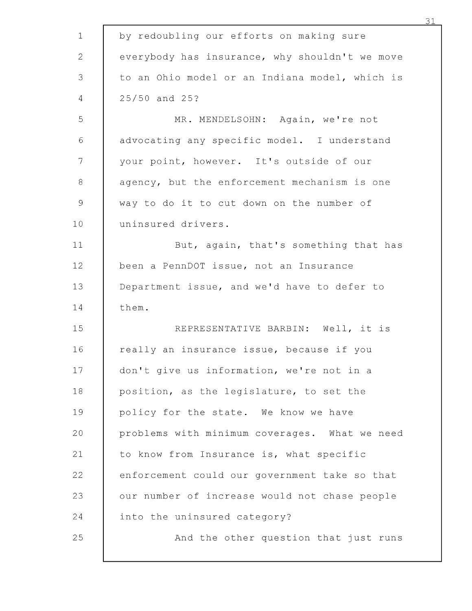| $\mathbf 1$    | by redoubling our efforts on making sure       |
|----------------|------------------------------------------------|
| $\mathbf{2}$   | everybody has insurance, why shouldn't we move |
| 3              | to an Ohio model or an Indiana model, which is |
| $\overline{4}$ | 25/50 and 25?                                  |
| 5              | MR. MENDELSOHN: Again, we're not               |
| $\sqrt{6}$     | advocating any specific model. I understand    |
| 7              | your point, however. It's outside of our       |
| 8              | agency, but the enforcement mechanism is one   |
| 9              | way to do it to cut down on the number of      |
| 10             | uninsured drivers.                             |
| 11             | But, again, that's something that has          |
| 12             | been a PennDOT issue, not an Insurance         |
| 13             | Department issue, and we'd have to defer to    |
| 14             | them.                                          |
| 15             | REPRESENTATIVE BARBIN: Well, it is             |
| 16             | really an insurance issue, because if you      |
| 17             | don't give us information, we're not in a      |
| 18             | position, as the legislature, to set the       |
| 19             | policy for the state. We know we have          |
| 20             | problems with minimum coverages. What we need  |
| 21             | to know from Insurance is, what specific       |
| 22             | enforcement could our government take so that  |
| 23             | our number of increase would not chase people  |
| 24             | into the uninsured category?                   |
| 25             | And the other question that just runs          |
|                |                                                |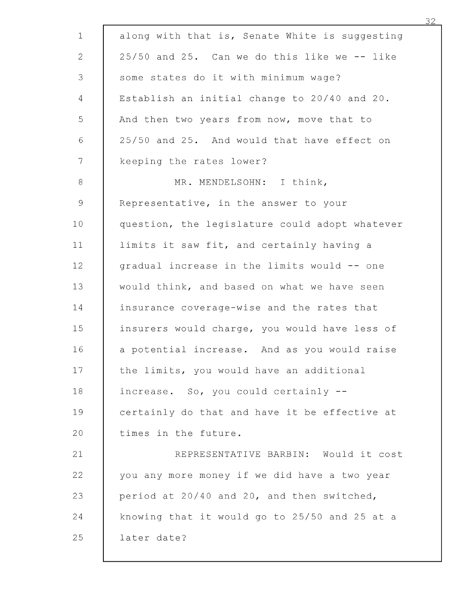| along with that is, Senate White is suggesting |
|------------------------------------------------|
| 25/50 and 25. Can we do this like we -- like   |
| some states do it with minimum wage?           |
| Establish an initial change to 20/40 and 20.   |
| And then two years from now, move that to      |
| 25/50 and 25. And would that have effect on    |
| keeping the rates lower?                       |
| MR. MENDELSOHN: I think,                       |
| Representative, in the answer to your          |
| question, the legislature could adopt whatever |
| limits it saw fit, and certainly having a      |
| gradual increase in the limits would -- one    |
| would think, and based on what we have seen    |
| insurance coverage-wise and the rates that     |
| insurers would charge, you would have less of  |
| a potential increase. And as you would raise   |
| the limits, you would have an additional       |
| increase. So, you could certainly --           |
| certainly do that and have it be effective at  |
| times in the future.                           |
| REPRESENTATIVE BARBIN: Would it cost           |
| you any more money if we did have a two year   |
| period at 20/40 and 20, and then switched,     |
|                                                |
| knowing that it would go to 25/50 and 25 at a  |
|                                                |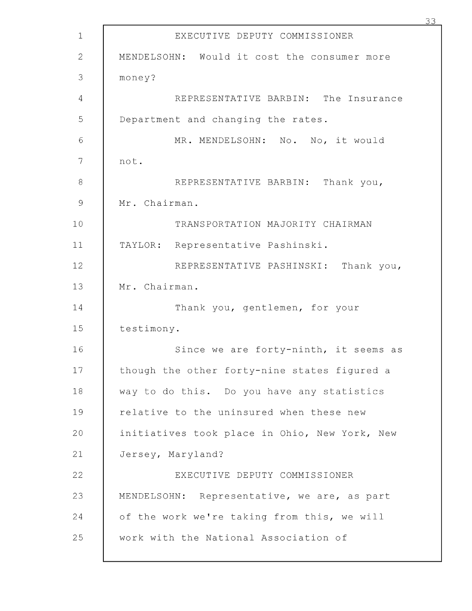| $\mathbf{1}$  | EXECUTIVE DEPUTY COMMISSIONER                 |
|---------------|-----------------------------------------------|
| 2             | MENDELSOHN: Would it cost the consumer more   |
| 3             | money?                                        |
| 4             | REPRESENTATIVE BARBIN: The Insurance          |
| 5             | Department and changing the rates.            |
| 6             | MR. MENDELSOHN: No. No, it would              |
| 7             | not.                                          |
| 8             | REPRESENTATIVE BARBIN: Thank you,             |
| $\mathcal{Q}$ | Mr. Chairman.                                 |
| 10            | TRANSPORTATION MAJORITY CHAIRMAN              |
| 11            | TAYLOR: Representative Pashinski.             |
| 12            | REPRESENTATIVE PASHINSKI: Thank you,          |
| 13            | Mr. Chairman.                                 |
| 14            | Thank you, gentlemen, for your                |
| 15            | testimony.                                    |
| 16            | Since we are forty-ninth, it seems as         |
| 17            | though the other forty-nine states figured a  |
| 18            | way to do this. Do you have any statistics    |
| 19            | relative to the uninsured when these new      |
| 20            | initiatives took place in Ohio, New York, New |
| 21            | Jersey, Maryland?                             |
| 22            | EXECUTIVE DEPUTY COMMISSIONER                 |
| 23            | MENDELSOHN: Representative, we are, as part   |
| 24            | of the work we're taking from this, we will   |
| 25            | work with the National Association of         |
|               |                                               |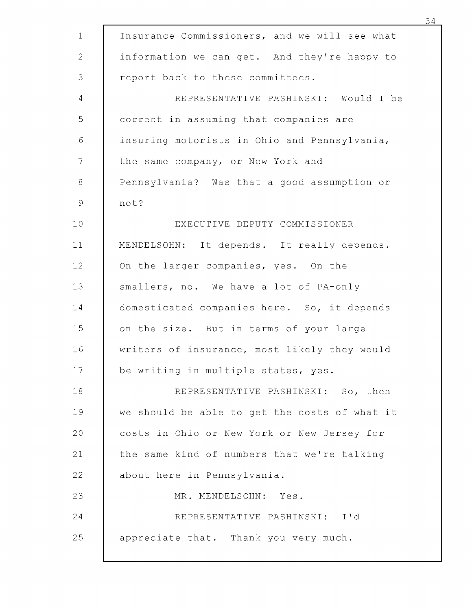| $\mathbf 1$    | Insurance Commissioners, and we will see what |
|----------------|-----------------------------------------------|
| $\mathbf{2}$   | information we can get. And they're happy to  |
| 3              | report back to these committees.              |
| $\overline{4}$ | REPRESENTATIVE PASHINSKI: Would I be          |
| 5              | correct in assuming that companies are        |
| $\sqrt{6}$     | insuring motorists in Ohio and Pennsylvania,  |
| 7              | the same company, or New York and             |
| $\, 8$         | Pennsylvania? Was that a good assumption or   |
| 9              | not?                                          |
| 10             | EXECUTIVE DEPUTY COMMISSIONER                 |
| 11             | MENDELSOHN: It depends. It really depends.    |
| 12             | On the larger companies, yes. On the          |
| 13             | smallers, no. We have a lot of PA-only        |
| 14             | domesticated companies here. So, it depends   |
| 15             | on the size. But in terms of your large       |
| 16             | writers of insurance, most likely they would  |
| 17             | be writing in multiple states, yes.           |
| 18             | REPRESENTATIVE PASHINSKI: So, then            |
| 19             | we should be able to get the costs of what it |
| 20             | costs in Ohio or New York or New Jersey for   |
| 21             | the same kind of numbers that we're talking   |
| 22             | about here in Pennsylvania.                   |
| 23             | MR. MENDELSOHN: Yes.                          |
| 24             | REPRESENTATIVE PASHINSKI: I'd                 |
| 25             | appreciate that. Thank you very much.         |
|                |                                               |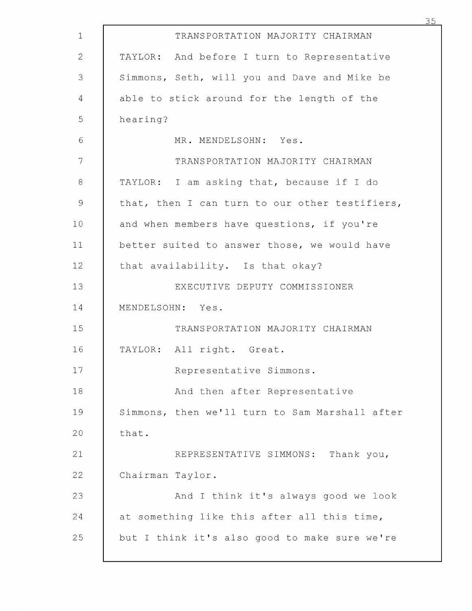| TRANSPORTATION MAJORITY CHAIRMAN               |
|------------------------------------------------|
| TAYLOR: And before I turn to Representative    |
| Simmons, Seth, will you and Dave and Mike be   |
| able to stick around for the length of the     |
| hearing?                                       |
| MR. MENDELSOHN: Yes.                           |
| TRANSPORTATION MAJORITY CHAIRMAN               |
| TAYLOR: I am asking that, because if I do      |
| that, then I can turn to our other testifiers, |
| and when members have questions, if you're     |
| better suited to answer those, we would have   |
| that availability. Is that okay?               |
| EXECUTIVE DEPUTY COMMISSIONER                  |
| MENDELSOHN: Yes.                               |
| TRANSPORTATION MAJORITY CHAIRMAN               |
| TAYLOR: All right. Great.                      |
| Representative Simmons.                        |
| And then after Representative                  |
| Simmons, then we'll turn to Sam Marshall after |
| that.                                          |
| REPRESENTATIVE SIMMONS: Thank you,             |
| Chairman Taylor.                               |
| And I think it's always good we look           |
| at something like this after all this time,    |
| but I think it's also good to make sure we're  |
|                                                |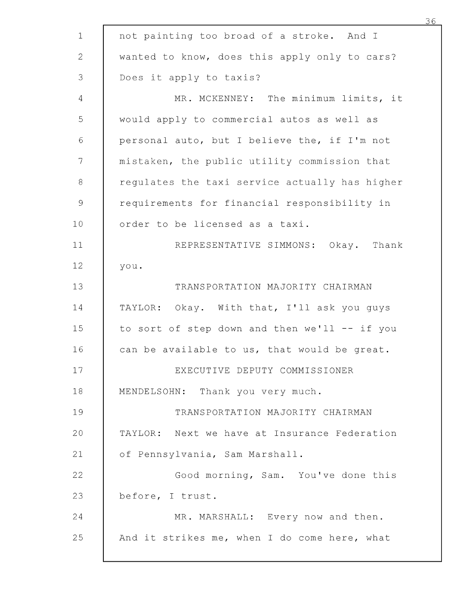| $\mathbf 1$                                               | not painting too broad of a stroke. And I      |
|-----------------------------------------------------------|------------------------------------------------|
| 2                                                         | wanted to know, does this apply only to cars?  |
| 3                                                         | Does it apply to taxis?                        |
| 4                                                         | MR. MCKENNEY: The minimum limits, it           |
| 5                                                         | would apply to commercial autos as well as     |
| $\sqrt{6}$                                                | personal auto, but I believe the, if I'm not   |
| 7                                                         | mistaken, the public utility commission that   |
| $\,8\,$                                                   | regulates the taxi service actually has higher |
| $\mathcal{G}% _{M_{1},M_{2}}^{\alpha,\beta}(\mathcal{A})$ | requirements for financial responsibility in   |
| 10                                                        | order to be licensed as a taxi.                |
| 11                                                        | REPRESENTATIVE SIMMONS: Okay. Thank            |
| 12                                                        | you.                                           |
| 13                                                        | TRANSPORTATION MAJORITY CHAIRMAN               |
| 14                                                        | TAYLOR: Okay. With that, I'll ask you guys     |
| 15                                                        | to sort of step down and then we'll -- if you  |
| 16                                                        | can be available to us, that would be great.   |
| 17                                                        | EXECUTIVE DEPUTY COMMISSIONER                  |
| 18                                                        | MENDELSOHN: Thank you very much.               |
| 19                                                        | TRANSPORTATION MAJORITY CHAIRMAN               |
| 20                                                        | TAYLOR: Next we have at Insurance Federation   |
| 21                                                        | of Pennsylvania, Sam Marshall.                 |
| 22                                                        | Good morning, Sam. You've done this            |
| 23                                                        | before, I trust.                               |
| 24                                                        | MR. MARSHALL: Every now and then.              |
| 25                                                        | And it strikes me, when I do come here, what   |
|                                                           |                                                |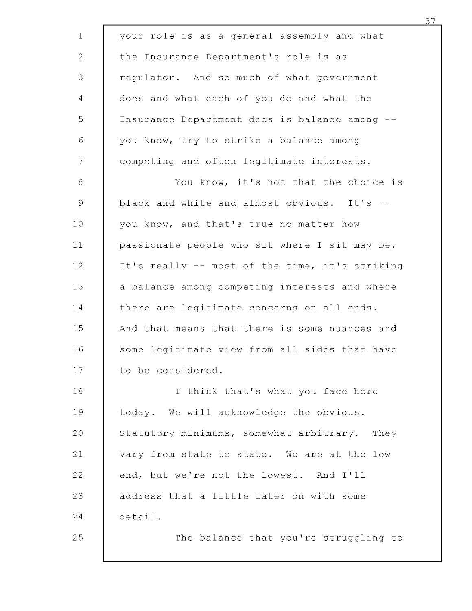| $\mathbf 1$  | your role is as a general assembly and what    |
|--------------|------------------------------------------------|
| $\mathbf{2}$ | the Insurance Department's role is as          |
| 3            | regulator. And so much of what government      |
| 4            | does and what each of you do and what the      |
| 5            | Insurance Department does is balance among --  |
| $\sqrt{6}$   | you know, try to strike a balance among        |
| 7            | competing and often legitimate interests.      |
| 8            | You know, it's not that the choice is          |
| 9            | black and white and almost obvious. It's --    |
| 10           | you know, and that's true no matter how        |
| 11           | passionate people who sit where I sit may be.  |
| 12           | It's really -- most of the time, it's striking |
| 13           | a balance among competing interests and where  |
| 14           | there are legitimate concerns on all ends.     |
| 15           | And that means that there is some nuances and  |
| 16           | some legitimate view from all sides that have  |
| 17           | to be considered.                              |
| 18           | I think that's what you face here              |
| 19           | today. We will acknowledge the obvious.        |
| 20           | Statutory minimums, somewhat arbitrary. They   |
| 21           | vary from state to state. We are at the low    |
| 22           | end, but we're not the lowest. And I'll        |
| 23           | address that a little later on with some       |
| 24           | detail.                                        |
| 25           | The balance that you're struggling to          |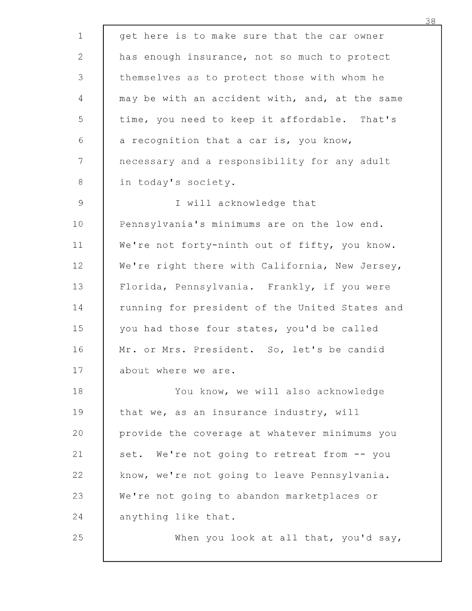| $\mathbf 1$   | get here is to make sure that the car owner    |
|---------------|------------------------------------------------|
| 2             | has enough insurance, not so much to protect   |
| 3             | themselves as to protect those with whom he    |
| 4             | may be with an accident with, and, at the same |
| 5             | time, you need to keep it affordable. That's   |
| $\sqrt{6}$    | a recognition that a car is, you know,         |
| 7             | necessary and a responsibility for any adult   |
| $\,8\,$       | in today's society.                            |
| $\mathcal{G}$ | I will acknowledge that                        |
| 10            | Pennsylvania's minimums are on the low end.    |
| 11            | We're not forty-ninth out of fifty, you know.  |
| 12            | We're right there with California, New Jersey, |
| 13            | Florida, Pennsylvania. Frankly, if you were    |
| 14            | running for president of the United States and |
| 15            | you had those four states, you'd be called     |
| 16            | Mr. or Mrs. President. So, let's be candid     |
| 17            | about where we are.                            |
| 18            | You know, we will also acknowledge             |
| 19            | that we, as an insurance industry, will        |
| 20            | provide the coverage at whatever minimums you  |
| 21            | set. We're not going to retreat from -- you    |
| 22            | know, we're not going to leave Pennsylvania.   |
| 23            | We're not going to abandon marketplaces or     |
| 24            | anything like that.                            |
| 25            | When you look at all that, you'd say,          |
|               |                                                |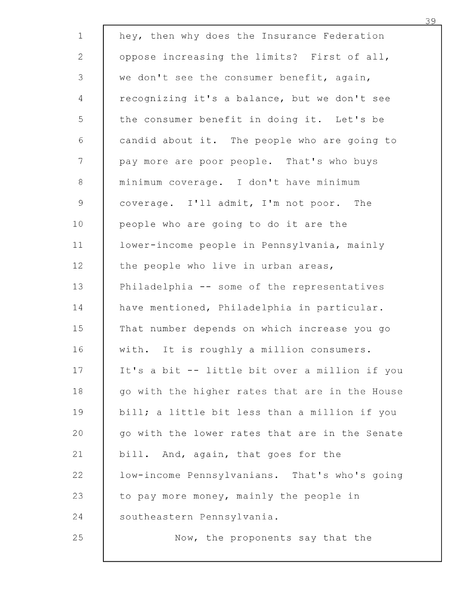| $\mathbf 1$                                               | hey, then why does the Insurance Federation    |
|-----------------------------------------------------------|------------------------------------------------|
| $\mathbf{2}$                                              | oppose increasing the limits? First of all,    |
| 3                                                         | we don't see the consumer benefit, again,      |
| 4                                                         | recognizing it's a balance, but we don't see   |
| 5                                                         | the consumer benefit in doing it. Let's be     |
| $\sqrt{6}$                                                | candid about it. The people who are going to   |
| $7\phantom{.}$                                            | pay more are poor people. That's who buys      |
| 8                                                         | minimum coverage. I don't have minimum         |
| $\mathcal{G}% _{M_{1},M_{2}}^{\alpha,\beta}(\mathcal{A})$ | coverage. I'll admit, I'm not poor. The        |
| 10                                                        | people who are going to do it are the          |
| 11                                                        | lower-income people in Pennsylvania, mainly    |
| 12                                                        | the people who live in urban areas,            |
| 13                                                        | Philadelphia -- some of the representatives    |
| 14                                                        | have mentioned, Philadelphia in particular.    |
| 15                                                        | That number depends on which increase you go   |
| 16                                                        | with. It is roughly a million consumers.       |
| 17                                                        | It's a bit -- little bit over a million if you |
| 18                                                        | go with the higher rates that are in the House |
| 19                                                        | bill; a little bit less than a million if you  |
| 20                                                        | go with the lower rates that are in the Senate |
| 21                                                        | bill. And, again, that goes for the            |
| 22                                                        | low-income Pennsylvanians. That's who's going  |
| 23                                                        | to pay more money, mainly the people in        |
| 24                                                        | southeastern Pennsylvania.                     |
| 25                                                        | Now, the proponents say that the               |
|                                                           |                                                |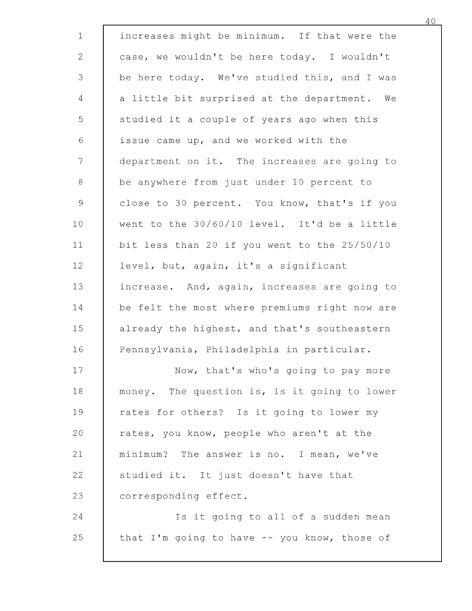| $\mathbf{1}$    | increases might be minimum. If that were the  |
|-----------------|-----------------------------------------------|
| $\overline{2}$  | case, we wouldn't be here today. I wouldn't   |
| 3               | be here today. We've studied this, and I was  |
| $\overline{4}$  | a little bit surprised at the department. We  |
| 5               | studied it a couple of years ago when this    |
| $\sqrt{6}$      | issue came up, and we worked with the         |
| $7\phantom{.}$  | department on it. The increases are going to  |
| $8\,$           | be anywhere from just under 10 percent to     |
| $\mathcal{G}$   | close to 30 percent. You know, that's if you  |
| 10 <sub>1</sub> | went to the 30/60/10 level. It'd be a little  |
| 11              | bit less than 20 if you went to the 25/50/10  |
| 12              | level, but, again, it's a significant         |
| 13              | increase. And, again, increases are going to  |
| 14              | be felt the most where premiums right now are |
| 15              | already the highest, and that's southeastern  |
| 16              | Pennsylvania, Philadelphia in particular.     |
| 17              | Now, that's who's going to pay more           |
| 18              | money. The question is, is it going to lower  |
| 19              | rates for others? Is it going to lower my     |
| 20              | rates, you know, people who aren't at the     |
| 21              | minimum? The answer is no. I mean, we've      |
| 22              | studied it. It just doesn't have that         |
| 23              | corresponding effect.                         |
| 24              | Is it going to all of a sudden mean           |
| 25              | that I'm going to have -- you know, those of  |
|                 |                                               |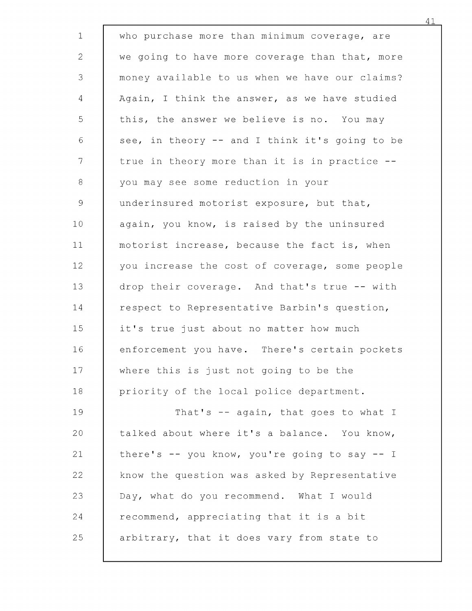| $\mathbf{1}$                                              | who purchase more than minimum coverage, are   |
|-----------------------------------------------------------|------------------------------------------------|
| $\overline{2}$                                            | we going to have more coverage than that, more |
| 3                                                         | money available to us when we have our claims? |
| 4                                                         | Again, I think the answer, as we have studied  |
| 5                                                         | this, the answer we believe is no. You may     |
| $\sqrt{6}$                                                | see, in theory -- and I think it's going to be |
| $\overline{7}$                                            | true in theory more than it is in practice --  |
| $8\,$                                                     | you may see some reduction in your             |
| $\mathcal{G}% _{M_{1},M_{2}}^{\alpha,\beta}(\mathcal{A})$ | underinsured motorist exposure, but that,      |
| 10                                                        | again, you know, is raised by the uninsured    |
| 11                                                        | motorist increase, because the fact is, when   |
| 12                                                        | you increase the cost of coverage, some people |
| 13                                                        | drop their coverage. And that's true -- with   |
| 14                                                        | respect to Representative Barbin's question,   |
| 15                                                        | it's true just about no matter how much        |
| 16                                                        | enforcement you have. There's certain pockets  |
| 17                                                        | where this is just not going to be the         |
| 18                                                        | priority of the local police department.       |
| 19                                                        | That's -- again, that goes to what I           |
| 20                                                        | talked about where it's a balance. You know,   |
| 21                                                        | there's -- you know, you're going to say -- I  |
| 22                                                        | know the question was asked by Representative  |
| 23                                                        | Day, what do you recommend. What I would       |
| 24                                                        | recommend, appreciating that it is a bit       |
| 25                                                        | arbitrary, that it does vary from state to     |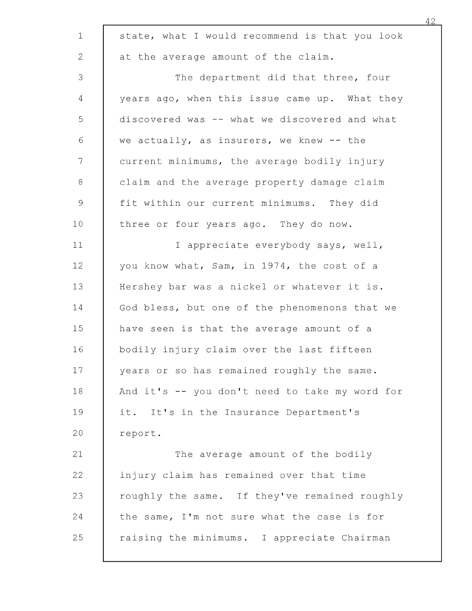| 1             | state, what I would recommend is that you look |
|---------------|------------------------------------------------|
| $\mathbf{2}$  | at the average amount of the claim.            |
| 3             | The department did that three, four            |
| 4             | years ago, when this issue came up. What they  |
| 5             | discovered was -- what we discovered and what  |
| 6             | we actually, as insurers, we knew -- the       |
| 7             | current minimums, the average bodily injury    |
| 8             | claim and the average property damage claim    |
| $\mathcal{G}$ | fit within our current minimums. They did      |
| 10            | three or four years ago. They do now.          |
| 11            | I appreciate everybody says, well,             |
| 12            | you know what, Sam, in 1974, the cost of a     |
| 13            | Hershey bar was a nickel or whatever it is.    |
| 14            | God bless, but one of the phenomenons that we  |
| 15            | have seen is that the average amount of a      |
| 16            | bodily injury claim over the last fifteen      |
| 17            | years or so has remained roughly the same.     |
| 18            | And it's -- you don't need to take my word for |
| 19            | it. It's in the Insurance Department's         |
| 20            | report.                                        |
| 21            | The average amount of the bodily               |
| 22            | injury claim has remained over that time       |
| 23            | roughly the same. If they've remained roughly  |
| 24            | the same, I'm not sure what the case is for    |
| 25            | raising the minimums. I appreciate Chairman    |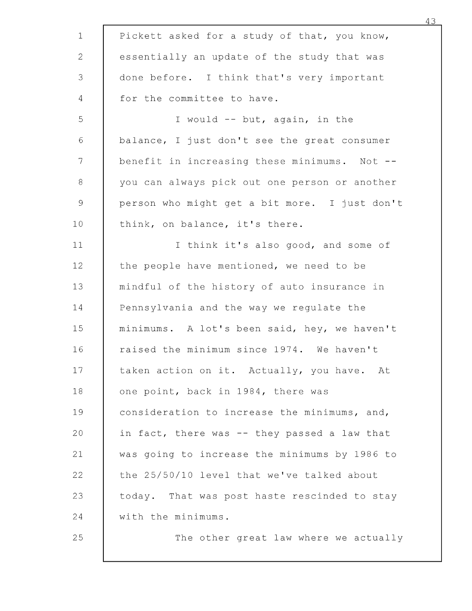| $\mathbf{1}$  | Pickett asked for a study of that, you know,  |
|---------------|-----------------------------------------------|
| 2             | essentially an update of the study that was   |
| 3             | done before. I think that's very important    |
| 4             | for the committee to have.                    |
| 5             | I would -- but, again, in the                 |
| 6             | balance, I just don't see the great consumer  |
| 7             | benefit in increasing these minimums. Not --  |
| 8             | you can always pick out one person or another |
| $\mathcal{G}$ | person who might get a bit more. I just don't |
| 10            | think, on balance, it's there.                |
| 11            | I think it's also good, and some of           |
| 12            | the people have mentioned, we need to be      |
| 13            | mindful of the history of auto insurance in   |
| 14            | Pennsylvania and the way we regulate the      |
| 15            | minimums. A lot's been said, hey, we haven't  |
| 16            | raised the minimum since 1974. We haven't     |
| 17            | taken action on it. Actually, you have. At    |
| 18            | one point, back in 1984, there was            |
| 19            | consideration to increase the minimums, and,  |
| 20            | in fact, there was -- they passed a law that  |
| 21            | was going to increase the minimums by 1986 to |
| 22            | the 25/50/10 level that we've talked about    |
| 23            | today. That was post haste rescinded to stay  |
| 24            | with the minimums.                            |
| 25            | The other great law where we actually         |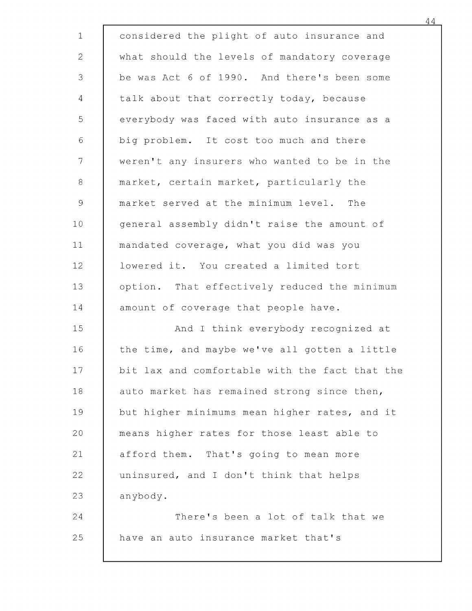| $1\,$               | considered the plight of auto insurance and    |
|---------------------|------------------------------------------------|
| $\overline{2}$      | what should the levels of mandatory coverage   |
| 3                   | be was Act 6 of 1990. And there's been some    |
| 4                   | talk about that correctly today, because       |
| 5                   | everybody was faced with auto insurance as a   |
| $\epsilon$          | big problem. It cost too much and there        |
| 7                   | weren't any insurers who wanted to be in the   |
| $\,8\,$             | market, certain market, particularly the       |
| $\mathsf{S}\xspace$ | market served at the minimum level. The        |
| 10                  | general assembly didn't raise the amount of    |
| 11                  | mandated coverage, what you did was you        |
| 12                  | lowered it. You created a limited tort         |
| 13                  | option. That effectively reduced the minimum   |
| 14                  | amount of coverage that people have.           |
| 15                  | And I think everybody recognized at            |
| 16                  | the time, and maybe we've all gotten a little  |
| 17                  | bit lax and comfortable with the fact that the |
| 18                  | auto market has remained strong since then,    |
| 19                  | but higher minimums mean higher rates, and it  |
| 20                  | means higher rates for those least able to     |
| 21                  | afford them. That's going to mean more         |
| 22                  | uninsured, and I don't think that helps        |
| 23                  | anybody.                                       |
| 24                  | There's been a lot of talk that we             |
| 25                  | have an auto insurance market that's           |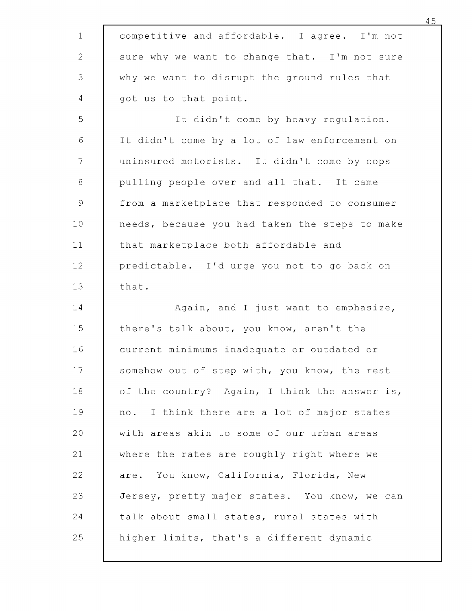| $\mathbf{1}$    | competitive and affordable. I agree. I'm not   |
|-----------------|------------------------------------------------|
| 2               | sure why we want to change that. I'm not sure  |
| 3               | why we want to disrupt the ground rules that   |
| 4               | got us to that point.                          |
| 5               | It didn't come by heavy regulation.            |
| $\epsilon$      | It didn't come by a lot of law enforcement on  |
| 7               | uninsured motorists. It didn't come by cops    |
| 8               | pulling people over and all that. It came      |
| $\mathcal{Q}$   | from a marketplace that responded to consumer  |
| 10 <sub>1</sub> | needs, because you had taken the steps to make |
| 11              | that marketplace both affordable and           |
| 12              | predictable. I'd urge you not to go back on    |
| 13              | that.                                          |
| 14              | Again, and I just want to emphasize,           |
| 15              | there's talk about, you know, aren't the       |
| 16              | current minimums inadequate or outdated or     |
| 17              | somehow out of step with, you know, the rest   |
| 18              | of the country? Again, I think the answer is,  |
| 19              | no. I think there are a lot of major states    |
| 20              | with areas akin to some of our urban areas     |
| 21              | where the rates are roughly right where we     |
| 22              | are. You know, California, Florida, New        |
| 23              | Jersey, pretty major states. You know, we can  |
| 24              | talk about small states, rural states with     |
| 25              | higher limits, that's a different dynamic      |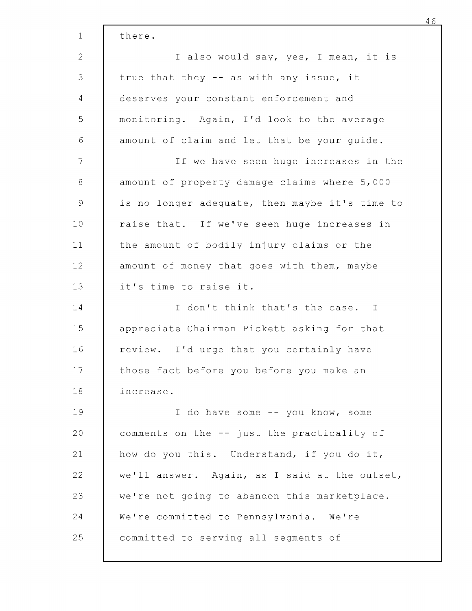| 1              | there.                                         |
|----------------|------------------------------------------------|
| $\overline{2}$ | I also would say, yes, I mean, it is           |
| 3              | true that they -- as with any issue, it        |
| 4              | deserves your constant enforcement and         |
| 5              | monitoring. Again, I'd look to the average     |
| $\sqrt{6}$     | amount of claim and let that be your guide.    |
| 7              | If we have seen huge increases in the          |
| 8              | amount of property damage claims where 5,000   |
| $\overline{9}$ | is no longer adequate, then maybe it's time to |
| 10             | raise that. If we've seen huge increases in    |
| 11             | the amount of bodily injury claims or the      |
| 12             | amount of money that goes with them, maybe     |
| 13             | it's time to raise it.                         |
| 14             | I don't think that's the case. I               |
| 15             | appreciate Chairman Pickett asking for that    |
| 16             | review. I'd urge that you certainly have       |
| 17             | those fact before you before you make an       |
| 18             | increase.                                      |
| 19             | I do have some -- you know, some               |
| 20             | comments on the -- just the practicality of    |
| 21             | how do you this. Understand, if you do it,     |
| 22             | we'll answer. Again, as I said at the outset,  |
| 23             | we're not going to abandon this marketplace.   |
| 24             | We're committed to Pennsylvania. We're         |
| 25             | committed to serving all segments of           |
|                |                                                |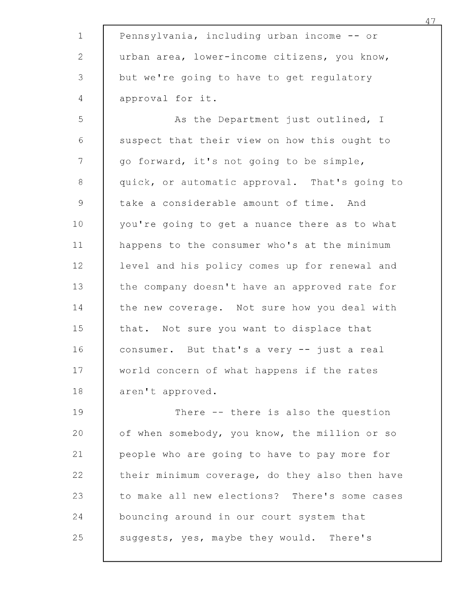| $\mathbf 1$   | Pennsylvania, including urban income -- or     |
|---------------|------------------------------------------------|
| $\mathbf{2}$  | urban area, lower-income citizens, you know,   |
| $\mathsf 3$   | but we're going to have to get regulatory      |
| 4             | approval for it.                               |
| 5             | As the Department just outlined, I             |
| $\epsilon$    | suspect that their view on how this ought to   |
| 7             | go forward, it's not going to be simple,       |
| 8             | quick, or automatic approval. That's going to  |
| $\mathcal{G}$ | take a considerable amount of time. And        |
| 10            | you're going to get a nuance there as to what  |
| 11            | happens to the consumer who's at the minimum   |
| 12            | level and his policy comes up for renewal and  |
| 13            | the company doesn't have an approved rate for  |
| 14            | the new coverage. Not sure how you deal with   |
| 15            | that. Not sure you want to displace that       |
| 16            | consumer. But that's a very -- just a real     |
| 17            | world concern of what happens if the rates     |
| 18            | aren't approved.                               |
| 19            | There -- there is also the question            |
| 20            | of when somebody, you know, the million or so  |
| 21            | people who are going to have to pay more for   |
| 22            | their minimum coverage, do they also then have |
| 23            | to make all new elections? There's some cases  |
| 24            | bouncing around in our court system that       |
| 25            | suggests, yes, maybe they would. There's       |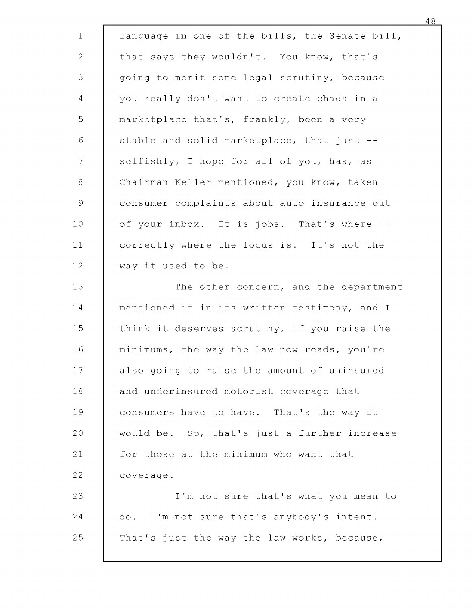| $\mathbf{1}$  | language in one of the bills, the Senate bill, |
|---------------|------------------------------------------------|
| $\mathbf{2}$  | that says they wouldn't. You know, that's      |
| 3             | going to merit some legal scrutiny, because    |
| 4             | you really don't want to create chaos in a     |
| 5             | marketplace that's, frankly, been a very       |
| $\sqrt{6}$    | stable and solid marketplace, that just --     |
| 7             | selfishly, I hope for all of you, has, as      |
| $\,8\,$       | Chairman Keller mentioned, you know, taken     |
| $\mathcal{G}$ | consumer complaints about auto insurance out   |
| 10            | of your inbox. It is jobs. That's where --     |
| 11            | correctly where the focus is. It's not the     |
| 12            | way it used to be.                             |
| 13            | The other concern, and the department          |
| 14            | mentioned it in its written testimony, and I   |
| 15            | think it deserves scrutiny, if you raise the   |
| 16            | minimums, the way the law now reads, you're    |
| 17            | also going to raise the amount of uninsured    |
| 18            | and underinsured motorist coverage that        |
| 19            | consumers have to have. That's the way it      |
| 20            | would be. So, that's just a further increase   |
| 21            | for those at the minimum who want that         |
| 22            | coverage.                                      |
| 23            | I'm not sure that's what you mean to           |
| 24            | do. I'm not sure that's anybody's intent.      |
| 25            | That's just the way the law works, because,    |
|               |                                                |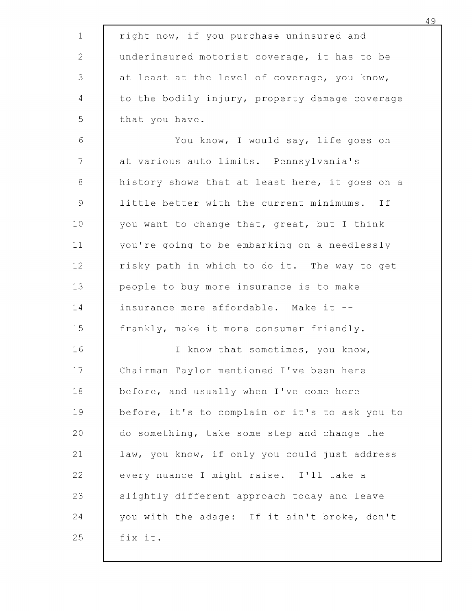| $\mathbf 1$  | right now, if you purchase uninsured and       |
|--------------|------------------------------------------------|
| $\mathbf{2}$ | underinsured motorist coverage, it has to be   |
| 3            | at least at the level of coverage, you know,   |
| 4            | to the bodily injury, property damage coverage |
| 5            | that you have.                                 |
| $\sqrt{6}$   | You know, I would say, life goes on            |
| 7            | at various auto limits. Pennsylvania's         |
| $\,8\,$      | history shows that at least here, it goes on a |
| 9            | little better with the current minimums. If    |
| 10           | you want to change that, great, but I think    |
| 11           | you're going to be embarking on a needlessly   |
| 12           | risky path in which to do it. The way to get   |
| 13           | people to buy more insurance is to make        |
| 14           | insurance more affordable. Make it --          |
| 15           | frankly, make it more consumer friendly.       |
| 16           | I know that sometimes, you know,               |
| 17           | Chairman Taylor mentioned I've been here       |
| 18           | before, and usually when I've come here        |
| 19           | before, it's to complain or it's to ask you to |
| 20           | do something, take some step and change the    |
| 21           | law, you know, if only you could just address  |
| 22           | every nuance I might raise. I'll take a        |
| 23           | slightly different approach today and leave    |
| 24           | you with the adage: If it ain't broke, don't   |
| 25           | fix it.                                        |
|              |                                                |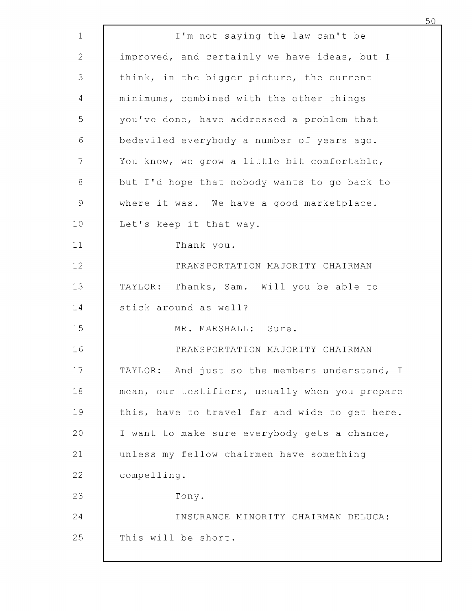| 1                   | I'm not saying the law can't be                |
|---------------------|------------------------------------------------|
| $\overline{2}$      | improved, and certainly we have ideas, but I   |
| 3                   | think, in the bigger picture, the current      |
| 4                   | minimums, combined with the other things       |
| 5                   | you've done, have addressed a problem that     |
| 6                   | bedeviled everybody a number of years ago.     |
| 7                   | You know, we grow a little bit comfortable,    |
| $\,8\,$             | but I'd hope that nobody wants to go back to   |
| $\mathsf{S}\xspace$ | where it was. We have a good marketplace.      |
| 10                  | Let's keep it that way.                        |
| 11                  | Thank you.                                     |
| 12                  | TRANSPORTATION MAJORITY CHAIRMAN               |
| 13                  | TAYLOR: Thanks, Sam. Will you be able to       |
| 14                  | stick around as well?                          |
| 15                  | MR. MARSHALL: Sure.                            |
| 16                  | TRANSPORTATION MAJORITY CHAIRMAN               |
| 17                  | TAYLOR: And just so the members understand, I  |
| 18                  | mean, our testifiers, usually when you prepare |
| 19                  | this, have to travel far and wide to get here. |
| 20                  | I want to make sure everybody gets a chance,   |
| 21                  | unless my fellow chairmen have something       |
| 22                  | compelling.                                    |
| 23                  | Tony.                                          |
| 24                  | INSURANCE MINORITY CHAIRMAN DELUCA:            |
| 25                  | This will be short.                            |
|                     |                                                |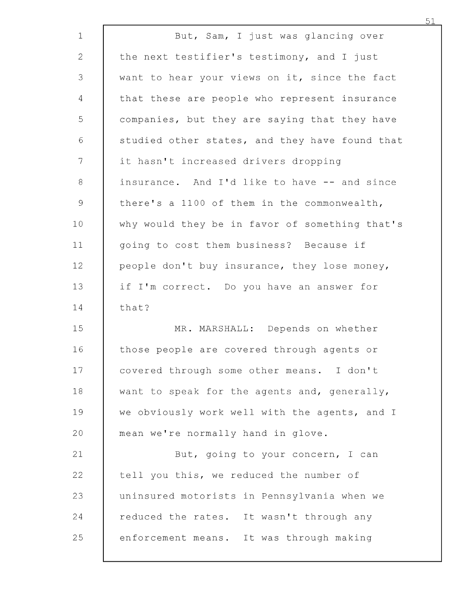| $\mathbf 1$     | But, Sam, I just was glancing over             |
|-----------------|------------------------------------------------|
| $\mathbf{2}$    | the next testifier's testimony, and I just     |
| 3               | want to hear your views on it, since the fact  |
| $\overline{4}$  | that these are people who represent insurance  |
| 5               | companies, but they are saying that they have  |
| $\epsilon$      | studied other states, and they have found that |
| 7               | it hasn't increased drivers dropping           |
| 8               | insurance. And I'd like to have -- and since   |
| $\mathcal{G}$   | there's a 1100 of them in the commonwealth,    |
| 10 <sub>o</sub> | why would they be in favor of something that's |
| 11              | going to cost them business? Because if        |
| 12              | people don't buy insurance, they lose money,   |
| 13              | if I'm correct. Do you have an answer for      |
| 14              | that?                                          |
| 15              | MR. MARSHALL: Depends on whether               |
| 16              | those people are covered through agents or     |
| 17              | covered through some other means. I don't      |
| 18              | want to speak for the agents and, generally,   |
| 19              | we obviously work well with the agents, and I  |
| 20              | mean we're normally hand in glove.             |
| 21              | But, going to your concern, I can              |
| 22              | tell you this, we reduced the number of        |
| 23              | uninsured motorists in Pennsylvania when we    |
| 24              | reduced the rates. It wasn't through any       |
| 25              | enforcement means. It was through making       |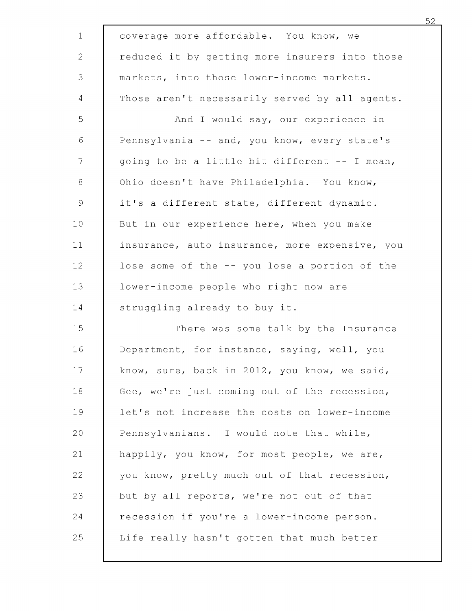| $\mathbf 1$           | coverage more affordable. You know, we         |
|-----------------------|------------------------------------------------|
| $\mathbf{2}^{\prime}$ | reduced it by getting more insurers into those |
| 3                     | markets, into those lower-income markets.      |
| 4                     | Those aren't necessarily served by all agents. |
| 5                     | And I would say, our experience in             |
| 6                     | Pennsylvania -- and, you know, every state's   |
| 7                     | going to be a little bit different -- I mean,  |
| $8\,$                 | Ohio doesn't have Philadelphia. You know,      |
| $\mathcal{G}$         | it's a different state, different dynamic.     |
| 10 <sub>1</sub>       | But in our experience here, when you make      |
| 11                    | insurance, auto insurance, more expensive, you |
| 12                    | lose some of the -- you lose a portion of the  |
| 13                    | lower-income people who right now are          |
| 14                    | struggling already to buy it.                  |
| 15                    | There was some talk by the Insurance           |
| 16                    | Department, for instance, saying, well, you    |
| 17                    | know, sure, back in 2012, you know, we said,   |
| 18                    | Gee, we're just coming out of the recession,   |
| 19                    | let's not increase the costs on lower-income   |
| 20                    | Pennsylvanians. I would note that while,       |
| 21                    | happily, you know, for most people, we are,    |
| 22                    | you know, pretty much out of that recession,   |
| 23                    | but by all reports, we're not out of that      |
| 24                    | recession if you're a lower-income person.     |
| 25                    | Life really hasn't gotten that much better     |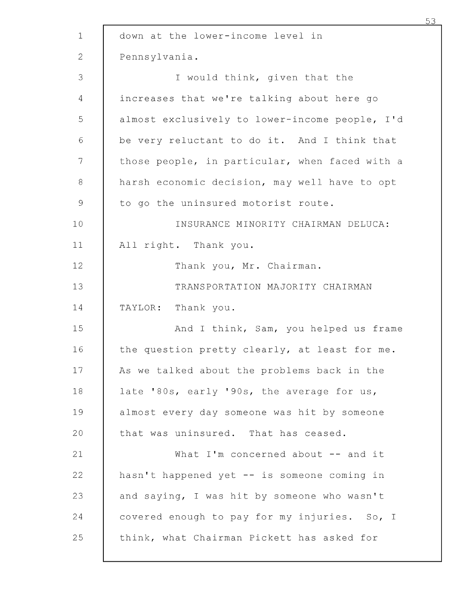| $\mathbf{1}$  | down at the lower-income level in              |
|---------------|------------------------------------------------|
| 2             | Pennsylvania.                                  |
| 3             | I would think, given that the                  |
| 4             | increases that we're talking about here go     |
| 5             | almost exclusively to lower-income people, I'd |
| $\sqrt{6}$    | be very reluctant to do it. And I think that   |
| $\mathcal{T}$ | those people, in particular, when faced with a |
| 8             | harsh economic decision, may well have to opt  |
| $\mathcal{G}$ | to go the uninsured motorist route.            |
| 10            | INSURANCE MINORITY CHAIRMAN DELUCA:            |
| 11            | All right. Thank you.                          |
| 12            | Thank you, Mr. Chairman.                       |
| 13            | TRANSPORTATION MAJORITY CHAIRMAN               |
| 14            | TAYLOR: Thank you.                             |
| 15            | And I think, Sam, you helped us frame          |
| 16            | the question pretty clearly, at least for me.  |
| 17            | As we talked about the problems back in the    |
| 18            | late '80s, early '90s, the average for us,     |
| 19            | almost every day someone was hit by someone    |
| 20            | that was uninsured. That has ceased.           |
| 21            | What I'm concerned about $--$ and it           |
| 22            | hasn't happened yet -- is someone coming in    |
| 23            | and saying, I was hit by someone who wasn't    |
| 24            | covered enough to pay for my injuries. So, I   |
| 25            | think, what Chairman Pickett has asked for     |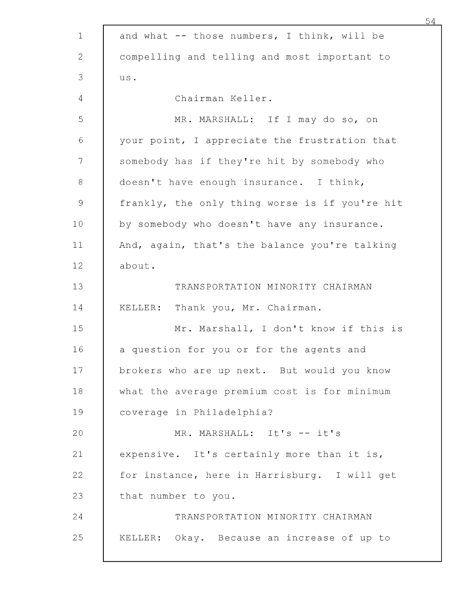| $\mathbf 1$         | and what $-$ - those numbers, I think, will be |
|---------------------|------------------------------------------------|
| $\overline{2}$      | compelling and telling and most important to   |
| 3                   | us.                                            |
| 4                   | Chairman Keller.                               |
| 5                   | MR. MARSHALL: If I may do so, on               |
| 6                   | your point, I appreciate the frustration that  |
| 7                   | somebody has if they're hit by somebody who    |
| 8                   | doesn't have enough insurance. I think,        |
| $\mathsf{S}\xspace$ | frankly, the only thing worse is if you're hit |
| 10                  | by somebody who doesn't have any insurance.    |
| 11                  | And, again, that's the balance you're talking  |
| 12                  | about.                                         |
| 13                  | TRANSPORTATION MINORITY CHAIRMAN               |
| 14                  | Thank you, Mr. Chairman.<br>KELLER:            |
| 15                  | Mr. Marshall, I don't know if this is          |
| 16                  | a question for you or for the agents and       |
| 17                  | brokers who are up next. But would you know    |
| 18                  | what the average premium cost is for minimum   |
| 19                  | coverage in Philadelphia?                      |
| 20                  | MR. MARSHALL: It's -- it's                     |
| 21                  | expensive. It's certainly more than it is,     |
| 22                  | for instance, here in Harrisburg. I will get   |
| 23                  | that number to you.                            |
| 24                  | TRANSPORTATION MINORITY CHAIRMAN               |
| 25                  | KELLER: Okay. Because an increase of up to     |
|                     |                                                |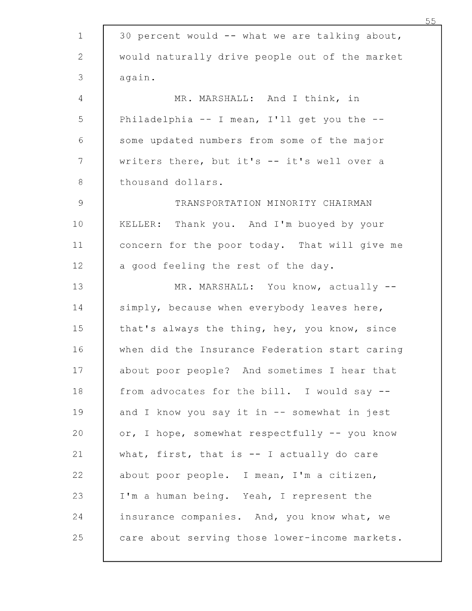| $\mathbf 1$   | 30 percent would -- what we are talking about, |
|---------------|------------------------------------------------|
| $\mathbf{2}$  | would naturally drive people out of the market |
| 3             | again.                                         |
| 4             | MR. MARSHALL: And I think, in                  |
| 5             | Philadelphia $-$ I mean, I'll get you the $-$  |
| $\sqrt{6}$    | some updated numbers from some of the major    |
| 7             | writers there, but it's -- it's well over a    |
| $\,8\,$       | thousand dollars.                              |
| $\mathcal{Q}$ | TRANSPORTATION MINORITY CHAIRMAN               |
| 10            | KELLER: Thank you. And I'm buoyed by your      |
| 11            | concern for the poor today. That will give me  |
| 12            | a good feeling the rest of the day.            |
| 13            | MR. MARSHALL: You know, actually --            |
| 14            | simply, because when everybody leaves here,    |
| 15            | that's always the thing, hey, you know, since  |
| 16            | when did the Insurance Federation start caring |
| 17            | about poor people? And sometimes I hear that   |
| 18            | from advocates for the bill. I would say --    |
| 19            | and I know you say it in -- somewhat in jest   |
| 20            | or, I hope, somewhat respectfully -- you know  |
| 21            | what, first, that is $--$ I actually do care   |
| 22            | about poor people. I mean, I'm a citizen,      |
| 23            | I'm a human being. Yeah, I represent the       |
| 24            | insurance companies. And, you know what, we    |
| 25            | care about serving those lower-income markets. |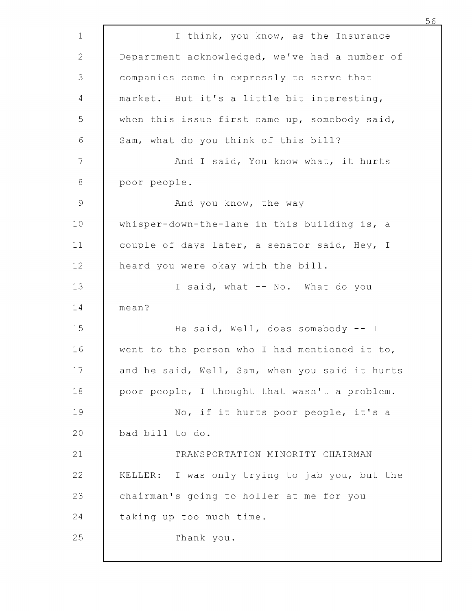| $\mathbf 1$    | I think, you know, as the Insurance            |
|----------------|------------------------------------------------|
| 2              | Department acknowledged, we've had a number of |
| 3              | companies come in expressly to serve that      |
| 4              | market. But it's a little bit interesting,     |
| 5              | when this issue first came up, somebody said,  |
| 6              | Sam, what do you think of this bill?           |
| 7              | And I said, You know what, it hurts            |
| $\,8\,$        | poor people.                                   |
| $\overline{9}$ | And you know, the way                          |
| 10             | whisper-down-the-lane in this building is, a   |
| 11             | couple of days later, a senator said, Hey, I   |
| 12             | heard you were okay with the bill.             |
| 13             | I said, what -- No. What do you                |
| 14             | mean?                                          |
| 15             | He said, Well, does somebody $--$ I            |
| 16             | went to the person who I had mentioned it to,  |
| 17             | and he said, Well, Sam, when you said it hurts |
| 18             | poor people, I thought that wasn't a problem.  |
| 19             | No, if it hurts poor people, it's a            |
| 20             | bad bill to do.                                |
| 21             | TRANSPORTATION MINORITY CHAIRMAN               |
| 22             | KELLER: I was only trying to jab you, but the  |
| 23             | chairman's going to holler at me for you       |
| 24             | taking up too much time.                       |
| 25             | Thank you.                                     |
|                |                                                |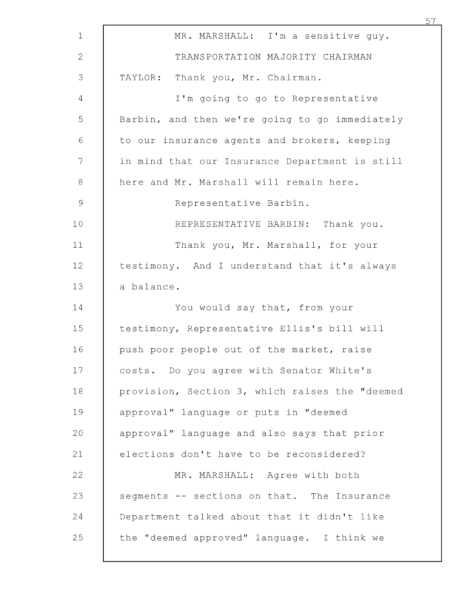|                |                                                | 57 |
|----------------|------------------------------------------------|----|
| $\mathbf{1}$   | MR. MARSHALL: I'm a sensitive guy.             |    |
| $\overline{2}$ | TRANSPORTATION MAJORITY CHAIRMAN               |    |
| 3              | TAYLOR: Thank you, Mr. Chairman.               |    |
| 4              | I'm going to go to Representative              |    |
| 5              | Barbin, and then we're going to go immediately |    |
| $\sqrt{6}$     | to our insurance agents and brokers, keeping   |    |
| 7              | in mind that our Insurance Department is still |    |
| $\,8\,$        | here and Mr. Marshall will remain here.        |    |
| 9              | Representative Barbin.                         |    |
| 10             | REPRESENTATIVE BARBIN: Thank you.              |    |
| 11             | Thank you, Mr. Marshall, for your              |    |
| 12             | testimony. And I understand that it's always   |    |
| 13             | a balance.                                     |    |
| 14             | You would say that, from your                  |    |
| 15             | testimony, Representative Ellis's bill will    |    |
| 16             | push poor people out of the market, raise      |    |
| 17             | costs. Do you agree with Senator White's       |    |
| 18             | provision, Section 3, which raises the "deemed |    |
| 19             | approval" language or puts in "deemed          |    |
| 20             | approval" language and also says that prior    |    |
| 21             | elections don't have to be reconsidered?       |    |
| 22             | MR. MARSHALL: Agree with both                  |    |
| 23             | segments -- sections on that. The Insurance    |    |
| 24             | Department talked about that it didn't like    |    |
| 25             | the "deemed approved" language. I think we     |    |
|                |                                                |    |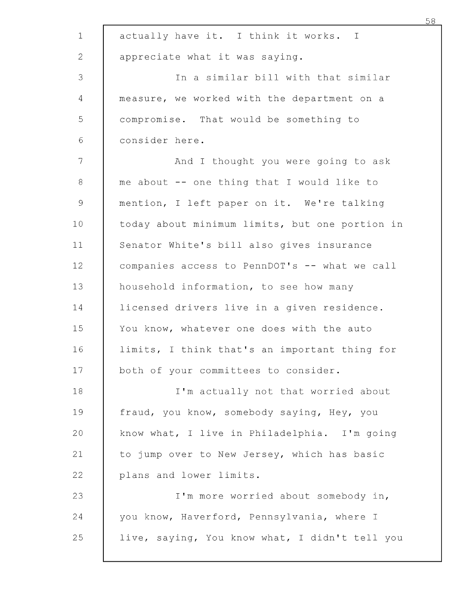| $\mathbf 1$  | actually have it. I think it works. I          |
|--------------|------------------------------------------------|
| $\mathbf{2}$ | appreciate what it was saying.                 |
| 3            | In a similar bill with that similar            |
| 4            | measure, we worked with the department on a    |
| 5            | compromise. That would be something to         |
| 6            | consider here.                                 |
| 7            | And I thought you were going to ask            |
| $8\,$        | me about -- one thing that I would like to     |
| 9            | mention, I left paper on it. We're talking     |
| 10           | today about minimum limits, but one portion in |
| 11           | Senator White's bill also gives insurance      |
| 12           | companies access to PennDOT's -- what we call  |
| 13           | household information, to see how many         |
| 14           | licensed drivers live in a given residence.    |
| 15           | You know, whatever one does with the auto      |
| 16           | limits, I think that's an important thing for  |
| 17           | both of your committees to consider.           |
| 18           | I'm actually not that worried about            |
| 19           | fraud, you know, somebody saying, Hey, you     |
| 20           | know what, I live in Philadelphia. I'm going   |
| 21           | to jump over to New Jersey, which has basic    |
| 22           | plans and lower limits.                        |
| 23           | I'm more worried about somebody in,            |
| 24           | you know, Haverford, Pennsylvania, where I     |
| 25           | live, saying, You know what, I didn't tell you |
|              |                                                |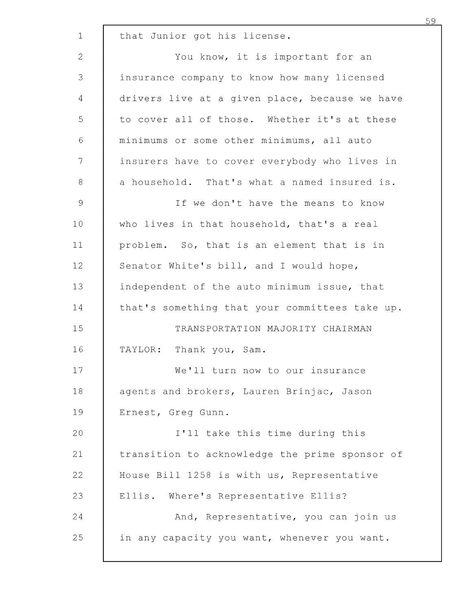| $\mathbf{1}$  | that Junior got his license.                   |
|---------------|------------------------------------------------|
| 2             | You know, it is important for an               |
| 3             | insurance company to know how many licensed    |
| 4             | drivers live at a given place, because we have |
| 5             | to cover all of those. Whether it's at these   |
| $\sqrt{6}$    | minimums or some other minimums, all auto      |
| 7             | insurers have to cover everybody who lives in  |
| 8             | a household. That's what a named insured is.   |
| $\mathcal{G}$ | If we don't have the means to know             |
| 10            | who lives in that household, that's a real     |
| 11            | problem. So, that is an element that is in     |
| 12            | Senator White's bill, and I would hope,        |
| 13            | independent of the auto minimum issue, that    |
| 14            | that's something that your committees take up. |
| 15            | TRANSPORTATION MAJORITY CHAIRMAN               |
| 16            | TAYLOR: Thank you, Sam.                        |
| 17            | We'll turn now to our insurance                |
| 18            | agents and brokers, Lauren Brinjac, Jason      |
| 19            | Ernest, Greg Gunn.                             |
| 20            | I'll take this time during this                |
| 21            | transition to acknowledge the prime sponsor of |
| 22            | House Bill 1258 is with us, Representative     |
| 23            | Ellis. Where's Representative Ellis?           |
| 24            | And, Representative, you can join us           |
| 25            | in any capacity you want, whenever you want.   |
|               |                                                |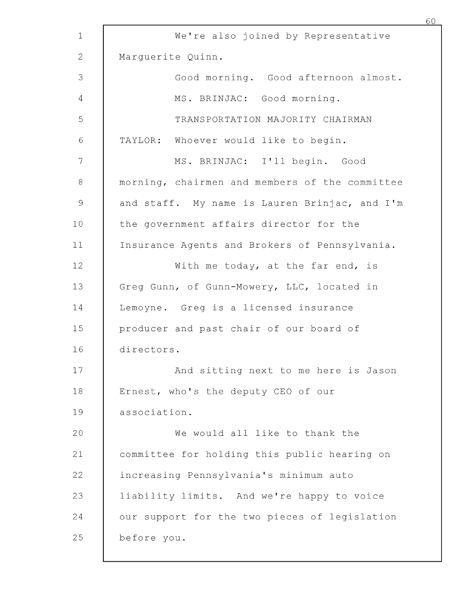|              |                                                | 60 |
|--------------|------------------------------------------------|----|
| $\mathbf 1$  | We're also joined by Representative            |    |
| $\mathbf{2}$ | Marquerite Quinn.                              |    |
| 3            | Good morning. Good afternoon almost.           |    |
| 4            | MS. BRINJAC: Good morning.                     |    |
| 5            | TRANSPORTATION MAJORITY CHAIRMAN               |    |
| $\sqrt{6}$   | TAYLOR: Whoever would like to begin.           |    |
| 7            | MS. BRINJAC: I'll begin. Good                  |    |
| 8            | morning, chairmen and members of the committee |    |
| 9            | and staff. My name is Lauren Brinjac, and I'm  |    |
| 10           | the government affairs director for the        |    |
| 11           | Insurance Agents and Brokers of Pennsylvania.  |    |
| 12           | With me today, at the far end, is              |    |
| 13           | Greg Gunn, of Gunn-Mowery, LLC, located in     |    |
| 14           | Lemoyne. Greg is a licensed insurance          |    |
| 15           | producer and past chair of our board of        |    |
| 16           | directors.                                     |    |
| 17           | And sitting next to me here is Jason           |    |
| 18           | Ernest, who's the deputy CEO of our            |    |
| 19           | association.                                   |    |
| 20           | We would all like to thank the                 |    |
| 21           | committee for holding this public hearing on   |    |
| 22           | increasing Pennsylvania's minimum auto         |    |
| 23           | liability limits. And we're happy to voice     |    |
| 24           | our support for the two pieces of legislation  |    |
| 25           | before you.                                    |    |
|              |                                                |    |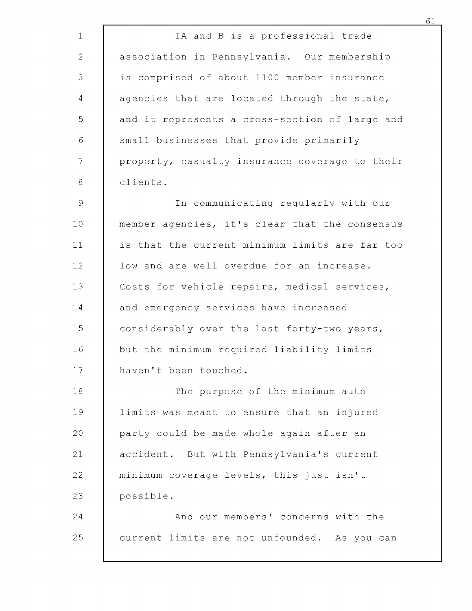| $\mathbf 1$    | IA and B is a professional trade               |
|----------------|------------------------------------------------|
| $\mathbf{2}$   | association in Pennsylvania. Our membership    |
| 3              | is comprised of about 1100 member insurance    |
| $\overline{4}$ | agencies that are located through the state,   |
| 5              | and it represents a cross-section of large and |
| 6              | small businesses that provide primarily        |
| 7              | property, casualty insurance coverage to their |
| $\,8\,$        | clients.                                       |
| $\mathcal{G}$  | In communicating regularly with our            |
| 10             | member agencies, it's clear that the consensus |
| 11             | is that the current minimum limits are far too |
| 12             | low and are well overdue for an increase.      |
| 13             | Costs for vehicle repairs, medical services,   |
| 14             | and emergency services have increased          |
| 15             | considerably over the last forty-two years,    |
| 16             | but the minimum required liability limits      |
| 17             | haven't been touched.                          |
| 18             | The purpose of the minimum auto                |
| 19             | limits was meant to ensure that an injured     |
| 20             | party could be made whole again after an       |
| 21             | accident. But with Pennsylvania's current      |
| 22             | minimum coverage levels, this just isn't       |
| 23             | possible.                                      |
| 24             | And our members' concerns with the             |
| 25             | current limits are not unfounded. As you can   |
|                |                                                |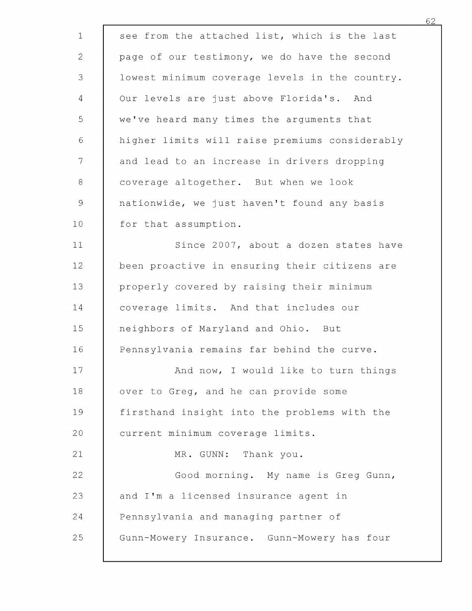| $\mathbf 1$    | see from the attached list, which is the last  |
|----------------|------------------------------------------------|
| $\mathbf{2}$   | page of our testimony, we do have the second   |
| 3              | lowest minimum coverage levels in the country. |
| $\overline{4}$ | Our levels are just above Florida's. And       |
| 5              | we've heard many times the arguments that      |
| 6              | higher limits will raise premiums considerably |
| $\overline{7}$ | and lead to an increase in drivers dropping    |
| $8\,$          | coverage altogether. But when we look          |
| $\mathcal{G}$  | nationwide, we just haven't found any basis    |
| 10             | for that assumption.                           |
| 11             | Since 2007, about a dozen states have          |
| 12             | been proactive in ensuring their citizens are  |
| 13             | properly covered by raising their minimum      |
| 14             | coverage limits. And that includes our         |
| 15             | neighbors of Maryland and Ohio. But            |
| 16             | Pennsylvania remains far behind the curve.     |
| 17             | And now, I would like to turn things           |
| 18             | over to Greg, and he can provide some          |
| 19             | firsthand insight into the problems with the   |
| 20             | current minimum coverage limits.               |
| 21             | MR. GUNN: Thank you.                           |
| 22             | Good morning. My name is Greg Gunn,            |
| 23             | and I'm a licensed insurance agent in          |
| 24             | Pennsylvania and managing partner of           |
| 25             | Gunn-Mowery Insurance. Gunn-Mowery has four    |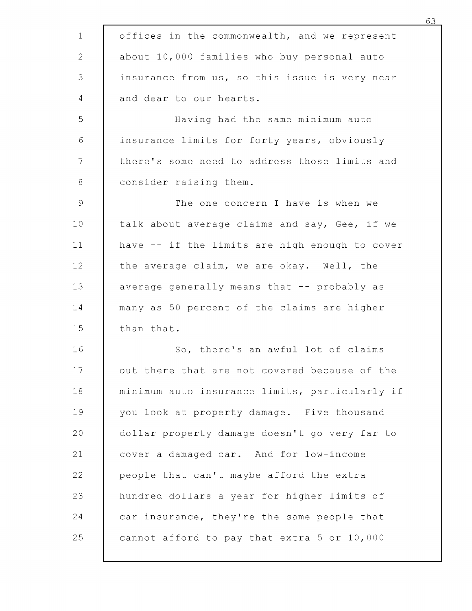| $\mathbf{1}$ | offices in the commonwealth, and we represent  |
|--------------|------------------------------------------------|
| $\mathbf{2}$ | about 10,000 families who buy personal auto    |
| 3            | insurance from us, so this issue is very near  |
| 4            | and dear to our hearts.                        |
| 5            | Having had the same minimum auto               |
| $\sqrt{6}$   | insurance limits for forty years, obviously    |
| 7            | there's some need to address those limits and  |
| 8            | consider raising them.                         |
| 9            | The one concern I have is when we              |
| 10           | talk about average claims and say, Gee, if we  |
| 11           | have -- if the limits are high enough to cover |
| 12           | the average claim, we are okay. Well, the      |
| 13           | average generally means that -- probably as    |
| 14           | many as 50 percent of the claims are higher    |
| 15           | than that.                                     |
| 16           | So, there's an awful lot of claims             |
| 17           | out there that are not covered because of the  |
| 18           | minimum auto insurance limits, particularly if |
| 19           | you look at property damage. Five thousand     |
| 20           | dollar property damage doesn't go very far to  |
| 21           | cover a damaged car. And for low-income        |
| 22           | people that can't maybe afford the extra       |
| 23           | hundred dollars a year for higher limits of    |
| 24           | car insurance, they're the same people that    |
| 25           | cannot afford to pay that extra 5 or 10,000    |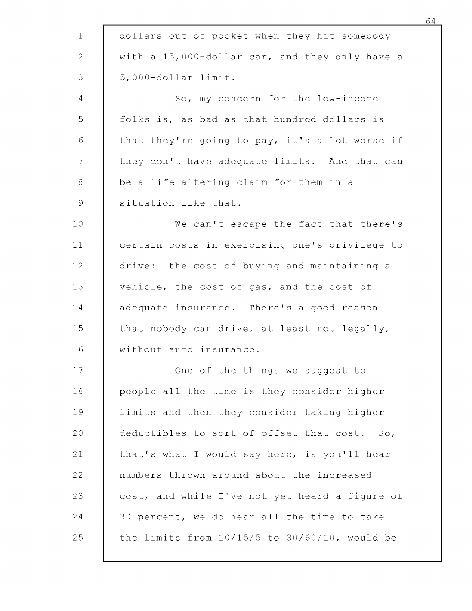| dollars out of pocket when they hit somebody   |
|------------------------------------------------|
| with a 15,000-dollar car, and they only have a |
| 5,000-dollar limit.                            |
| So, my concern for the low-income              |
| folks is, as bad as that hundred dollars is    |
| that they're going to pay, it's a lot worse if |
| they don't have adequate limits. And that can  |
| be a life-altering claim for them in a         |
| situation like that.                           |
| We can't escape the fact that there's          |
| certain costs in exercising one's privilege to |
| drive: the cost of buying and maintaining a    |
| vehicle, the cost of gas, and the cost of      |
| adequate insurance. There's a good reason      |
| that nobody can drive, at least not legally,   |
| without auto insurance.                        |
| One of the things we suggest to                |
| people all the time is they consider higher    |
| limits and then they consider taking higher    |
| deductibles to sort of offset that cost. So,   |
| that's what I would say here, is you'll hear   |
| numbers thrown around about the increased      |
| cost, and while I've not yet heard a figure of |
| 30 percent, we do hear all the time to take    |
|                                                |
|                                                |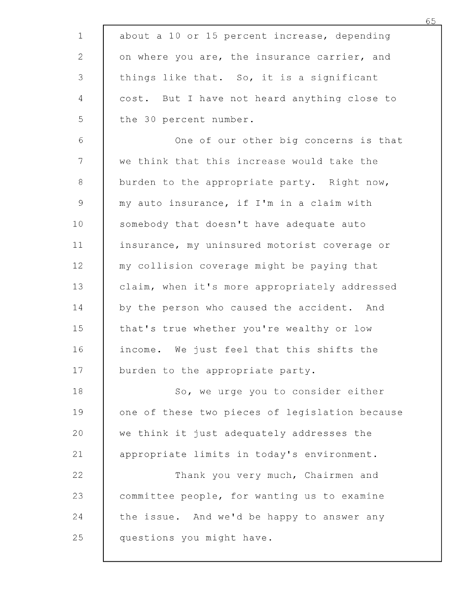| $\mathbf 1$    | about a 10 or 15 percent increase, depending   |
|----------------|------------------------------------------------|
| $\mathbf{2}$   | on where you are, the insurance carrier, and   |
| 3              | things like that. So, it is a significant      |
| $\overline{4}$ | cost. But I have not heard anything close to   |
| 5              | the 30 percent number.                         |
| 6              | One of our other big concerns is that          |
| 7 <sup>1</sup> | we think that this increase would take the     |
| $8\,$          | burden to the appropriate party. Right now,    |
| $\mathcal{G}$  | my auto insurance, if I'm in a claim with      |
| 10             | somebody that doesn't have adequate auto       |
| 11             | insurance, my uninsured motorist coverage or   |
| 12             | my collision coverage might be paying that     |
| 13             | claim, when it's more appropriately addressed  |
| 14             | by the person who caused the accident. And     |
| 15             | that's true whether you're wealthy or low      |
| 16             | income. We just feel that this shifts the      |
| 17             | burden to the appropriate party.               |
| 18             | So, we urge you to consider either             |
| 19             | one of these two pieces of legislation because |
| 20             | we think it just adequately addresses the      |
| 21             | appropriate limits in today's environment.     |
| 22             | Thank you very much, Chairmen and              |
| 23             | committee people, for wanting us to examine    |
| 24             | the issue. And we'd be happy to answer any     |
| 25             | questions you might have.                      |
|                |                                                |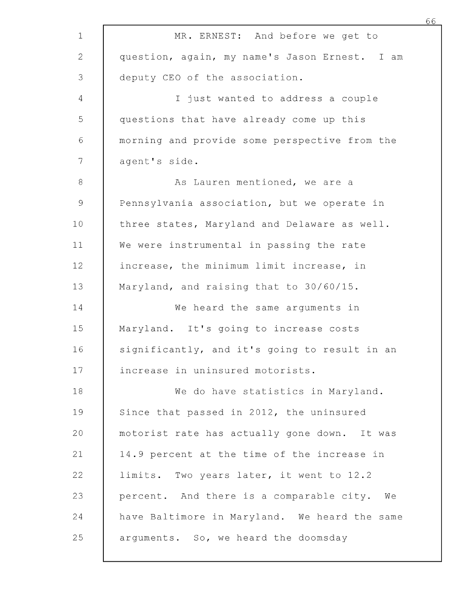| 1                         | MR. ERNEST: And before we get to               |
|---------------------------|------------------------------------------------|
| $\mathbf{2}^{\mathsf{I}}$ | question, again, my name's Jason Ernest. I am  |
| 3                         | deputy CEO of the association.                 |
| $\overline{4}$            | I just wanted to address a couple              |
| 5                         | questions that have already come up this       |
| 6                         | morning and provide some perspective from the  |
| 7                         | agent's side.                                  |
| $8\,$                     | As Lauren mentioned, we are a                  |
| $\mathcal{G}$             | Pennsylvania association, but we operate in    |
| 10 <sub>1</sub>           | three states, Maryland and Delaware as well.   |
| 11                        | We were instrumental in passing the rate       |
| 12                        | increase, the minimum limit increase, in       |
| 13                        | Maryland, and raising that to 30/60/15.        |
| 14                        | We heard the same arguments in                 |
| 15                        | Maryland. It's going to increase costs         |
| 16                        | significantly, and it's going to result in an  |
| 17                        | increase in uninsured motorists.               |
| 18                        | We do have statistics in Maryland.             |
| 19                        | Since that passed in 2012, the uninsured       |
| 20                        | motorist rate has actually gone down. It was   |
| 21                        | 14.9 percent at the time of the increase in    |
| 22                        | limits. Two years later, it went to 12.2       |
| 23                        | percent. And there is a comparable city.<br>Wе |
| 24                        | have Baltimore in Maryland. We heard the same  |
| 25                        | arguments. So, we heard the doomsday           |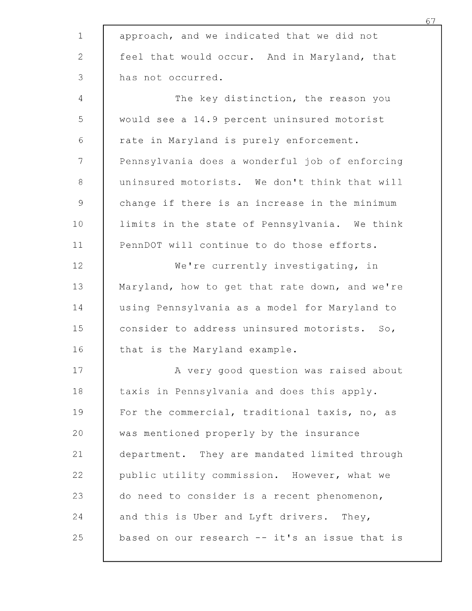| $\mathbf{1}$   | approach, and we indicated that we did not     |
|----------------|------------------------------------------------|
| $\mathbf{2}$   | feel that would occur. And in Maryland, that   |
| 3              | has not occurred.                              |
| $\overline{4}$ | The key distinction, the reason you            |
| 5              | would see a 14.9 percent uninsured motorist    |
| 6              | rate in Maryland is purely enforcement.        |
| 7              | Pennsylvania does a wonderful job of enforcing |
| $8\,$          | uninsured motorists. We don't think that will  |
| $\mathcal{G}$  | change if there is an increase in the minimum  |
| 10             | limits in the state of Pennsylvania. We think  |
| 11             | PennDOT will continue to do those efforts.     |
| 12             | We're currently investigating, in              |
| 13             | Maryland, how to get that rate down, and we're |
| 14             | using Pennsylvania as a model for Maryland to  |
| 15             | consider to address uninsured motorists. So,   |
| 16             | that is the Maryland example.                  |
| 17             | A very good question was raised about          |
| 18             | taxis in Pennsylvania and does this apply.     |
| 19             | For the commercial, traditional taxis, no, as  |
| 20             | was mentioned properly by the insurance        |
| 21             | department. They are mandated limited through  |
| 22             | public utility commission. However, what we    |
| 23             | do need to consider is a recent phenomenon,    |
| 24             | and this is Uber and Lyft drivers. They,       |
| 25             | based on our research -- it's an issue that is |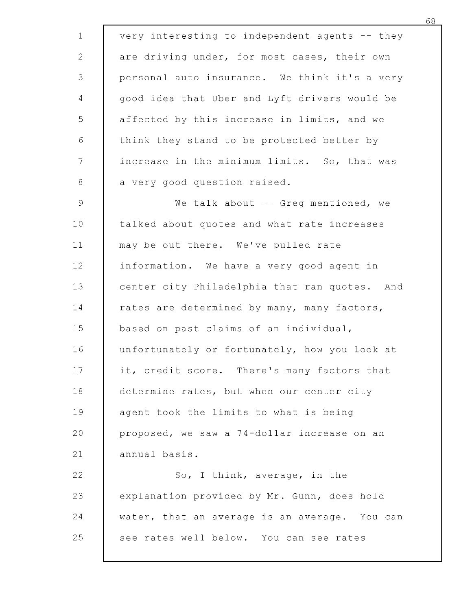| very interesting to independent agents -- they |
|------------------------------------------------|
| are driving under, for most cases, their own   |
| personal auto insurance. We think it's a very  |
| good idea that Uber and Lyft drivers would be  |
| affected by this increase in limits, and we    |
| think they stand to be protected better by     |
| increase in the minimum limits. So, that was   |
| a very good question raised.                   |
| We talk about -- Greg mentioned, we            |
| talked about quotes and what rate increases    |
| may be out there. We've pulled rate            |
| information. We have a very good agent in      |
| center city Philadelphia that ran quotes. And  |
| rates are determined by many, many factors,    |
| based on past claims of an individual,         |
| unfortunately or fortunately, how you look at  |
| it, credit score. There's many factors that    |
| determine rates, but when our center city      |
| agent took the limits to what is being         |
| proposed, we saw a 74-dollar increase on an    |
| annual basis.                                  |
| So, I think, average, in the                   |
| explanation provided by Mr. Gunn, does hold    |
| water, that an average is an average. You can  |
|                                                |
|                                                |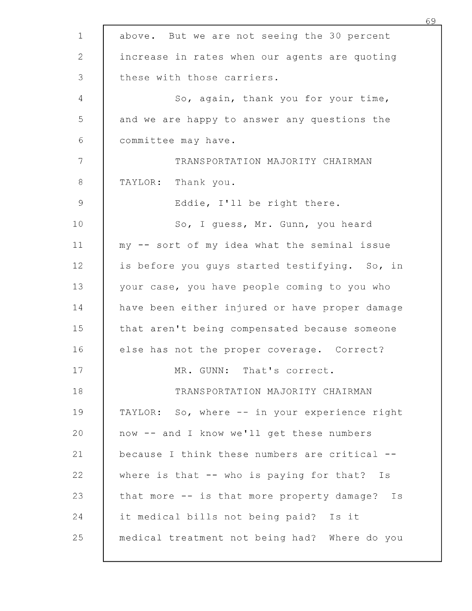| $\mathbf 1$    | above. But we are not seeing the 30 percent    |
|----------------|------------------------------------------------|
| $\mathbf{2}$   | increase in rates when our agents are quoting  |
| 3              | these with those carriers.                     |
| $\overline{4}$ | So, again, thank you for your time,            |
| 5              | and we are happy to answer any questions the   |
| $\sqrt{6}$     | committee may have.                            |
| 7              | TRANSPORTATION MAJORITY CHAIRMAN               |
| $\,8\,$        | TAYLOR: Thank you.                             |
| 9              | Eddie, I'll be right there.                    |
| 10             | So, I quess, Mr. Gunn, you heard               |
| 11             | my -- sort of my idea what the seminal issue   |
| 12             | is before you guys started testifying. So, in  |
| 13             | your case, you have people coming to you who   |
| 14             | have been either injured or have proper damage |
| 15             | that aren't being compensated because someone  |
| 16             | else has not the proper coverage. Correct?     |
| 17             | MR. GUNN: That's correct.                      |
| 18             | TRANSPORTATION MAJORITY CHAIRMAN               |
| 19             | TAYLOR: So, where -- in your experience right  |
| 20             | now -- and I know we'll get these numbers      |
| 21             | because I think these numbers are critical --  |
| 22             | where is that $--$ who is paying for that? Is  |
| 23             | that more -- is that more property damage? Is  |
| 24             | it medical bills not being paid? Is it         |
| 25             | medical treatment not being had? Where do you  |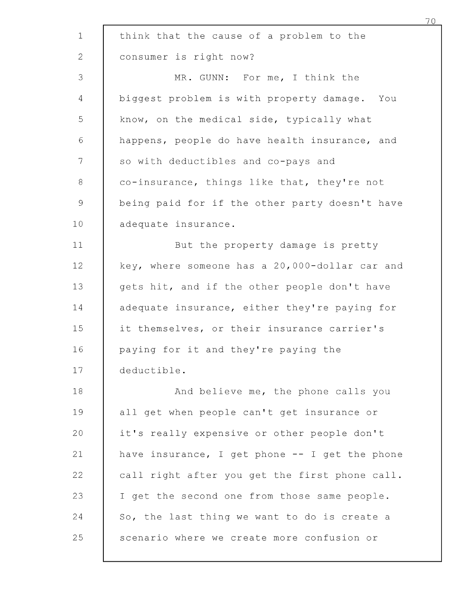| $\mathbf 1$     | think that the cause of a problem to the       |
|-----------------|------------------------------------------------|
| $\mathbf{2}$    | consumer is right now?                         |
| 3               | MR. GUNN: For me, I think the                  |
| 4               | biggest problem is with property damage. You   |
| 5               | know, on the medical side, typically what      |
| $\epsilon$      | happens, people do have health insurance, and  |
| $\mathcal{T}$   | so with deductibles and co-pays and            |
| 8               | co-insurance, things like that, they're not    |
| $\mathsf 9$     | being paid for if the other party doesn't have |
| 10 <sub>1</sub> | adequate insurance.                            |
| 11              | But the property damage is pretty              |
| 12              | key, where someone has a 20,000-dollar car and |
| 13              | gets hit, and if the other people don't have   |
| 14              | adequate insurance, either they're paying for  |
| 15              | it themselves, or their insurance carrier's    |
| 16              | paying for it and they're paying the           |
| 17              | deductible.                                    |
| 18              | And believe me, the phone calls you            |
| 19              | all get when people can't get insurance or     |
| 20              | it's really expensive or other people don't    |
| 21              | have insurance, I get phone -- I get the phone |
| 22              | call right after you get the first phone call. |
| 23              | I get the second one from those same people.   |
| 24              | So, the last thing we want to do is create a   |
| 25              | scenario where we create more confusion or     |
|                 |                                                |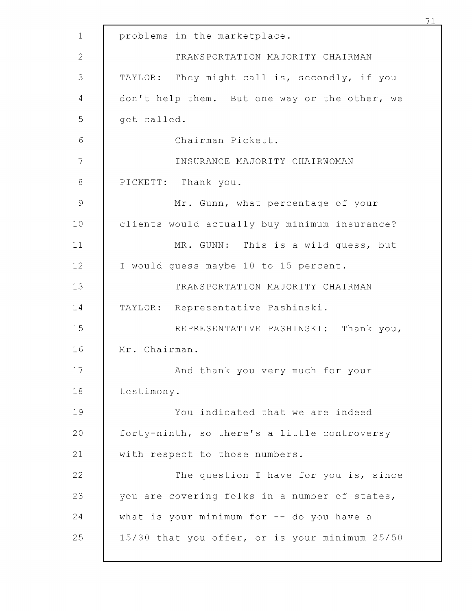| $\mathbf{1}$  | problems in the marketplace.                   |
|---------------|------------------------------------------------|
| $\mathbf{2}$  | TRANSPORTATION MAJORITY CHAIRMAN               |
| 3             | TAYLOR: They might call is, secondly, if you   |
| 4             | don't help them. But one way or the other, we  |
| 5             | get called.                                    |
| 6             | Chairman Pickett.                              |
| 7             | INSURANCE MAJORITY CHAIRWOMAN                  |
| $\,8\,$       | PICKETT: Thank you.                            |
| $\mathcal{G}$ | Mr. Gunn, what percentage of your              |
| 10            | clients would actually buy minimum insurance?  |
| 11            | MR. GUNN: This is a wild guess, but            |
| 12            | I would quess maybe 10 to 15 percent.          |
| 13            | TRANSPORTATION MAJORITY CHAIRMAN               |
| 14            | TAYLOR: Representative Pashinski.              |
| 15            | REPRESENTATIVE PASHINSKI: Thank you,           |
| 16            | Mr. Chairman.                                  |
| 17            | And thank you very much for your               |
| 18            | testimony.                                     |
| 19            | You indicated that we are indeed               |
| 20            | forty-ninth, so there's a little controversy   |
| 21            | with respect to those numbers.                 |
| 22            | The question I have for you is, since          |
| 23            | you are covering folks in a number of states,  |
| 24            | what is your minimum for $-$ do you have a     |
| 25            | 15/30 that you offer, or is your minimum 25/50 |
|               |                                                |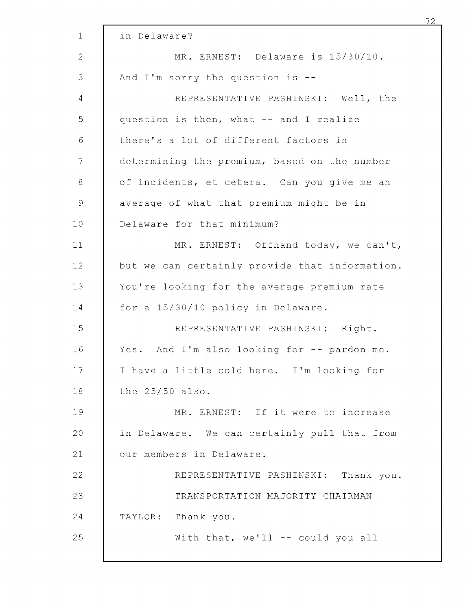| $\mathbf 1$    | in Delaware?                                   |
|----------------|------------------------------------------------|
| $\overline{2}$ | MR. ERNEST: Delaware is 15/30/10.              |
| 3              | And I'm sorry the question is $-$ -            |
| 4              | REPRESENTATIVE PASHINSKI: Well, the            |
| 5              | question is then, what -- and I realize        |
| 6              | there's a lot of different factors in          |
| 7              | determining the premium, based on the number   |
| $\,8\,$        | of incidents, et cetera. Can you give me an    |
| $\mathcal{G}$  | average of what that premium might be in       |
| 10             | Delaware for that minimum?                     |
| 11             | MR. ERNEST: Offhand today, we can't,           |
| 12             | but we can certainly provide that information. |
| 13             | You're looking for the average premium rate    |
| 14             | for a 15/30/10 policy in Delaware.             |
| 15             | REPRESENTATIVE PASHINSKI: Right.               |
| 16             | Yes. And I'm also looking for -- pardon me.    |
| 17             | I have a little cold here. I'm looking for     |
| 18             | the 25/50 also.                                |
| 19             | MR. ERNEST: If it were to increase             |
| 20             | in Delaware. We can certainly pull that from   |
| 21             | our members in Delaware.                       |
| 22             | REPRESENTATIVE PASHINSKI: Thank you.           |
| 23             | TRANSPORTATION MAJORITY CHAIRMAN               |
| 24             | Thank you.<br>TAYLOR:                          |
| 25             | With that, we'll -- could you all              |
|                |                                                |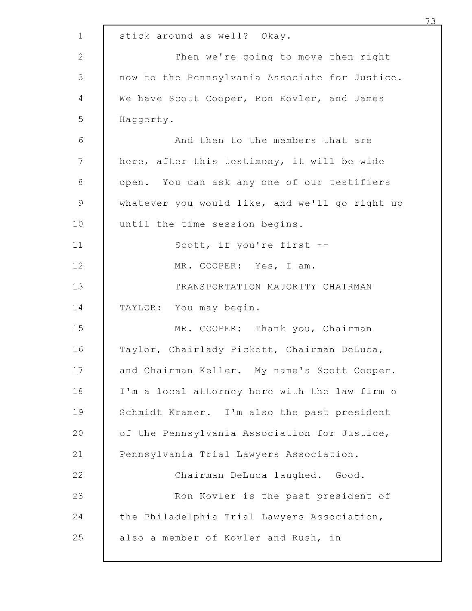|                | 73                                             |
|----------------|------------------------------------------------|
| $\mathbf 1$    | stick around as well? Okay.                    |
| $\overline{2}$ | Then we're going to move then right            |
| 3              | now to the Pennsylvania Associate for Justice. |
| 4              | We have Scott Cooper, Ron Kovler, and James    |
| 5              | Haggerty.                                      |
| $\sqrt{6}$     | And then to the members that are               |
| 7              | here, after this testimony, it will be wide    |
| $8\,$          | open. You can ask any one of our testifiers    |
| $\mathcal{G}$  | whatever you would like, and we'll go right up |
| 10             | until the time session begins.                 |
| 11             | Scott, if you're first --                      |
| 12             | MR. COOPER: Yes, I am.                         |
| 13             | TRANSPORTATION MAJORITY CHAIRMAN               |
| 14             | TAYLOR: You may begin.                         |
| 15             | MR. COOPER: Thank you, Chairman                |
| 16             | Taylor, Chairlady Pickett, Chairman DeLuca,    |
| 17             | and Chairman Keller. My name's Scott Cooper.   |
| 18             | I'm a local attorney here with the law firm o  |
| 19             | Schmidt Kramer. I'm also the past president    |
| 20             | of the Pennsylvania Association for Justice,   |
| 21             | Pennsylvania Trial Lawyers Association.        |
| 22             | Chairman DeLuca laughed. Good.                 |
| 23             | Ron Kovler is the past president of            |
| 24             | the Philadelphia Trial Lawyers Association,    |
| 25             | also a member of Kovler and Rush, in           |
|                |                                                |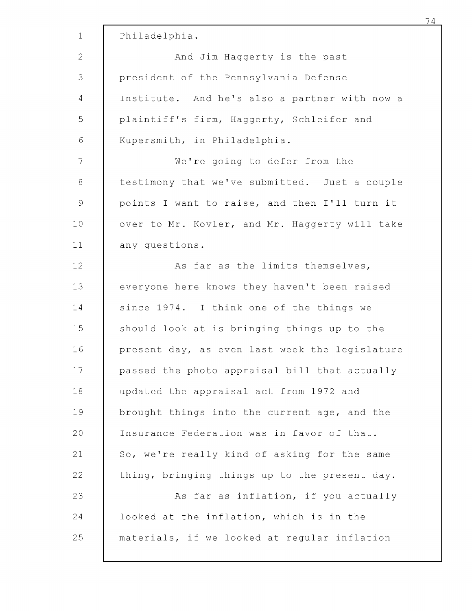| $\mathbf 1$ | Philadelphia.                                  |
|-------------|------------------------------------------------|
| 2           | And Jim Haggerty is the past                   |
| 3           | president of the Pennsylvania Defense          |
| 4           | Institute. And he's also a partner with now a  |
| 5           | plaintiff's firm, Haggerty, Schleifer and      |
| $\sqrt{6}$  | Kupersmith, in Philadelphia.                   |
| 7           | We're going to defer from the                  |
| 8           | testimony that we've submitted. Just a couple  |
| $\mathsf 9$ | points I want to raise, and then I'll turn it  |
| 10          | over to Mr. Kovler, and Mr. Haggerty will take |
| 11          | any questions.                                 |
| 12          | As far as the limits themselves,               |
| 13          | everyone here knows they haven't been raised   |
| 14          | since 1974. I think one of the things we       |
| 15          | should look at is bringing things up to the    |
| 16          | present day, as even last week the legislature |
| 17          | passed the photo appraisal bill that actually  |
| 18          | updated the appraisal act from 1972 and        |
| 19          | brought things into the current age, and the   |
| 20          | Insurance Federation was in favor of that.     |
| 21          | So, we're really kind of asking for the same   |
| 22          | thing, bringing things up to the present day.  |
| 23          | As far as inflation, if you actually           |
| 24          | looked at the inflation, which is in the       |
| 25          | materials, if we looked at regular inflation   |
|             |                                                |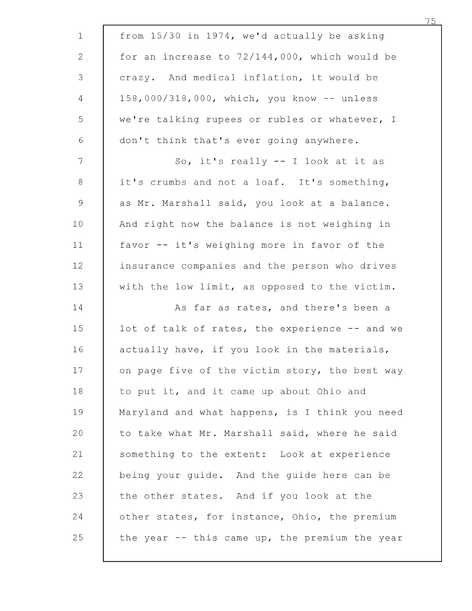| $\mathbf 1$    | from 15/30 in 1974, we'd actually be asking     |
|----------------|-------------------------------------------------|
| $\mathbf{2}$   | for an increase to 72/144,000, which would be   |
| $\mathcal{S}$  | crazy. And medical inflation, it would be       |
| $\overline{4}$ | 158,000/318,000, which, you know -- unless      |
| 5              | we're talking rupees or rubles or whatever, I   |
| $\sqrt{6}$     | don't think that's ever going anywhere.         |
| $\overline{7}$ | So, it's really -- I look at it as              |
| $\,8\,$        | it's crumbs and not a loaf. It's something,     |
| $\mathcal{G}$  | as Mr. Marshall said, you look at a balance.    |
| 10             | And right now the balance is not weighing in    |
| 11             | favor -- it's weighing more in favor of the     |
| 12             | insurance companies and the person who drives   |
| 13             | with the low limit, as opposed to the victim.   |
| 14             | As far as rates, and there's been a             |
| 15             | lot of talk of rates, the experience -- and we  |
| 16             | actually have, if you look in the materials,    |
| 17             | on page five of the victim story, the best way  |
| 18             | to put it, and it came up about Ohio and        |
| 19             | Maryland and what happens, is I think you need  |
| 20             | to take what Mr. Marshall said, where he said   |
| 21             | something to the extent: Look at experience     |
| 22             | being your guide. And the guide here can be     |
| 23             | the other states. And if you look at the        |
| 24             | other states, for instance, Ohio, the premium   |
| 25             | the year $-$ this came up, the premium the year |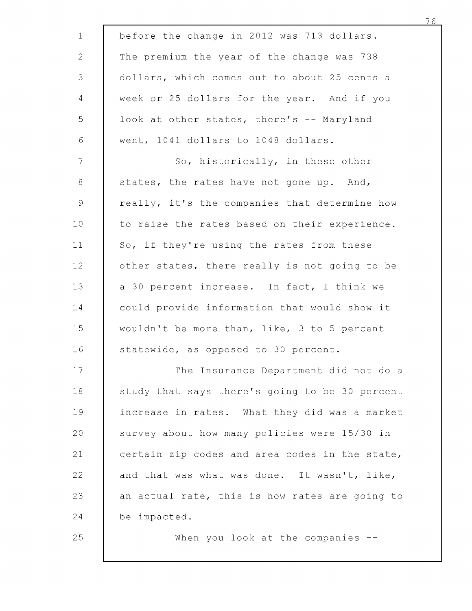| $\mathbf 1$    | before the change in 2012 was 713 dollars.     |
|----------------|------------------------------------------------|
| $\mathbf{2}$   | The premium the year of the change was 738     |
| 3              | dollars, which comes out to about 25 cents a   |
| 4              | week or 25 dollars for the year. And if you    |
| 5              | look at other states, there's -- Maryland      |
| $\sqrt{6}$     | went, 1041 dollars to 1048 dollars.            |
| 7              | So, historically, in these other               |
| 8              | states, the rates have not gone up. And,       |
| $\overline{9}$ | really, it's the companies that determine how  |
| 10             | to raise the rates based on their experience.  |
| 11             | So, if they're using the rates from these      |
| 12             | other states, there really is not going to be  |
| 13             | a 30 percent increase. In fact, I think we     |
| 14             | could provide information that would show it   |
| 15             | wouldn't be more than, like, 3 to 5 percent    |
| 16             | statewide, as opposed to 30 percent.           |
| 17             | The Insurance Department did not do a          |
| 18             | study that says there's going to be 30 percent |
| 19             | increase in rates. What they did was a market  |
| 20             | survey about how many policies were 15/30 in   |
| 21             | certain zip codes and area codes in the state, |
| 22             | and that was what was done. It wasn't, like,   |
| 23             | an actual rate, this is how rates are going to |
| 24             | be impacted.                                   |
| 25             | When you look at the companies $-$ -           |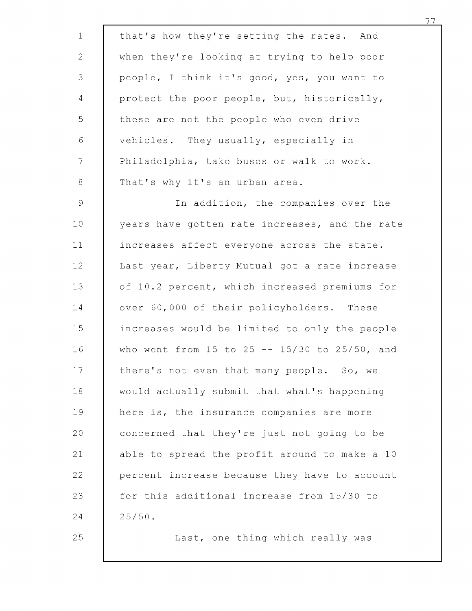| $\mathbf 1$    | that's how they're setting the rates. And      |
|----------------|------------------------------------------------|
| $\overline{2}$ | when they're looking at trying to help poor    |
| 3              | people, I think it's good, yes, you want to    |
| 4              | protect the poor people, but, historically,    |
| 5              | these are not the people who even drive        |
| $\epsilon$     | vehicles. They usually, especially in          |
| $7\phantom{.}$ | Philadelphia, take buses or walk to work.      |
| $\,8\,$        | That's why it's an urban area.                 |
| $\mathsf{9}$   | In addition, the companies over the            |
| 10             | years have gotten rate increases, and the rate |
| 11             | increases affect everyone across the state.    |
| 12             | Last year, Liberty Mutual got a rate increase  |
| 13             | of 10.2 percent, which increased premiums for  |
| 14             | over 60,000 of their policyholders. These      |
| 15             | increases would be limited to only the people  |
| 16             | who went from 15 to 25 -- 15/30 to 25/50, and  |
| 17             | there's not even that many people. So, we      |
| 18             | would actually submit that what's happening    |
| 19             | here is, the insurance companies are more      |
| 20             | concerned that they're just not going to be    |
| 21             | able to spread the profit around to make a 10  |
| 22             | percent increase because they have to account  |
| 23             | for this additional increase from 15/30 to     |
| 24             | $25/50$ .                                      |
| 25             | Last, one thing which really was               |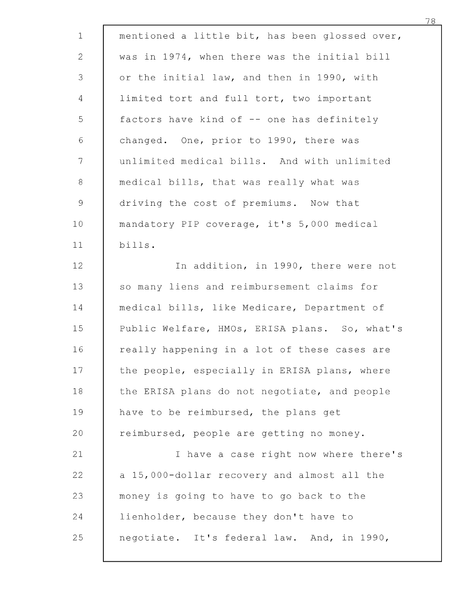| $\mathbf{1}$   | mentioned a little bit, has been glossed over, |
|----------------|------------------------------------------------|
| $\mathbf{2}$   | was in 1974, when there was the initial bill   |
| 3              | or the initial law, and then in 1990, with     |
| $\overline{4}$ | limited tort and full tort, two important      |
| 5              | factors have kind of -- one has definitely     |
| $\sqrt{6}$     | changed. One, prior to 1990, there was         |
| $\mathcal{T}$  | unlimited medical bills. And with unlimited    |
| $8\,$          | medical bills, that was really what was        |
| 9              | driving the cost of premiums. Now that         |
| 10             | mandatory PIP coverage, it's 5,000 medical     |
| 11             | bills.                                         |
| 12             | In addition, in 1990, there were not           |
| 13             | so many liens and reimbursement claims for     |
| 14             | medical bills, like Medicare, Department of    |
| 15             | Public Welfare, HMOs, ERISA plans. So, what's  |
| 16             | really happening in a lot of these cases are   |
| 17             | the people, especially in ERISA plans, where   |
| 18             | the ERISA plans do not negotiate, and people   |
| 19             | have to be reimbursed, the plans get           |
| 20             | reimbursed, people are getting no money.       |
| 21             | I have a case right now where there's          |
| 22             | a 15,000-dollar recovery and almost all the    |
| 23             | money is going to have to go back to the       |
| 24             | lienholder, because they don't have to         |
| 25             | negotiate. It's federal law. And, in 1990,     |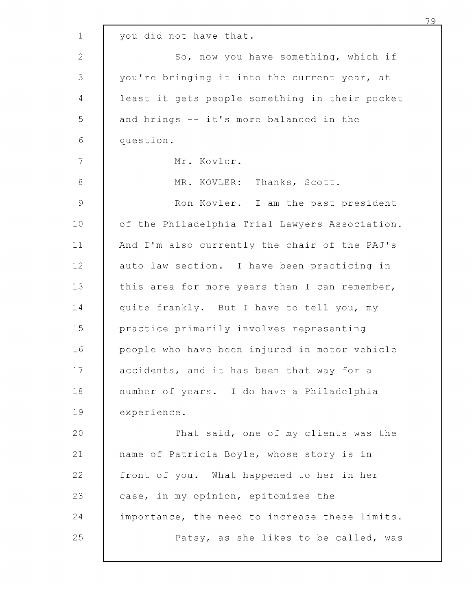| $\mathbf{1}$  | you did not have that.                         |
|---------------|------------------------------------------------|
| $\mathbf{2}$  | So, now you have something, which if           |
| 3             | you're bringing it into the current year, at   |
| 4             | least it gets people something in their pocket |
| 5             | and brings -- it's more balanced in the        |
| $\sqrt{6}$    | question.                                      |
| 7             | Mr. Kovler.                                    |
| $\,8\,$       | MR. KOVLER: Thanks, Scott.                     |
| $\mathcal{G}$ | Ron Kovler. I am the past president            |
| 10            | of the Philadelphia Trial Lawyers Association. |
| 11            | And I'm also currently the chair of the PAJ's  |
| 12            | auto law section. I have been practicing in    |
| 13            | this area for more years than I can remember,  |
| 14            | quite frankly. But I have to tell you, my      |
| 15            | practice primarily involves representing       |
| 16            | people who have been injured in motor vehicle  |
| 17            | accidents, and it has been that way for a      |
| 18            | number of years. I do have a Philadelphia      |
| 19            | experience.                                    |
| 20            | That said, one of my clients was the           |
| 21            | name of Patricia Boyle, whose story is in      |
| 22            | front of you. What happened to her in her      |
| 23            | case, in my opinion, epitomizes the            |
| 24            | importance, the need to increase these limits. |
| 25            | Patsy, as she likes to be called, was          |
|               |                                                |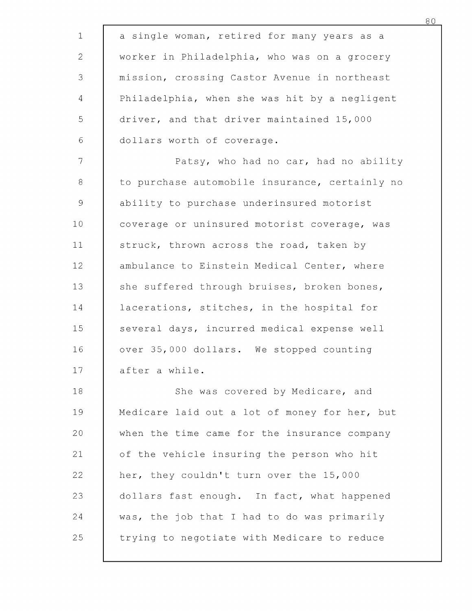| $\mathbf 1$  | a single woman, retired for many years as a    |
|--------------|------------------------------------------------|
| $\mathbf{2}$ | worker in Philadelphia, who was on a grocery   |
| 3            | mission, crossing Castor Avenue in northeast   |
| 4            | Philadelphia, when she was hit by a negligent  |
| 5            | driver, and that driver maintained 15,000      |
| $\sqrt{6}$   | dollars worth of coverage.                     |
| 7            | Patsy, who had no car, had no ability          |
| 8            | to purchase automobile insurance, certainly no |
| 9            | ability to purchase underinsured motorist      |
| 10           | coverage or uninsured motorist coverage, was   |
| 11           | struck, thrown across the road, taken by       |
| 12           | ambulance to Einstein Medical Center, where    |
| 13           | she suffered through bruises, broken bones,    |
| 14           | lacerations, stitches, in the hospital for     |
| 15           | several days, incurred medical expense well    |
| 16           | over 35,000 dollars. We stopped counting       |
| 17           | after a while.                                 |
| 18           | She was covered by Medicare, and               |
| 19           | Medicare laid out a lot of money for her, but  |
| 20           | when the time came for the insurance company   |
| 21           | of the vehicle insuring the person who hit     |
| 22           | her, they couldn't turn over the 15,000        |
| 23           | dollars fast enough. In fact, what happened    |
| 24           | was, the job that I had to do was primarily    |
| 25           | trying to negotiate with Medicare to reduce    |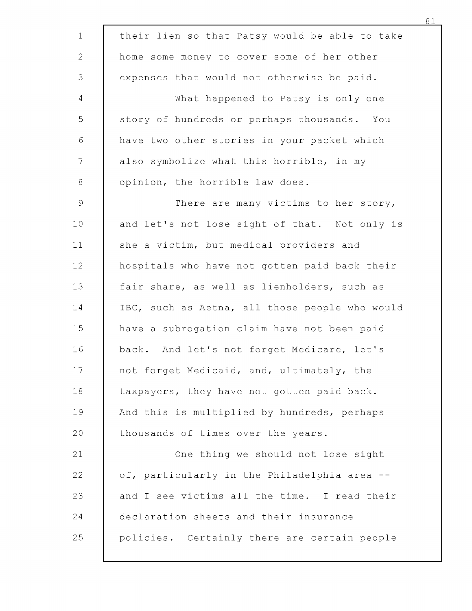| their lien so that Patsy would be able to take |
|------------------------------------------------|
| home some money to cover some of her other     |
| expenses that would not otherwise be paid.     |
| What happened to Patsy is only one             |
| story of hundreds or perhaps thousands. You    |
| have two other stories in your packet which    |
| also symbolize what this horrible, in my       |
| opinion, the horrible law does.                |
| There are many victims to her story,           |
| and let's not lose sight of that. Not only is  |
| she a victim, but medical providers and        |
| hospitals who have not gotten paid back their  |
| fair share, as well as lienholders, such as    |
| IBC, such as Aetna, all those people who would |
| have a subrogation claim have not been paid    |
| back. And let's not forget Medicare, let's     |
| not forget Medicaid, and, ultimately, the      |
| taxpayers, they have not gotten paid back.     |
| And this is multiplied by hundreds, perhaps    |
| thousands of times over the years.             |
| One thing we should not lose sight             |
| of, particularly in the Philadelphia area --   |
| and I see victims all the time. I read their   |
| declaration sheets and their insurance         |
| policies. Certainly there are certain people   |
|                                                |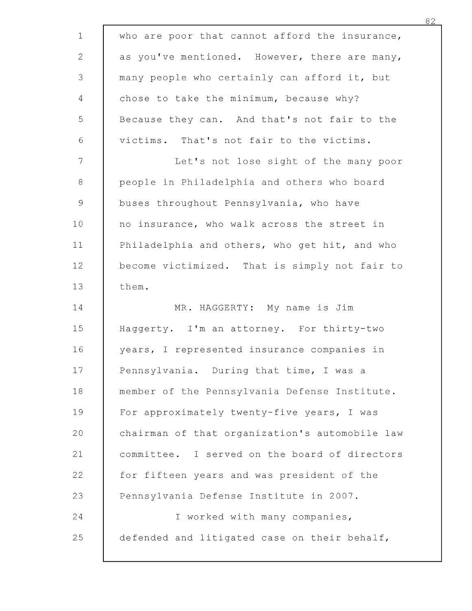| $\mathbf{1}$                                              | who are poor that cannot afford the insurance, |
|-----------------------------------------------------------|------------------------------------------------|
| $\mathbf{2}$                                              | as you've mentioned. However, there are many,  |
| 3                                                         | many people who certainly can afford it, but   |
| $\overline{4}$                                            | chose to take the minimum, because why?        |
| 5                                                         | Because they can. And that's not fair to the   |
| $\sqrt{6}$                                                | victims. That's not fair to the victims.       |
| 7                                                         | Let's not lose sight of the many poor          |
| $8\,$                                                     | people in Philadelphia and others who board    |
| $\mathcal{G}% _{M_{1},M_{2}}^{\alpha,\beta}(\mathcal{A})$ | buses throughout Pennsylvania, who have        |
| 10 <sub>1</sub>                                           | no insurance, who walk across the street in    |
| 11                                                        | Philadelphia and others, who get hit, and who  |
| 12                                                        | become victimized. That is simply not fair to  |
| 13                                                        | them.                                          |
| 14                                                        | MR. HAGGERTY: My name is Jim                   |
| 15                                                        | Haggerty. I'm an attorney. For thirty-two      |
| 16                                                        | years, I represented insurance companies in    |
| 17                                                        | Pennsylvania. During that time, I was a        |
| 18                                                        | member of the Pennsylvania Defense Institute.  |
| 19                                                        | For approximately twenty-five years, I was     |
| 20                                                        | chairman of that organization's automobile law |
| 21                                                        | committee. I served on the board of directors  |
| 22                                                        | for fifteen years and was president of the     |
| 23                                                        | Pennsylvania Defense Institute in 2007.        |
| 24                                                        | I worked with many companies,                  |
| 25                                                        | defended and litigated case on their behalf,   |
|                                                           |                                                |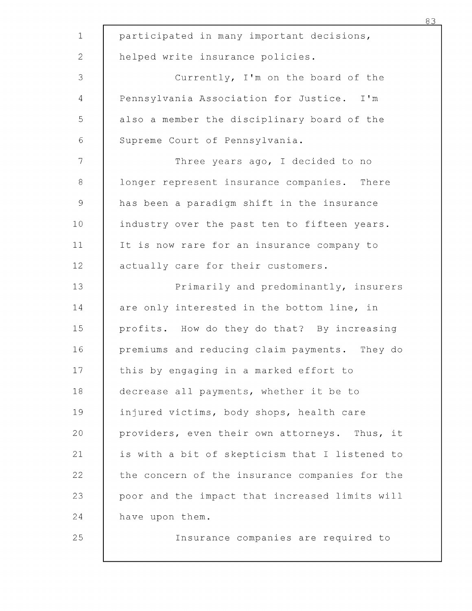| $\mathbf 1$    | participated in many important decisions,      |
|----------------|------------------------------------------------|
| $\mathbf{2}$   | helped write insurance policies.               |
| 3              | Currently, I'm on the board of the             |
| $\overline{4}$ | Pennsylvania Association for Justice. I'm      |
| 5              | also a member the disciplinary board of the    |
| 6              | Supreme Court of Pennsylvania.                 |
| $\overline{7}$ | Three years ago, I decided to no               |
| $8\,$          | longer represent insurance companies. There    |
| $\mathcal{G}$  | has been a paradigm shift in the insurance     |
| 10             | industry over the past ten to fifteen years.   |
| 11             | It is now rare for an insurance company to     |
| 12             | actually care for their customers.             |
| 13             | Primarily and predominantly, insurers          |
| 14             | are only interested in the bottom line, in     |
| 15             | profits. How do they do that? By increasing    |
| 16             | premiums and reducing claim payments. They do  |
| 17             | this by engaging in a marked effort to         |
| 18             | decrease all payments, whether it be to        |
| 19             | injured victims, body shops, health care       |
| 20             | providers, even their own attorneys. Thus, it  |
| 21             | is with a bit of skepticism that I listened to |
| 22             | the concern of the insurance companies for the |
| 23             | poor and the impact that increased limits will |
| 24             | have upon them.                                |
| 25             | Insurance companies are required to            |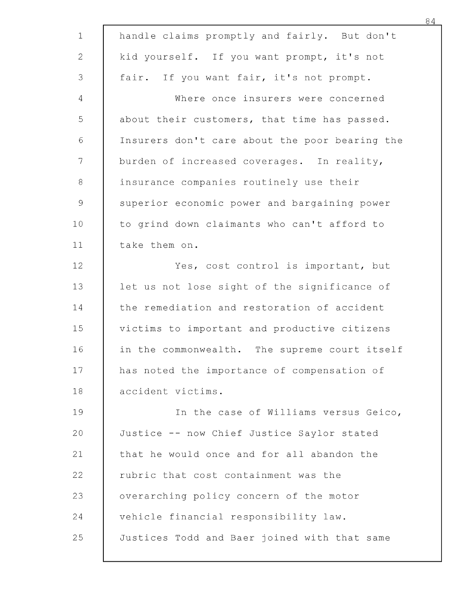| $\mathbf 1$     | handle claims promptly and fairly. But don't   |
|-----------------|------------------------------------------------|
| $\mathbf{2}$    | kid yourself. If you want prompt, it's not     |
| 3               | fair. If you want fair, it's not prompt.       |
| 4               | Where once insurers were concerned             |
| 5               | about their customers, that time has passed.   |
| $\sqrt{6}$      | Insurers don't care about the poor bearing the |
| 7               | burden of increased coverages. In reality,     |
| $\,8\,$         | insurance companies routinely use their        |
| $\mathcal{G}$   | superior economic power and bargaining power   |
| 10              | to grind down claimants who can't afford to    |
| 11              | take them on.                                  |
| 12 <sub>1</sub> | Yes, cost control is important, but            |
| 13              | let us not lose sight of the significance of   |
| 14              | the remediation and restoration of accident    |
| 15              | victims to important and productive citizens   |
| 16              | in the commonwealth. The supreme court itself  |
| 17              | has noted the importance of compensation of    |
| 18              | accident victims.                              |
| 19              | In the case of Williams versus Geico,          |
| 20              | Justice -- now Chief Justice Saylor stated     |
| 21              | that he would once and for all abandon the     |
| 22              | rubric that cost containment was the           |
| 23              | overarching policy concern of the motor        |
| 24              | vehicle financial responsibility law.          |
| 25              | Justices Todd and Baer joined with that same   |
|                 |                                                |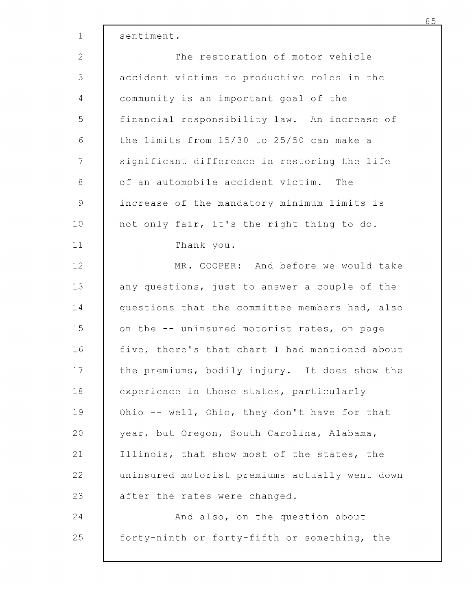| $\mathbf 1$   | sentiment.                                     |
|---------------|------------------------------------------------|
| $\mathbf{2}$  | The restoration of motor vehicle               |
| 3             | accident victims to productive roles in the    |
| 4             | community is an important goal of the          |
| 5             | financial responsibility law. An increase of   |
| 6             | the limits from 15/30 to 25/50 can make a      |
| 7             | significant difference in restoring the life   |
| 8             | of an automobile accident victim. The          |
| $\mathcal{G}$ | increase of the mandatory minimum limits is    |
| 10            | not only fair, it's the right thing to do.     |
| 11            | Thank you.                                     |
| 12            | MR. COOPER: And before we would take           |
| 13            | any questions, just to answer a couple of the  |
| 14            | questions that the committee members had, also |
| 15            | on the -- uninsured motorist rates, on page    |
| 16            | five, there's that chart I had mentioned about |
| 17            | the premiums, bodily injury. It does show the  |
| 18            | experience in those states, particularly       |
| 19            | Ohio -- well, Ohio, they don't have for that   |
| 20            | year, but Oregon, South Carolina, Alabama,     |
| 21            | Illinois, that show most of the states, the    |
| 22            | uninsured motorist premiums actually went down |
| 23            | after the rates were changed.                  |
| 24            | And also, on the question about                |
| 25            | forty-ninth or forty-fifth or something, the   |
|               |                                                |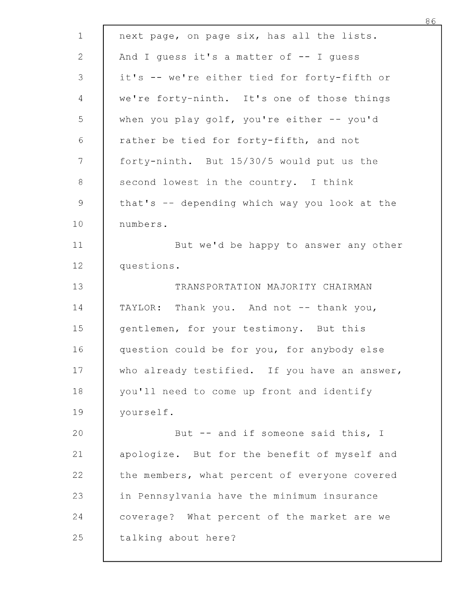| $\mathbf 1$   | next page, on page six, has all the lists.    |
|---------------|-----------------------------------------------|
| $\mathbf{2}$  | And I guess it's a matter of $-$ I guess      |
| 3             | it's -- we're either tied for forty-fifth or  |
| 4             | we're forty-ninth. It's one of those things   |
| 5             | when you play golf, you're either -- you'd    |
| $\sqrt{6}$    | rather be tied for forty-fifth, and not       |
| 7             | forty-ninth. But 15/30/5 would put us the     |
| 8             |                                               |
|               | second lowest in the country. I think         |
| $\mathcal{G}$ | that's -- depending which way you look at the |
| 10            | numbers.                                      |
| 11            | But we'd be happy to answer any other         |
| 12            | questions.                                    |
| 13            | TRANSPORTATION MAJORITY CHAIRMAN              |
| 14            | TAYLOR: Thank you. And not -- thank you,      |
| 15            | gentlemen, for your testimony. But this       |
| 16            | question could be for you, for anybody else   |
| 17            | who already testified. If you have an answer, |
| 18            | you'll need to come up front and identify     |
| 19            | yourself.                                     |
| 20            | But -- and if someone said this, I            |
| 21            | apologize. But for the benefit of myself and  |
| 22            | the members, what percent of everyone covered |
| 23            | in Pennsylvania have the minimum insurance    |
| 24            | coverage? What percent of the market are we   |
| 25            | talking about here?                           |
|               |                                               |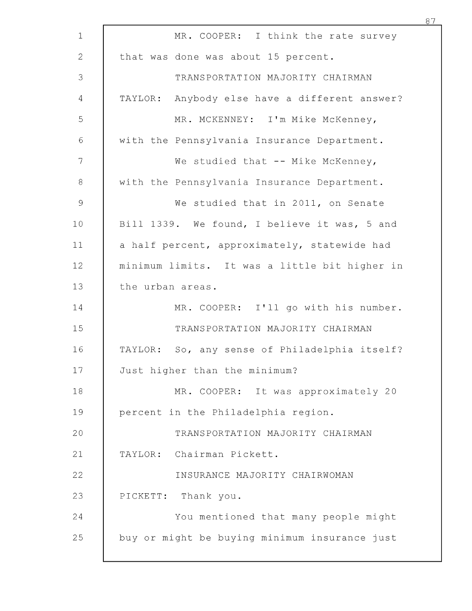| $\mathbf 1$   | MR. COOPER: I think the rate survey           |
|---------------|-----------------------------------------------|
| $\mathbf{2}$  | that was done was about 15 percent.           |
| 3             | TRANSPORTATION MAJORITY CHAIRMAN              |
| 4             | TAYLOR: Anybody else have a different answer? |
| 5             | MR. MCKENNEY: I'm Mike McKenney,              |
| $\sqrt{6}$    | with the Pennsylvania Insurance Department.   |
| 7             | We studied that $--$ Mike McKenney,           |
| $\,8\,$       | with the Pennsylvania Insurance Department.   |
| $\mathcal{G}$ | We studied that in 2011, on Senate            |
| 10            | Bill 1339. We found, I believe it was, 5 and  |
| 11            | a half percent, approximately, statewide had  |
| 12            | minimum limits. It was a little bit higher in |
| 13            | the urban areas.                              |
| 14            | MR. COOPER: I'll go with his number.          |
| 15            | TRANSPORTATION MAJORITY CHAIRMAN              |
| 16            | TAYLOR: So, any sense of Philadelphia itself? |
| 17            | Just higher than the minimum?                 |
| 18            | MR. COOPER: It was approximately 20           |
| 19            | percent in the Philadelphia region.           |
| 20            | TRANSPORTATION MAJORITY CHAIRMAN              |
| 21            | TAYLOR: Chairman Pickett.                     |
| 22            | INSURANCE MAJORITY CHAIRWOMAN                 |
| 23            | PICKETT: Thank you.                           |
| 24            | You mentioned that many people might          |
| 25            | buy or might be buying minimum insurance just |
|               |                                               |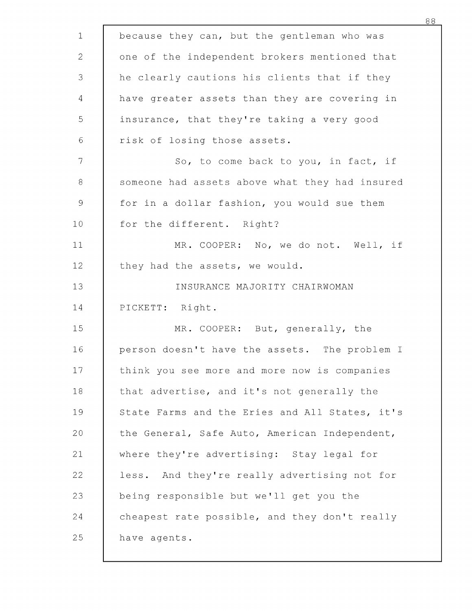| $\mathbf 1$   | because they can, but the gentleman who was    |
|---------------|------------------------------------------------|
| 2             | one of the independent brokers mentioned that  |
| 3             | he clearly cautions his clients that if they   |
| 4             | have greater assets than they are covering in  |
| 5             | insurance, that they're taking a very good     |
| $\sqrt{6}$    | risk of losing those assets.                   |
| 7             | So, to come back to you, in fact, if           |
| $\,8\,$       | someone had assets above what they had insured |
| $\mathcal{G}$ | for in a dollar fashion, you would sue them    |
| 10            | for the different. Right?                      |
| 11            | MR. COOPER: No, we do not. Well, if            |
| 12            | they had the assets, we would.                 |
| 13            | INSURANCE MAJORITY CHAIRWOMAN                  |
| 14            | PICKETT: Right.                                |
| 15            | MR. COOPER: But, generally, the                |
| 16            | person doesn't have the assets. The problem I  |
| 17            | think you see more and more now is companies   |
| 18            | that advertise, and it's not generally the     |
| 19            | State Farms and the Eries and All States, it's |
| 20            | the General, Safe Auto, American Independent,  |
| 21            | where they're advertising: Stay legal for      |
| 22            | less. And they're really advertising not for   |
| 23            | being responsible but we'll get you the        |
| 24            | cheapest rate possible, and they don't really  |
| 25            | have agents.                                   |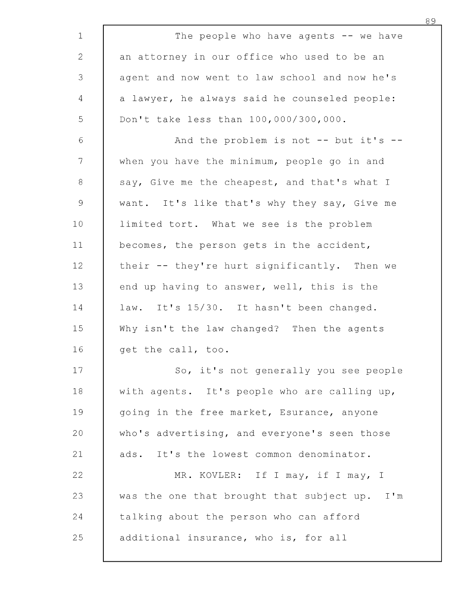| 1               | The people who have agents $--$ we have       |
|-----------------|-----------------------------------------------|
| $\mathbf{2}$    | an attorney in our office who used to be an   |
| 3               | agent and now went to law school and now he's |
| $\overline{4}$  | a lawyer, he always said he counseled people: |
| 5               | Don't take less than 100,000/300,000.         |
| $\sqrt{6}$      | And the problem is not -- but it's --         |
| $\mathcal{L}$   | when you have the minimum, people go in and   |
| $8\,$           | say, Give me the cheapest, and that's what I  |
| $\mathcal{G}$   | want. It's like that's why they say, Give me  |
| 10 <sub>1</sub> | limited tort. What we see is the problem      |
| 11              | becomes, the person gets in the accident,     |
| 12              | their -- they're hurt significantly. Then we  |
| 13              | end up having to answer, well, this is the    |
| 14              | law. It's 15/30. It hasn't been changed.      |
| 15              | Why isn't the law changed? Then the agents    |
| 16              | get the call, too.                            |
| 17              | So, it's not generally you see people         |
| 18              | with agents. It's people who are calling up,  |
| 19              | going in the free market, Esurance, anyone    |
| 20              | who's advertising, and everyone's seen those  |
| 21              | ads. It's the lowest common denominator.      |
| 22              | MR. KOVLER: If I may, if I may, I             |
| 23              | was the one that brought that subject up. I'm |
| 24              | talking about the person who can afford       |
| 25              | additional insurance, who is, for all         |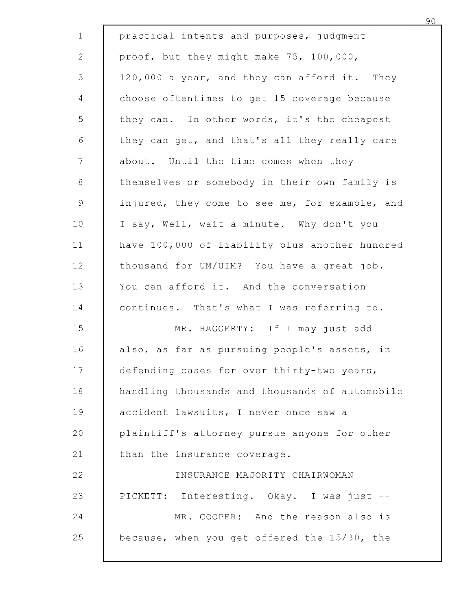| $\mathbf{1}$   | practical intents and purposes, judgment       |
|----------------|------------------------------------------------|
| $\overline{2}$ | proof, but they might make 75, 100,000,        |
| $\mathsf 3$    | 120,000 a year, and they can afford it. They   |
| 4              | choose oftentimes to get 15 coverage because   |
| 5              | they can. In other words, it's the cheapest    |
| $\sqrt{6}$     | they can get, and that's all they really care  |
| $\overline{7}$ | about. Until the time comes when they          |
| $8\,$          | themselves or somebody in their own family is  |
| $\mathsf 9$    | injured, they come to see me, for example, and |
| 10             | I say, Well, wait a minute. Why don't you      |
| 11             | have 100,000 of liability plus another hundred |
| 12             | thousand for UM/UIM? You have a great job.     |
| 13             | You can afford it. And the conversation        |
| 14             | continues. That's what I was referring to.     |
| 15             | MR. HAGGERTY: If I may just add                |
| 16             | also, as far as pursuing people's assets, in   |
| 17             | defending cases for over thirty-two years,     |
| 18             | handling thousands and thousands of automobile |
| 19             | accident lawsuits, I never once saw a          |
| 20             | plaintiff's attorney pursue anyone for other   |
| 21             | than the insurance coverage.                   |
| 22             | INSURANCE MAJORITY CHAIRWOMAN                  |
| 23             | PICKETT: Interesting. Okay. I was just --      |
| 24             | MR. COOPER: And the reason also is             |
| 25             | because, when you get offered the 15/30, the   |
|                |                                                |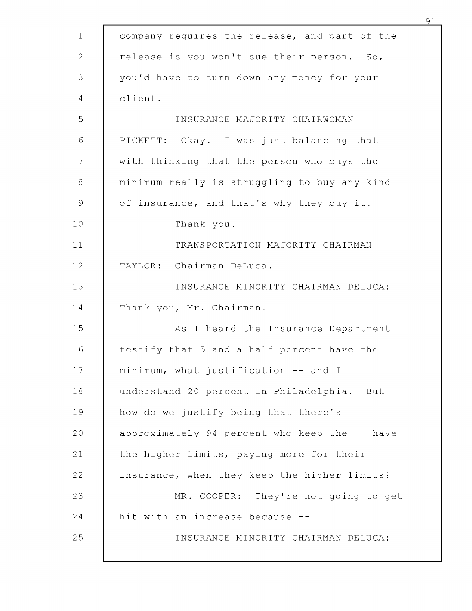| $\mathbf{1}$  | company requires the release, and part of the |
|---------------|-----------------------------------------------|
| 2             | release is you won't sue their person. So,    |
| 3             | you'd have to turn down any money for your    |
| 4             | client.                                       |
| 5             | INSURANCE MAJORITY CHAIRWOMAN                 |
| 6             | PICKETT: Okay. I was just balancing that      |
| 7             | with thinking that the person who buys the    |
| 8             | minimum really is struggling to buy any kind  |
| $\mathcal{G}$ | of insurance, and that's why they buy it.     |
| 10            | Thank you.                                    |
| 11            | TRANSPORTATION MAJORITY CHAIRMAN              |
| 12            | TAYLOR: Chairman DeLuca.                      |
| 13            | INSURANCE MINORITY CHAIRMAN DELUCA:           |
| 14            | Thank you, Mr. Chairman.                      |
| 15            | As I heard the Insurance Department           |
| 16            | testify that 5 and a half percent have the    |
| 17            | minimum, what justification -- and I          |
| 18            | understand 20 percent in Philadelphia. But    |
| 19            | how do we justify being that there's          |
| 20            | approximately 94 percent who keep the -- have |
| 21            | the higher limits, paying more for their      |
| 22            | insurance, when they keep the higher limits?  |
| 23            | MR. COOPER: They're not going to get          |
| 24            | hit with an increase because --               |
| 25            | INSURANCE MINORITY CHAIRMAN DELUCA:           |
|               |                                               |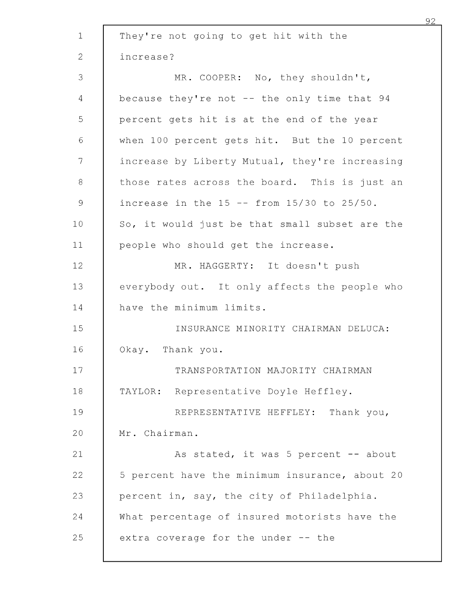| $\mathbf 1$   | They're not going to get hit with the             |
|---------------|---------------------------------------------------|
| 2             | increase?                                         |
| 3             | MR. COOPER: No, they shouldn't,                   |
| 4             | because they're not -- the only time that 94      |
| 5             | percent gets hit is at the end of the year        |
| 6             | when 100 percent gets hit. But the 10 percent     |
| $\mathcal{T}$ | increase by Liberty Mutual, they're increasing    |
| 8             | those rates across the board. This is just an     |
| $\mathsf 9$   | increase in the $15$ -- from $15/30$ to $25/50$ . |
| 10            | So, it would just be that small subset are the    |
| 11            | people who should get the increase.               |
| 12            | MR. HAGGERTY: It doesn't push                     |
| 13            | everybody out. It only affects the people who     |
| 14            | have the minimum limits.                          |
| 15            | INSURANCE MINORITY CHAIRMAN DELUCA:               |
| 16            | Okay. Thank you.                                  |
| 17            | TRANSPORTATION MAJORITY CHAIRMAN                  |
| 18            | TAYLOR: Representative Doyle Heffley.             |
| 19            | REPRESENTATIVE HEFFLEY: Thank you,                |
| 20            | Mr. Chairman.                                     |
| 21            | As stated, it was 5 percent -- about              |
| 22            | 5 percent have the minimum insurance, about 20    |
| 23            | percent in, say, the city of Philadelphia.        |
| 24            | What percentage of insured motorists have the     |
| 25            | extra coverage for the under -- the               |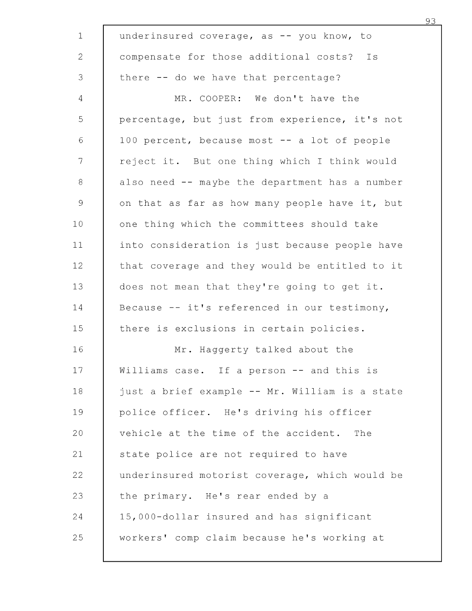| $\mathbf{1}$    | underinsured coverage, as -- you know, to      |
|-----------------|------------------------------------------------|
| $\overline{2}$  | compensate for those additional costs? Is      |
| 3               | there -- do we have that percentage?           |
| 4               | MR. COOPER: We don't have the                  |
| 5               | percentage, but just from experience, it's not |
| 6               | 100 percent, because most -- a lot of people   |
| 7               | reject it. But one thing which I think would   |
| $8\,$           | also need -- maybe the department has a number |
| $\mathcal{Q}$   | on that as far as how many people have it, but |
| 10 <sub>1</sub> | one thing which the committees should take     |
| 11              | into consideration is just because people have |
| 12              | that coverage and they would be entitled to it |
| 13              | does not mean that they're going to get it.    |
| 14              | Because -- it's referenced in our testimony,   |
| 15              | there is exclusions in certain policies.       |
| 16              | Mr. Haggerty talked about the                  |
| 17              | Williams case. If a person -- and this is      |
| 18              | just a brief example -- Mr. William is a state |
| 19              | police officer. He's driving his officer       |
| 20              | vehicle at the time of the accident.<br>The    |
| 21              | state police are not required to have          |
| 22              | underinsured motorist coverage, which would be |
| 23              | the primary. He's rear ended by a              |
| 24              | 15,000-dollar insured and has significant      |
| 25              | workers' comp claim because he's working at    |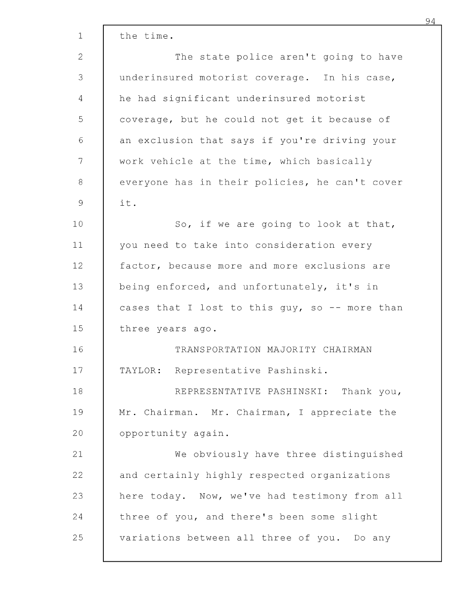| $\mathbf{1}$ | the time.                                      |
|--------------|------------------------------------------------|
| 2            | The state police aren't going to have          |
| 3            | underinsured motorist coverage. In his case,   |
| 4            | he had significant underinsured motorist       |
| 5            | coverage, but he could not get it because of   |
| 6            | an exclusion that says if you're driving your  |
| 7            | work vehicle at the time, which basically      |
| 8            | everyone has in their policies, he can't cover |
| 9            | it.                                            |
| 10           | So, if we are going to look at that,           |
| 11           | you need to take into consideration every      |
| 12           | factor, because more and more exclusions are   |
| 13           | being enforced, and unfortunately, it's in     |
| 14           | cases that I lost to this guy, so -- more than |
| 15           | three years ago.                               |
| 16           | TRANSPORTATION MAJORITY CHAIRMAN               |
| 17           | Representative Pashinski.<br>TAYLOR:           |
| 18           | REPRESENTATIVE PASHINSKI: Thank you,           |
| 19           | Mr. Chairman. Mr. Chairman, I appreciate the   |
| 20           | opportunity again.                             |
| 21           | We obviously have three distinguished          |
| 22           | and certainly highly respected organizations   |
| 23           | here today. Now, we've had testimony from all  |
| 24           | three of you, and there's been some slight     |
| 25           | variations between all three of you. Do any    |
|              |                                                |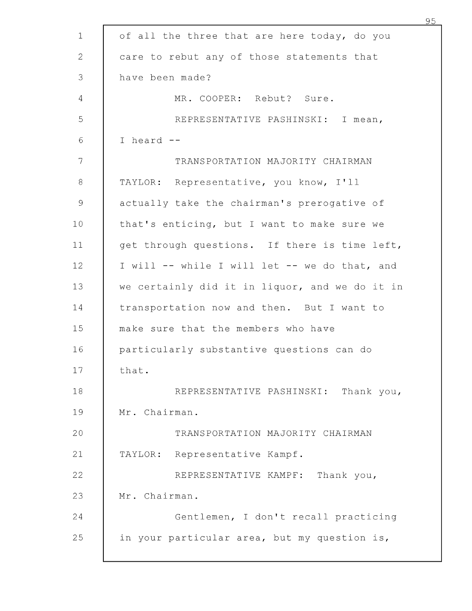| $\mathbf 1$   | of all the three that are here today, do you   |
|---------------|------------------------------------------------|
| 2             | care to rebut any of those statements that     |
| 3             | have been made?                                |
| 4             | MR. COOPER: Rebut? Sure.                       |
| 5             | REPRESENTATIVE PASHINSKI: I mean,              |
| 6             | I heard --                                     |
| 7             | TRANSPORTATION MAJORITY CHAIRMAN               |
| $\,8\,$       | TAYLOR: Representative, you know, I'll         |
| $\mathcal{G}$ | actually take the chairman's prerogative of    |
| 10            | that's enticing, but I want to make sure we    |
| 11            | get through questions. If there is time left,  |
| 12            | I will -- while I will let -- we do that, and  |
| 13            | we certainly did it in liquor, and we do it in |
| 14            | transportation now and then. But I want to     |
| 15            | make sure that the members who have            |
| 16            | particularly substantive questions can do      |
| 17            | that.                                          |
| 18            | REPRESENTATIVE PASHINSKI: Thank you,           |
| 19            | Mr. Chairman.                                  |
| 20            | TRANSPORTATION MAJORITY CHAIRMAN               |
| 21            | Representative Kampf.<br>TAYLOR:               |
| 22            | REPRESENTATIVE KAMPF: Thank you,               |
| 23            | Mr. Chairman.                                  |
| 24            | Gentlemen, I don't recall practicing           |
| 25            | in your particular area, but my question is,   |
|               |                                                |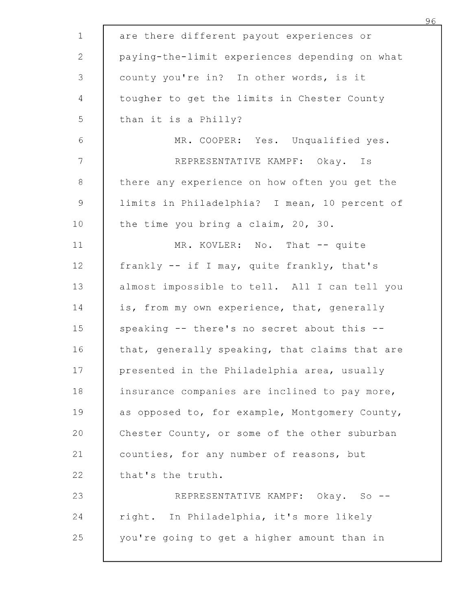| $\mathbf 1$     | are there different payout experiences or      |
|-----------------|------------------------------------------------|
| $\mathbf{2}$    | paying-the-limit experiences depending on what |
| 3               | county you're in? In other words, is it        |
| $\overline{4}$  | tougher to get the limits in Chester County    |
| 5               | than it is a Philly?                           |
| $\sqrt{6}$      | MR. COOPER: Yes. Unqualified yes.              |
| 7               | REPRESENTATIVE KAMPF: Okay. Is                 |
| $8\,$           | there any experience on how often you get the  |
| $\mathcal{G}$   | limits in Philadelphia? I mean, 10 percent of  |
| 10 <sub>o</sub> | the time you bring a claim, 20, 30.            |
| 11              | MR. KOVLER: No. That -- quite                  |
| 12 <sub>1</sub> | frankly -- if I may, quite frankly, that's     |
| 13              | almost impossible to tell. All I can tell you  |
| 14              | is, from my own experience, that, generally    |
| 15              | speaking -- there's no secret about this --    |
| 16              | that, generally speaking, that claims that are |
| 17              | presented in the Philadelphia area, usually    |
| 18              | insurance companies are inclined to pay more,  |
| 19              | as opposed to, for example, Montgomery County, |
| 20              | Chester County, or some of the other suburban  |
| 21              | counties, for any number of reasons, but       |
| 22              | that's the truth.                              |
| 23              | REPRESENTATIVE KAMPF: Okay. So --              |
| 24              | right. In Philadelphia, it's more likely       |
| 25              | you're going to get a higher amount than in    |
|                 |                                                |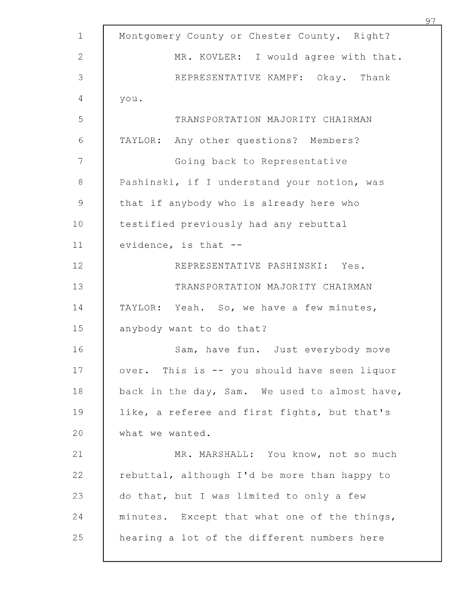|                |                                               | 97 |
|----------------|-----------------------------------------------|----|
| $\mathbf 1$    | Montgomery County or Chester County. Right?   |    |
| $\overline{2}$ | MR. KOVLER: I would agree with that.          |    |
| 3              | REPRESENTATIVE KAMPF: Okay. Thank             |    |
| 4              | you.                                          |    |
| 5              | TRANSPORTATION MAJORITY CHAIRMAN              |    |
| $\sqrt{6}$     | TAYLOR: Any other questions? Members?         |    |
| 7              | Going back to Representative                  |    |
| $\,8\,$        | Pashinski, if I understand your notion, was   |    |
| $\mathcal{G}$  | that if anybody who is already here who       |    |
| 10             | testified previously had any rebuttal         |    |
| 11             | evidence, is that --                          |    |
| 12             | REPRESENTATIVE PASHINSKI: Yes.                |    |
| 13             | TRANSPORTATION MAJORITY CHAIRMAN              |    |
| 14             | TAYLOR: Yeah. So, we have a few minutes,      |    |
| 15             | anybody want to do that?                      |    |
| 16             | Sam, have fun. Just everybody move            |    |
| 17             | over. This is -- you should have seen liquor  |    |
| 18             | back in the day, Sam. We used to almost have, |    |
| 19             | like, a referee and first fights, but that's  |    |
| 20             | what we wanted.                               |    |
| 21             | MR. MARSHALL: You know, not so much           |    |
| 22             | rebuttal, although I'd be more than happy to  |    |
| 23             | do that, but I was limited to only a few      |    |
| 24             | minutes. Except that what one of the things,  |    |
| 25             | hearing a lot of the different numbers here   |    |
|                |                                               |    |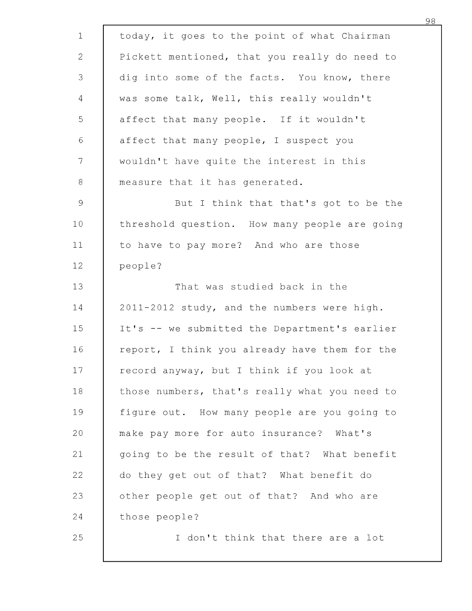| $\mathbf 1$   | today, it goes to the point of what Chairman  |
|---------------|-----------------------------------------------|
| $\mathbf{2}$  | Pickett mentioned, that you really do need to |
| 3             | dig into some of the facts. You know, there   |
| 4             | was some talk, Well, this really wouldn't     |
| 5             | affect that many people. If it wouldn't       |
| 6             | affect that many people, I suspect you        |
| 7             | wouldn't have quite the interest in this      |
| $\,8\,$       | measure that it has generated.                |
| $\mathcal{G}$ | But I think that that's got to be the         |
| 10            | threshold question. How many people are going |
| 11            | to have to pay more? And who are those        |
| 12            | people?                                       |
| 13            | That was studied back in the                  |
| 14            | 2011-2012 study, and the numbers were high.   |
| 15            | It's -- we submitted the Department's earlier |
| 16            | report, I think you already have them for the |
| 17            | record anyway, but I think if you look at     |
| 18            | those numbers, that's really what you need to |
| 19            | figure out. How many people are you going to  |
| 20            | make pay more for auto insurance? What's      |
| 21            | going to be the result of that? What benefit  |
| 22            | do they get out of that? What benefit do      |
| 23            | other people get out of that? And who are     |
| 24            | those people?                                 |
| 25            | I don't think that there are a lot            |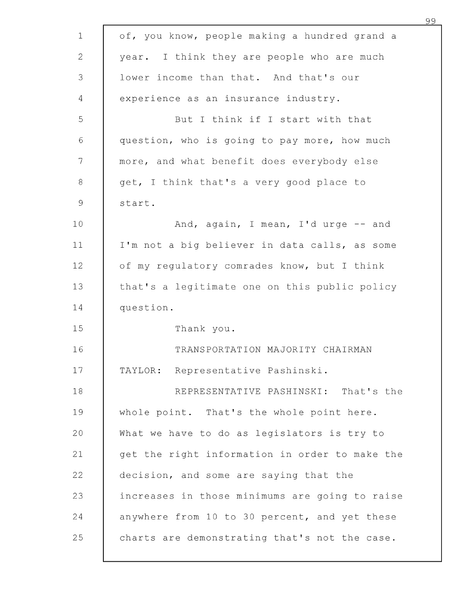| $\mathbf 1$    | of, you know, people making a hundred grand a  |
|----------------|------------------------------------------------|
| $\overline{2}$ | year. I think they are people who are much     |
| 3              | lower income than that. And that's our         |
| 4              | experience as an insurance industry.           |
| 5              | But I think if I start with that               |
| $\sqrt{6}$     | question, who is going to pay more, how much   |
| $\overline{7}$ | more, and what benefit does everybody else     |
| $\,8\,$        | get, I think that's a very good place to       |
| $\mathcal{G}$  | start.                                         |
| 10             | And, again, I mean, I'd urge -- and            |
| 11             | I'm not a big believer in data calls, as some  |
| 12             | of my regulatory comrades know, but I think    |
| 13             | that's a legitimate one on this public policy  |
| 14             | question.                                      |
| 15             | Thank you.                                     |
| 16             | TRANSPORTATION MAJORITY CHAIRMAN               |
| 17             | TAYLOR: Representative Pashinski.              |
| 18             | REPRESENTATIVE PASHINSKI: That's the           |
| 19             | whole point. That's the whole point here.      |
| 20             | What we have to do as legislators is try to    |
| 21             | get the right information in order to make the |
| 22             | decision, and some are saying that the         |
| 23             | increases in those minimums are going to raise |
| 24             | anywhere from 10 to 30 percent, and yet these  |
| 25             | charts are demonstrating that's not the case.  |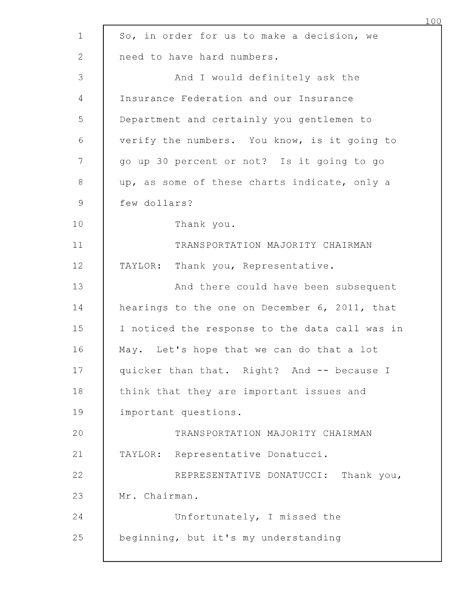| $\mathbf{1}$  | So, in order for us to make a decision, we     |
|---------------|------------------------------------------------|
| 2             | need to have hard numbers.                     |
| 3             | And I would definitely ask the                 |
| 4             | Insurance Federation and our Insurance         |
| 5             | Department and certainly you gentlemen to      |
| $\sqrt{6}$    | verify the numbers. You know, is it going to   |
| 7             | go up 30 percent or not? Is it going to go     |
| $\,8\,$       | up, as some of these charts indicate, only a   |
| $\mathcal{G}$ | few dollars?                                   |
| 10            | Thank you.                                     |
| 11            | TRANSPORTATION MAJORITY CHAIRMAN               |
| 12            | TAYLOR: Thank you, Representative.             |
| 13            | And there could have been subsequent           |
| 14            | hearings to the one on December 6, 2011, that  |
| 15            | I noticed the response to the data call was in |
| 16            | May. Let's hope that we can do that a lot      |
| 17            | quicker than that. Right? And -- because I     |
| 18            | think that they are important issues and       |
| 19            | important questions.                           |
| 20            | TRANSPORTATION MAJORITY CHAIRMAN               |
| 21            | TAYLOR: Representative Donatucci.              |
| 22            | REPRESENTATIVE DONATUCCI: Thank you,           |
| 23            | Mr. Chairman.                                  |
| 24            | Unfortunately, I missed the                    |
| 25            | beginning, but it's my understanding           |
|               |                                                |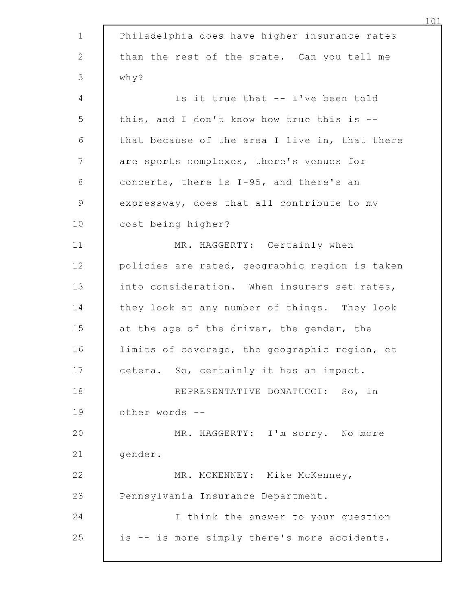| $\mathbf 1$     | Philadelphia does have higher insurance rates  |
|-----------------|------------------------------------------------|
| $\mathbf{2}$    | than the rest of the state. Can you tell me    |
| 3               | why?                                           |
| 4               | Is it true that -- I've been told              |
| 5               | this, and I don't know how true this is --     |
| $\sqrt{6}$      | that because of the area I live in, that there |
| 7               | are sports complexes, there's venues for       |
| $\,8\,$         | concerts, there is I-95, and there's an        |
| $\mathcal{G}$   | expressway, does that all contribute to my     |
| 10 <sub>o</sub> | cost being higher?                             |
| 11              | MR. HAGGERTY: Certainly when                   |
| 12              | policies are rated, geographic region is taken |
| 13              | into consideration. When insurers set rates,   |
| 14              | they look at any number of things. They look   |
| 15              | at the age of the driver, the gender, the      |
| 16              | limits of coverage, the geographic region, et  |
| 17              | cetera. So, certainly it has an impact.        |
| 18              | REPRESENTATIVE DONATUCCI: So, in               |
| 19              | other words --                                 |
| 20              | MR. HAGGERTY: I'm sorry. No more               |
| 21              | gender.                                        |
| 22              | MR. MCKENNEY: Mike McKenney,                   |
| 23              | Pennsylvania Insurance Department.             |
| 24              | I think the answer to your question            |
| 25              | is -- is more simply there's more accidents.   |
|                 |                                                |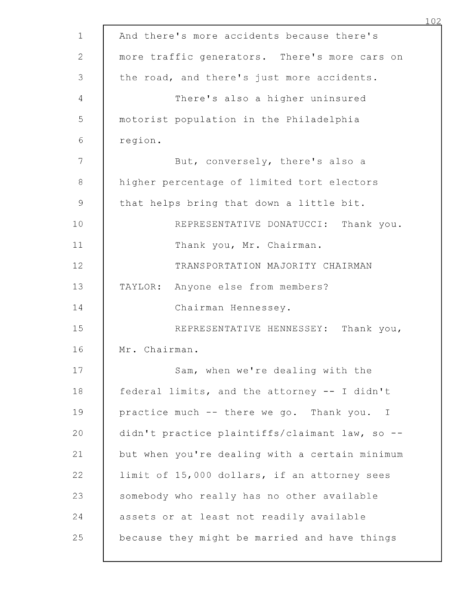| $\mathbf 1$    | And there's more accidents because there's     |
|----------------|------------------------------------------------|
| $\overline{2}$ | more traffic generators. There's more cars on  |
| 3              | the road, and there's just more accidents.     |
| 4              | There's also a higher uninsured                |
| 5              | motorist population in the Philadelphia        |
| $\sqrt{6}$     | region.                                        |
| 7              | But, conversely, there's also a                |
| $\,8\,$        | higher percentage of limited tort electors     |
| $\mathsf 9$    | that helps bring that down a little bit.       |
| 10             | REPRESENTATIVE DONATUCCI: Thank you.           |
| 11             | Thank you, Mr. Chairman.                       |
| 12             | TRANSPORTATION MAJORITY CHAIRMAN               |
| 13             | TAYLOR: Anyone else from members?              |
| 14             | Chairman Hennessey.                            |
| 15             | REPRESENTATIVE HENNESSEY: Thank you,           |
| 16             | Mr. Chairman.                                  |
| 17             | Sam, when we're dealing with the               |
| 18             | federal limits, and the attorney -- I didn't   |
| 19             | practice much -- there we go. Thank you. I     |
| 20             | didn't practice plaintiffs/claimant law, so -- |
| 21             | but when you're dealing with a certain minimum |
| 22             | limit of 15,000 dollars, if an attorney sees   |
| 23             | somebody who really has no other available     |
| 24             | assets or at least not readily available       |
| 25             | because they might be married and have things  |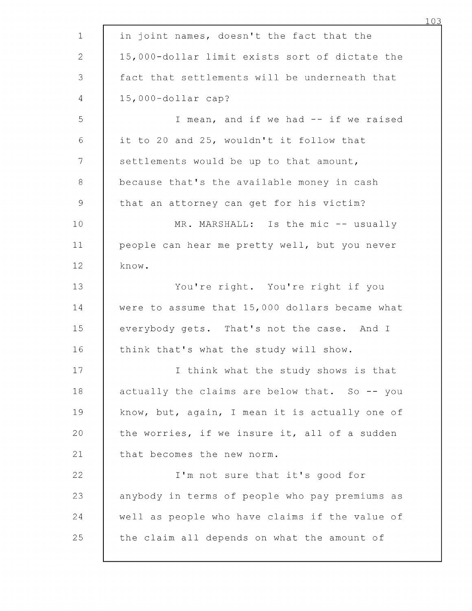| $\mathbf{1}$ | in joint names, doesn't the fact that the      |
|--------------|------------------------------------------------|
| 2            | 15,000-dollar limit exists sort of dictate the |
| 3            | fact that settlements will be underneath that  |
| 4            | 15,000-dollar cap?                             |
| 5            | I mean, and if we had -- if we raised          |
| $\sqrt{6}$   | it to 20 and 25, wouldn't it follow that       |
| 7            | settlements would be up to that amount,        |
| 8            | because that's the available money in cash     |
| $\mathsf 9$  | that an attorney can get for his victim?       |
| 10           | MR. MARSHALL: Is the mic -- usually            |
| 11           | people can hear me pretty well, but you never  |
| 12           | know.                                          |
| 13           | You're right. You're right if you              |
| 14           | were to assume that 15,000 dollars became what |
| 15           | everybody gets. That's not the case. And I     |
| 16           | think that's what the study will show.         |
| 17           | I think what the study shows is that           |
| 18           | actually the claims are below that. So -- you  |
| 19           | know, but, again, I mean it is actually one of |
| 20           | the worries, if we insure it, all of a sudden  |
| 21           | that becomes the new norm.                     |
| 22           | I'm not sure that it's good for                |
| 23           | anybody in terms of people who pay premiums as |
| 24           | well as people who have claims if the value of |
| 25           | the claim all depends on what the amount of    |
|              |                                                |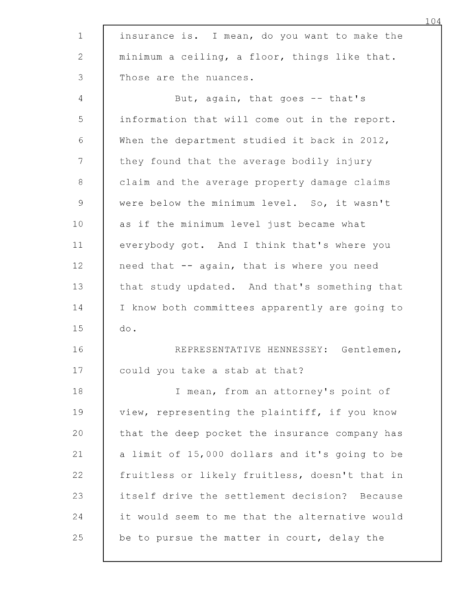| $\mathbf{1}$   | insurance is. I mean, do you want to make the  |
|----------------|------------------------------------------------|
| $\mathbf{2}$   | minimum a ceiling, a floor, things like that.  |
| 3              | Those are the nuances.                         |
| $\overline{4}$ | But, again, that goes -- that's                |
| 5              | information that will come out in the report.  |
| $\sqrt{6}$     | When the department studied it back in 2012,   |
| 7              | they found that the average bodily injury      |
| $\,8\,$        | claim and the average property damage claims   |
| $\mathcal{G}$  | were below the minimum level. So, it wasn't    |
| 10             | as if the minimum level just became what       |
| 11             | everybody got. And I think that's where you    |
| 12             | need that -- again, that is where you need     |
| 13             | that study updated. And that's something that  |
| 14             | I know both committees apparently are going to |
| 15             | do.                                            |
| 16             | REPRESENTATIVE HENNESSEY: Gentlemen,           |
| 17             | could you take a stab at that?                 |
| 18             | I mean, from an attorney's point of            |
| 19             | view, representing the plaintiff, if you know  |
| 20             | that the deep pocket the insurance company has |
| 21             | a limit of 15,000 dollars and it's going to be |
| 22             | fruitless or likely fruitless, doesn't that in |
| 23             | itself drive the settlement decision? Because  |
| 24             | it would seem to me that the alternative would |
| 25             | be to pursue the matter in court, delay the    |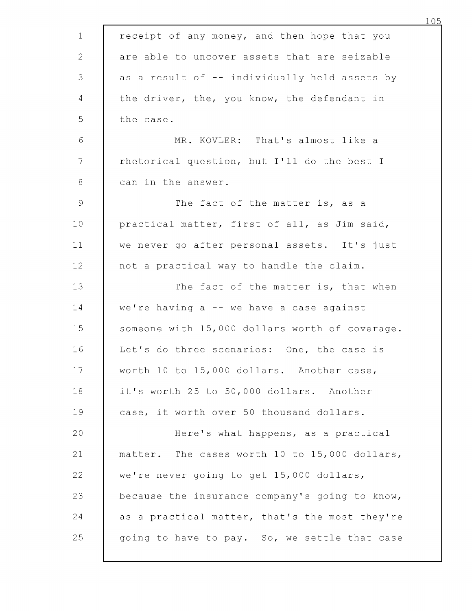| $\mathbf 1$    | receipt of any money, and then hope that you   |
|----------------|------------------------------------------------|
| $\mathbf{2}$   | are able to uncover assets that are seizable   |
| 3              | as a result of -- individually held assets by  |
| 4              | the driver, the, you know, the defendant in    |
| 5              | the case.                                      |
| 6              | MR. KOVLER: That's almost like a               |
| 7              | rhetorical question, but I'll do the best I    |
| 8              | can in the answer.                             |
| $\overline{9}$ | The fact of the matter is, as a                |
| 10             | practical matter, first of all, as Jim said,   |
| 11             | we never go after personal assets. It's just   |
| 12             | not a practical way to handle the claim.       |
| 13             | The fact of the matter is, that when           |
| 14             | we're having a -- we have a case against       |
| 15             | someone with 15,000 dollars worth of coverage. |
| 16             | Let's do three scenarios: One, the case is     |
| 17             | worth 10 to 15,000 dollars. Another case,      |
| 18             | it's worth 25 to 50,000 dollars. Another       |
| 19             | case, it worth over 50 thousand dollars.       |
| 20             | Here's what happens, as a practical            |
| 21             | matter. The cases worth 10 to 15,000 dollars,  |
| 22             | we're never going to get 15,000 dollars,       |
| 23             | because the insurance company's going to know, |
| 24             | as a practical matter, that's the most they're |
| 25             | going to have to pay. So, we settle that case  |
|                |                                                |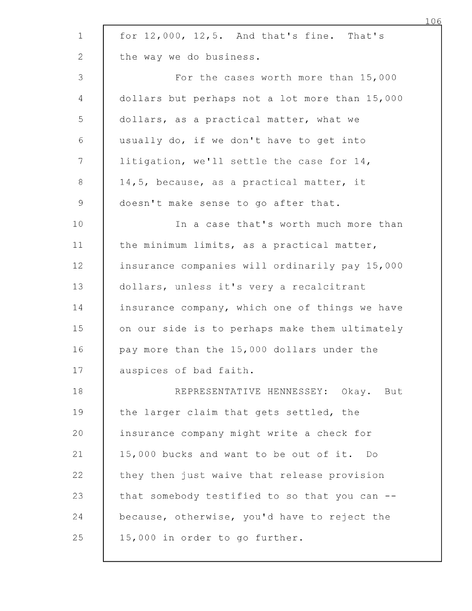| $\mathbf 1$    | for $12,000$ , $12,5$ . And that's fine. That's |
|----------------|-------------------------------------------------|
| 2              | the way we do business.                         |
| 3              | For the cases worth more than 15,000            |
| $\overline{4}$ | dollars but perhaps not a lot more than 15,000  |
| 5              | dollars, as a practical matter, what we         |
| $\sqrt{6}$     | usually do, if we don't have to get into        |
| 7              | litigation, we'll settle the case for 14,       |
| 8              | 14,5, because, as a practical matter, it        |
| 9              | doesn't make sense to go after that.            |
| 10             | In a case that's worth much more than           |
| 11             | the minimum limits, as a practical matter,      |
| 12             | insurance companies will ordinarily pay 15,000  |
| 13             | dollars, unless it's very a recalcitrant        |
| 14             | insurance company, which one of things we have  |
| 15             | on our side is to perhaps make them ultimately  |
| 16             | pay more than the 15,000 dollars under the      |
| 17             | auspices of bad faith.                          |
| 18             | REPRESENTATIVE HENNESSEY: Okay. But             |
| 19             | the larger claim that gets settled, the         |
| 20             | insurance company might write a check for       |
| 21             | 15,000 bucks and want to be out of it. Do       |
| 22             | they then just waive that release provision     |
| 23             | that somebody testified to so that you can --   |
| 24             | because, otherwise, you'd have to reject the    |
| 25             | 15,000 in order to go further.                  |
|                |                                                 |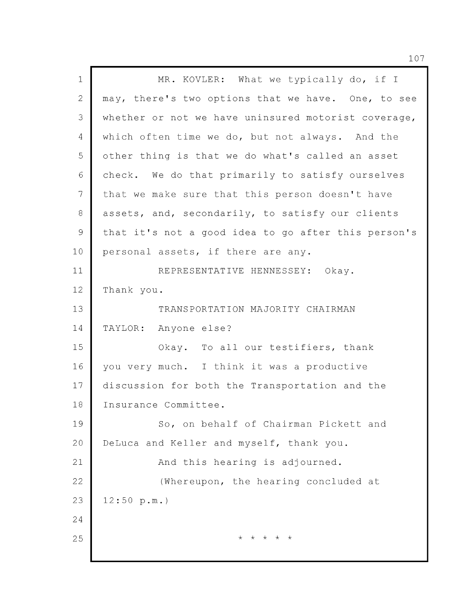| $\mathbf 1$    | MR. KOVLER: What we typically do, if I              |
|----------------|-----------------------------------------------------|
| $\overline{2}$ | may, there's two options that we have. One, to see  |
| 3              | whether or not we have uninsured motorist coverage, |
| 4              | which often time we do, but not always. And the     |
| 5              | other thing is that we do what's called an asset    |
| 6              | check. We do that primarily to satisfy ourselves    |
| $\overline{7}$ | that we make sure that this person doesn't have     |
| 8              | assets, and, secondarily, to satisfy our clients    |
| $\mathsf 9$    | that it's not a good idea to go after this person's |
| 10             | personal assets, if there are any.                  |
| 11             | REPRESENTATIVE HENNESSEY: Okay.                     |
| 12             | Thank you.                                          |
| 13             | TRANSPORTATION MAJORITY CHAIRMAN                    |
| 14             | TAYLOR: Anyone else?                                |
| 15             | Okay. To all our testifiers, thank                  |
| 16             | you very much. I think it was a productive          |
| 17             | discussion for both the Transportation and the      |
| 18             | Insurance Committee.                                |
| 19             | So, on behalf of Chairman Pickett and               |
| 20             | DeLuca and Keller and myself, thank you.            |
| 21             | And this hearing is adjourned.                      |
| 22             | (Whereupon, the hearing concluded at                |
| 23             | 12:50 p.m.                                          |
| 24             |                                                     |
| 25             | * * * * *                                           |
|                |                                                     |